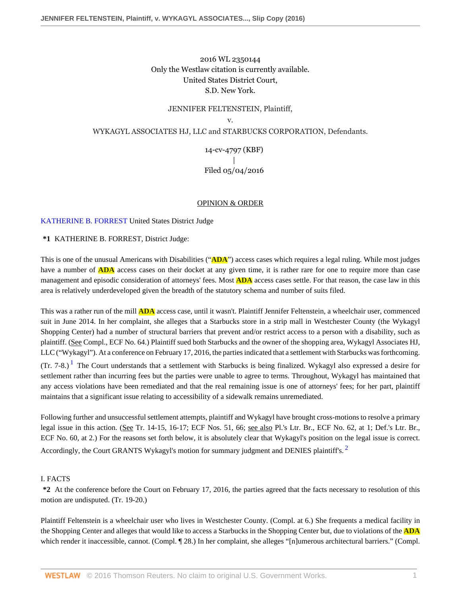## 2016 WL 2350144 Only the Westlaw citation is currently available. United States District Court, S.D. New York.

# JENNIFER FELTENSTEIN, Plaintiff, v. WYKAGYL ASSOCIATES HJ, LLC and STARBUCKS CORPORATION, Defendants.

## 14-cv-4797 (KBF) | Filed 05/04/2016

## <span id="page-0-1"></span>OPINION & ORDER

## [KATHERINE B. FORREST](http://www.westlaw.com/Link/Document/FullText?findType=h&pubNum=176284&cite=0329306001&originatingDoc=I6e19fef012ca11e68200cc8fe940080b&refType=RQ&originationContext=document&vr=3.0&rs=cblt1.0&transitionType=DocumentItem&contextData=(sc.AlertsClip)) United States District Judge

**\*1** KATHERINE B. FORREST, District Judge:

This is one of the unusual Americans with Disabilities ("**ADA**") access cases which requires a legal ruling. While most judges have a number of **ADA** access cases on their docket at any given time, it is rather rare for one to require more than case management and episodic consideration of attorneys' fees. Most **ADA** access cases settle. For that reason, the case law in this area is relatively underdeveloped given the breadth of the statutory schema and number of suits filed.

This was a rather run of the mill **ADA** access case, until it wasn't. Plaintiff Jennifer Feltenstein, a wheelchair user, commenced suit in June 2014. In her complaint, she alleges that a Starbucks store in a strip mall in Westchester County (the Wykagyl Shopping Center) had a number of structural barriers that prevent and/or restrict access to a person with a disability, such as plaintiff. (See Compl., ECF No. 64.) Plaintiff sued both Starbucks and the owner of the shopping area, Wykagyl Associates HJ, LLC ("Wykagyl"). At a conference on February 17, 2016, the parties indicated that a settlement with Starbucks was forthcoming.

<span id="page-0-0"></span>(Tr. 7-8.)<sup>[1](#page-5-0)</sup> The Court understands that a settlement with Starbucks is being finalized. Wykagyl also expressed a desire for settlement rather than incurring fees but the parties were unable to agree to terms. Throughout, Wykagyl has maintained that any access violations have been remediated and that the real remaining issue is one of attorneys' fees; for her part, plaintiff maintains that a significant issue relating to accessibility of a sidewalk remains unremediated.

Following further and unsuccessful settlement attempts, plaintiff and Wykagyl have brought cross-motions to resolve a primary legal issue in this action. (See Tr. 14-15, 16-17; ECF Nos. 51, 66; see also Pl.'s Ltr. Br., ECF No. 62, at 1; Def.'s Ltr. Br., ECF No. 60, at 2.) For the reasons set forth below, it is absolutely clear that Wykagyl's position on the legal issue is correct. Accordingly, the Court GRANTS Wykagyl's motion for summary judgment and DENIES plaintiff's.<sup>[2](#page-5-1)</sup>

#### I. FACTS

**\*2** At the conference before the Court on February 17, 2016, the parties agreed that the facts necessary to resolution of this motion are undisputed. (Tr. 19-20.)

Plaintiff Feltenstein is a wheelchair user who lives in Westchester County. (Compl. at 6.) She frequents a medical facility in the Shopping Center and alleges that would like to access a Starbucks in the Shopping Center but, due to violations of the **ADA** which render it inaccessible, cannot. (Compl. ¶ 28.) In her complaint, she alleges "[n]umerous architectural barriers." (Compl.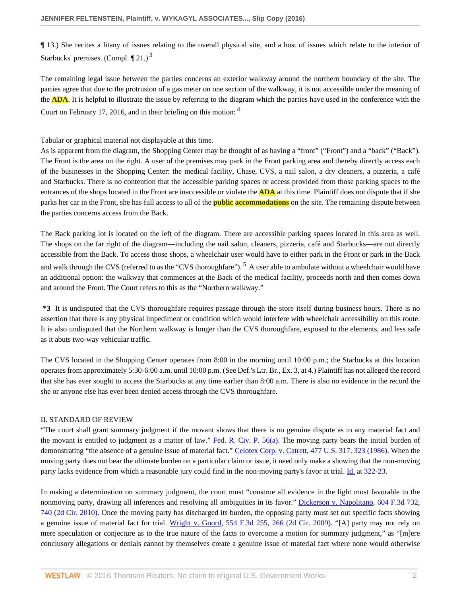<span id="page-1-0"></span>¶ 13.) She recites a litany of issues relating to the overall physical site, and a host of issues which relate to the interior of Starbucks' premises. (Compl.  $\P$  21.)<sup>[3](#page-5-2)</sup>

<span id="page-1-1"></span>The remaining legal issue between the parties concerns an exterior walkway around the northern boundary of the site. The parties agree that due to the protrusion of a gas meter on one section of the walkway, it is not accessible under the meaning of the **ADA**. It is helpful to illustrate the issue by referring to the diagram which the parties have used in the conference with the Court on February 17, 2016, and in their briefing on this motion: [4](#page-5-3)

## Tabular or graphical material not displayable at this time.

As is apparent from the diagram, the Shopping Center may be thought of as having a "front" ("Front") and a "back" ("Back"). The Front is the area on the right. A user of the premises may park in the Front parking area and thereby directly access each of the businesses in the Shopping Center: the medical facility, Chase, CVS, a nail salon, a dry cleaners, a pizzeria, a café and Starbucks. There is no contention that the accessible parking spaces or access provided from those parking spaces to the entrances of the shops located in the Front are inaccessible or violate the **ADA** at this time. Plaintiff does not dispute that if she parks her car in the Front, she has full access to all of the **public accommodations** on the site. The remaining dispute between the parties concerns access from the Back.

<span id="page-1-2"></span>The Back parking lot is located on the left of the diagram. There are accessible parking spaces located in this area as well. The shops on the far right of the diagram—including the nail salon, cleaners, pizzeria, café and Starbucks—are not directly accessible from the Back. To access those shops, a wheelchair user would have to either park in the Front or park in the Back and walk through the CVS (referred to as the "CVS thoroughfare").  $^5$  $^5$  A user able to ambulate without a wheelchair would have an additional option: the walkway that commences at the Back of the medical facility, proceeds north and then comes down and around the Front. The Court refers to this as the "Northern walkway."

**\*3** It is undisputed that the CVS thoroughfare requires passage through the store itself during business hours. There is no assertion that there is any physical impediment or condition which would interfere with wheelchair accessibility on this route. It is also undisputed that the Northern walkway is longer than the CVS thoroughfare, exposed to the elements, and less safe as it abuts two-way vehicular traffic.

The CVS located in the Shopping Center operates from 8:00 in the morning until 10:00 p.m.; the Starbucks at this location operates from approximately 5:30-6:00 a.m. until 10:00 p.m. (See Def.'s Ltr. Br., Ex. 3, at 4.) Plaintiff has not alleged the record that she has ever sought to access the Starbucks at any time earlier than 8:00 a.m. There is also no evidence in the record the she or anyone else has ever been denied access through the CVS thoroughfare.

#### II. STANDARD OF REVIEW

"The court shall grant summary judgment if the movant shows that there is no genuine dispute as to any material fact and the movant is entitled to judgment as a matter of law." [Fed. R. Civ. P. 56\(a\)](http://www.westlaw.com/Link/Document/FullText?findType=L&pubNum=1000600&cite=USFRCPR56&originatingDoc=I6e19fef012ca11e68200cc8fe940080b&refType=LQ&originationContext=document&vr=3.0&rs=cblt1.0&transitionType=DocumentItem&contextData=(sc.AlertsClip)). The moving party bears the initial burden of demonstrating "the absence of a genuine issue of material fact." Celotex [Corp. v. Catrett, 477 U.S. 317, 323 \(1986\)](http://www.westlaw.com/Link/Document/FullText?findType=Y&serNum=1986132677&pubNum=0000780&originatingDoc=I6e19fef012ca11e68200cc8fe940080b&refType=RP&fi=co_pp_sp_780_323&originationContext=document&vr=3.0&rs=cblt1.0&transitionType=DocumentItem&contextData=(sc.AlertsClip)#co_pp_sp_780_323). When the moving party does not bear the ultimate burden on a particular claim or issue, it need only make a showing that the non-moving party lacks evidence from which a reasonable jury could find in the non-moving party's favor at trial. [Id. at 322-23](http://www.westlaw.com/Link/Document/FullText?findType=Y&serNum=1986132677&pubNum=0000780&originatingDoc=I6e19fef012ca11e68200cc8fe940080b&refType=RP&fi=co_pp_sp_780_322&originationContext=document&vr=3.0&rs=cblt1.0&transitionType=DocumentItem&contextData=(sc.AlertsClip)#co_pp_sp_780_322).

In making a determination on summary judgment, the court must "construe all evidence in the light most favorable to the nonmoving party, drawing all inferences and resolving all ambiguities in its favor." [Dickerson v. Napolitano, 604 F.3d 732,](http://www.westlaw.com/Link/Document/FullText?findType=Y&serNum=2021993754&pubNum=0000506&originatingDoc=I6e19fef012ca11e68200cc8fe940080b&refType=RP&fi=co_pp_sp_506_740&originationContext=document&vr=3.0&rs=cblt1.0&transitionType=DocumentItem&contextData=(sc.AlertsClip)#co_pp_sp_506_740) [740 \(2d Cir. 2010\).](http://www.westlaw.com/Link/Document/FullText?findType=Y&serNum=2021993754&pubNum=0000506&originatingDoc=I6e19fef012ca11e68200cc8fe940080b&refType=RP&fi=co_pp_sp_506_740&originationContext=document&vr=3.0&rs=cblt1.0&transitionType=DocumentItem&contextData=(sc.AlertsClip)#co_pp_sp_506_740) Once the moving party has discharged its burden, the opposing party must set out specific facts showing a genuine issue of material fact for trial. [Wright v. Goord, 554 F.3d 255, 266 \(2d Cir. 2009\)](http://www.westlaw.com/Link/Document/FullText?findType=Y&serNum=2017997345&pubNum=0000506&originatingDoc=I6e19fef012ca11e68200cc8fe940080b&refType=RP&fi=co_pp_sp_506_266&originationContext=document&vr=3.0&rs=cblt1.0&transitionType=DocumentItem&contextData=(sc.AlertsClip)#co_pp_sp_506_266). "[A] party may not rely on mere speculation or conjecture as to the true nature of the facts to overcome a motion for summary judgment," as "[m]ere conclusory allegations or denials cannot by themselves create a genuine issue of material fact where none would otherwise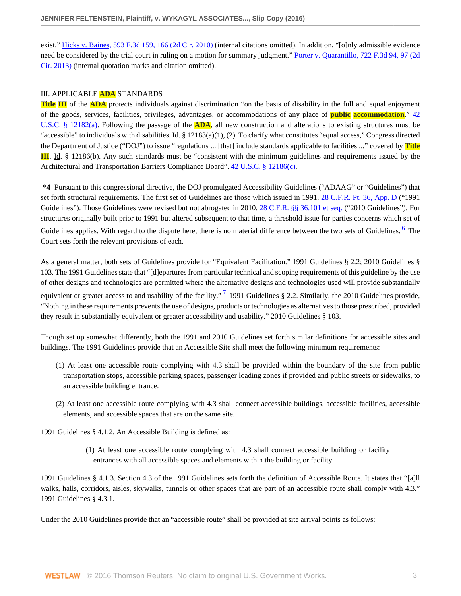exist." [Hicks v. Baines, 593 F.3d 159, 166 \(2d Cir. 2010\)](http://www.westlaw.com/Link/Document/FullText?findType=Y&serNum=2021257863&pubNum=0000506&originatingDoc=I6e19fef012ca11e68200cc8fe940080b&refType=RP&fi=co_pp_sp_506_166&originationContext=document&vr=3.0&rs=cblt1.0&transitionType=DocumentItem&contextData=(sc.AlertsClip)#co_pp_sp_506_166) (internal citations omitted). In addition, "[o]nly admissible evidence need be considered by the trial court in ruling on a motion for summary judgment." [Porter v. Quarantillo, 722 F.3d 94, 97 \(2d](http://www.westlaw.com/Link/Document/FullText?findType=Y&serNum=2030940620&pubNum=0000506&originatingDoc=I6e19fef012ca11e68200cc8fe940080b&refType=RP&fi=co_pp_sp_506_97&originationContext=document&vr=3.0&rs=cblt1.0&transitionType=DocumentItem&contextData=(sc.AlertsClip)#co_pp_sp_506_97) [Cir. 2013\)](http://www.westlaw.com/Link/Document/FullText?findType=Y&serNum=2030940620&pubNum=0000506&originatingDoc=I6e19fef012ca11e68200cc8fe940080b&refType=RP&fi=co_pp_sp_506_97&originationContext=document&vr=3.0&rs=cblt1.0&transitionType=DocumentItem&contextData=(sc.AlertsClip)#co_pp_sp_506_97) (internal quotation marks and citation omitted).

#### III. APPLICABLE **ADA** STANDARDS

**Title III** of the **ADA** protects individuals against discrimination "on the basis of disability in the full and equal enjoyment of the goods, services, facilities, privileges, advantages, or accommodations of any place of **public accommodation**." [42](http://www.westlaw.com/Link/Document/FullText?findType=L&pubNum=1000546&cite=42USCAS12182&originatingDoc=I6e19fef012ca11e68200cc8fe940080b&refType=SP&originationContext=document&vr=3.0&rs=cblt1.0&transitionType=DocumentItem&contextData=(sc.AlertsClip)#co_pp_8b3b0000958a4) [U.S.C. § 12182\(a\)](http://www.westlaw.com/Link/Document/FullText?findType=L&pubNum=1000546&cite=42USCAS12182&originatingDoc=I6e19fef012ca11e68200cc8fe940080b&refType=SP&originationContext=document&vr=3.0&rs=cblt1.0&transitionType=DocumentItem&contextData=(sc.AlertsClip)#co_pp_8b3b0000958a4). Following the passage of the **ADA**, all new construction and alterations to existing structures must be "accessible" to individuals with disabilities. Id. § 12183(a)(1), (2). To clarify what constitutes "equal access," Congress directed the Department of Justice ("DOJ") to issue "regulations ... [that] include standards applicable to facilities ..." covered by **Title III**. Id. § 12186(b). Any such standards must be "consistent with the minimum guidelines and requirements issued by the Architectural and Transportation Barriers Compliance Board". [42 U.S.C. § 12186\(c\).](http://www.westlaw.com/Link/Document/FullText?findType=L&pubNum=1000546&cite=42USCAS12186&originatingDoc=I6e19fef012ca11e68200cc8fe940080b&refType=SP&originationContext=document&vr=3.0&rs=cblt1.0&transitionType=DocumentItem&contextData=(sc.AlertsClip)#co_pp_4b24000003ba5)

**\*4** Pursuant to this congressional directive, the DOJ promulgated Accessibility Guidelines ("ADAAG" or "Guidelines") that set forth structural requirements. The first set of Guidelines are those which issued in 1991. [28 C.F.R. Pt. 36, App. D](http://www.westlaw.com/Link/Document/FullText?findType=L&pubNum=1000547&cite=28CFRPT36APPD&originatingDoc=I6e19fef012ca11e68200cc8fe940080b&refType=LQ&originationContext=document&vr=3.0&rs=cblt1.0&transitionType=DocumentItem&contextData=(sc.AlertsClip)) ("1991 Guidelines"). Those Guidelines were revised but not abrogated in 2010. [28 C.F.R. §§ 36.101 et seq.](http://www.westlaw.com/Link/Document/FullText?findType=L&pubNum=1000547&cite=28CFRS36.101&originatingDoc=I6e19fef012ca11e68200cc8fe940080b&refType=LQ&originationContext=document&vr=3.0&rs=cblt1.0&transitionType=DocumentItem&contextData=(sc.AlertsClip)) ("2010 Guidelines"). For structures originally built prior to 1991 but altered subsequent to that time, a threshold issue for parties concerns which set of Guidelines applies. With regard to the dispute here, there is no material difference between the two sets of Guidelines. <sup>[6](#page-5-5)</sup> The Court sets forth the relevant provisions of each.

<span id="page-2-0"></span>As a general matter, both sets of Guidelines provide for "Equivalent Facilitation." 1991 Guidelines § 2.2; 2010 Guidelines § 103. The 1991 Guidelines state that "[d]epartures from particular technical and scoping requirements of this guideline by the use of other designs and technologies are permitted where the alternative designs and technologies used will provide substantially equivalent or greater access to and usability of the facility."<sup>[7](#page-5-6)</sup> 1991 Guidelines § 2.2. Similarly, the 2010 Guidelines provide, "Nothing in these requirements prevents the use of designs, products or technologies as alternatives to those prescribed, provided they result in substantially equivalent or greater accessibility and usability." 2010 Guidelines § 103.

Though set up somewhat differently, both the 1991 and 2010 Guidelines set forth similar definitions for accessible sites and buildings. The 1991 Guidelines provide that an Accessible Site shall meet the following minimum requirements:

- <span id="page-2-1"></span>(1) At least one accessible route complying with 4.3 shall be provided within the boundary of the site from public transportation stops, accessible parking spaces, passenger loading zones if provided and public streets or sidewalks, to an accessible building entrance.
- (2) At least one accessible route complying with 4.3 shall connect accessible buildings, accessible facilities, accessible elements, and accessible spaces that are on the same site.

1991 Guidelines § 4.1.2. An Accessible Building is defined as:

(1) At least one accessible route complying with 4.3 shall connect accessible building or facility entrances with all accessible spaces and elements within the building or facility.

1991 Guidelines § 4.1.3. Section 4.3 of the 1991 Guidelines sets forth the definition of Accessible Route. It states that "[a]ll walks, halls, corridors, aisles, skywalks, tunnels or other spaces that are part of an accessible route shall comply with 4.3." 1991 Guidelines § 4.3.1.

Under the 2010 Guidelines provide that an "accessible route" shall be provided at site arrival points as follows: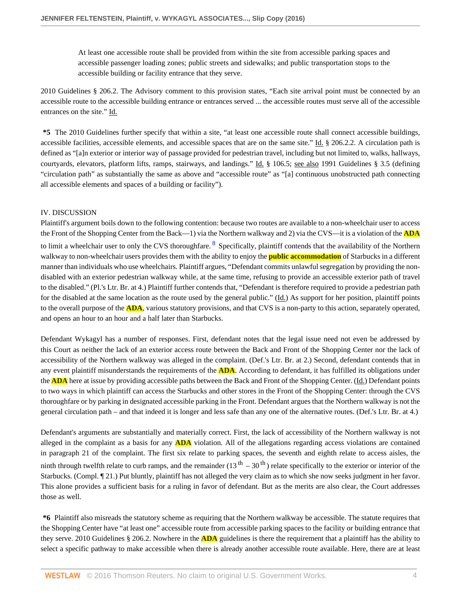At least one accessible route shall be provided from within the site from accessible parking spaces and accessible passenger loading zones; public streets and sidewalks; and public transportation stops to the accessible building or facility entrance that they serve.

2010 Guidelines § 206.2. The Advisory comment to this provision states, "Each site arrival point must be connected by an accessible route to the accessible building entrance or entrances served ... the accessible routes must serve all of the accessible entrances on the site." Id.

**\*5** The 2010 Guidelines further specify that within a site, "at least one accessible route shall connect accessible buildings, accessible facilities, accessible elements, and accessible spaces that are on the same site." Id. § 206.2.2. A circulation path is defined as "[a]n exterior or interior way of passage provided for pedestrian travel, including but not limited to, walks, hallways, courtyards, elevators, platform lifts, ramps, stairways, and landings." Id. § 106.5; see also 1991 Guidelines § 3.5 (defining "circulation path" as substantially the same as above and "accessible route" as "[a] continuous unobstructed path connecting all accessible elements and spaces of a building or facility").

## IV. DISCUSSION

<span id="page-3-0"></span>Plaintiff's argument boils down to the following contention: because two routes are available to a non-wheelchair user to access the Front of the Shopping Center from the Back—1) via the Northern walkway and 2) via the CVS—it is a violation of the **ADA** to limit a wheelchair user to only the CVS thoroughfare. <sup>[8](#page-5-7)</sup> Specifically, plaintiff contends that the availability of the Northern walkway to non-wheelchair users provides them with the ability to enjoy the **public accommodation** of Starbucks in a different manner than individuals who use wheelchairs. Plaintiff argues, "Defendant commits unlawful segregation by providing the nondisabled with an exterior pedestrian walkway while, at the same time, refusing to provide an accessible exterior path of travel to the disabled." (Pl.'s Ltr. Br. at 4.) Plaintiff further contends that, "Defendant is therefore required to provide a pedestrian path for the disabled at the same location as the route used by the general public." (Id.) As support for her position, plaintiff points to the overall purpose of the **ADA**, various statutory provisions, and that CVS is a non-party to this action, separately operated, and opens an hour to an hour and a half later than Starbucks.

Defendant Wykagyl has a number of responses. First, defendant notes that the legal issue need not even be addressed by this Court as neither the lack of an exterior access route between the Back and Front of the Shopping Center nor the lack of accessibility of the Northern walkway was alleged in the complaint. (Def.'s Ltr. Br. at 2.) Second, defendant contends that in any event plaintiff misunderstands the requirements of the **ADA**. According to defendant, it has fulfilled its obligations under the **ADA** here at issue by providing accessible paths between the Back and Front of the Shopping Center. (Id.) Defendant points to two ways in which plaintiff can access the Starbucks and other stores in the Front of the Shopping Center: through the CVS thoroughfare or by parking in designated accessible parking in the Front. Defendant argues that the Northern walkway is not the general circulation path – and that indeed it is longer and less safe than any one of the alternative routes. (Def.'s Ltr. Br. at 4.)

Defendant's arguments are substantially and materially correct. First, the lack of accessibility of the Northern walkway is not alleged in the complaint as a basis for any **ADA** violation. All of the allegations regarding access violations are contained in paragraph 21 of the complaint. The first six relate to parking spaces, the seventh and eighth relate to access aisles, the ninth through twelfth relate to curb ramps, and the remainder  $(13^{th} - 30^{th})$  relate specifically to the exterior or interior of the Starbucks. (Compl. ¶ 21.) Put bluntly, plaintiff has not alleged the very claim as to which she now seeks judgment in her favor. This alone provides a sufficient basis for a ruling in favor of defendant. But as the merits are also clear, the Court addresses those as well.

**\*6** Plaintiff also misreads the statutory scheme as requiring that the Northern walkway be accessible. The statute requires that the Shopping Center have "at least one" accessible route from accessible parking spaces to the facility or building entrance that they serve. 2010 Guidelines § 206.2. Nowhere in the **ADA** guidelines is there the requirement that a plaintiff has the ability to select a specific pathway to make accessible when there is already another accessible route available. Here, there are at least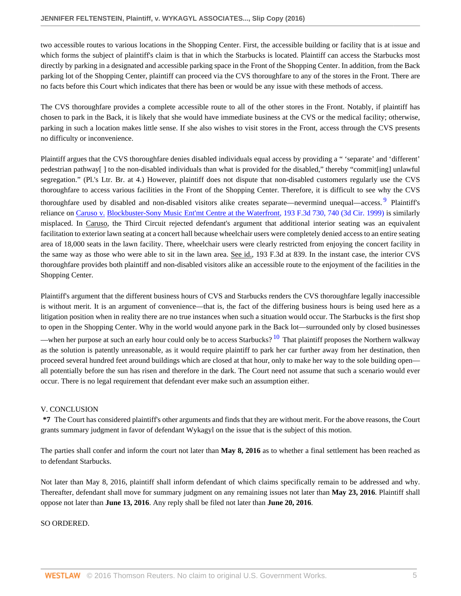two accessible routes to various locations in the Shopping Center. First, the accessible building or facility that is at issue and which forms the subject of plaintiff's claim is that in which the Starbucks is located. Plaintiff can access the Starbucks most directly by parking in a designated and accessible parking space in the Front of the Shopping Center. In addition, from the Back parking lot of the Shopping Center, plaintiff can proceed via the CVS thoroughfare to any of the stores in the Front. There are no facts before this Court which indicates that there has been or would be any issue with these methods of access.

The CVS thoroughfare provides a complete accessible route to all of the other stores in the Front. Notably, if plaintiff has chosen to park in the Back, it is likely that she would have immediate business at the CVS or the medical facility; otherwise, parking in such a location makes little sense. If she also wishes to visit stores in the Front, access through the CVS presents no difficulty or inconvenience.

<span id="page-4-0"></span>Plaintiff argues that the CVS thoroughfare denies disabled individuals equal access by providing a " 'separate' and 'different' pedestrian pathway[ ] to the non-disabled individuals than what is provided for the disabled," thereby "commit[ing] unlawful segregation." (Pl.'s Ltr. Br. at 4.) However, plaintiff does not dispute that non-disabled customers regularly use the CVS thoroughfare to access various facilities in the Front of the Shopping Center. Therefore, it is difficult to see why the CVS thoroughfare used by disabled and non-disabled visitors alike creates separate—nevermind unequal—access. <sup>[9](#page-5-8)</sup> Plaintiff's reliance on Caruso v. [Blockbuster-Sony Music Ent'mt Centre at the Waterfront, 193 F.3d 730, 740 \(3d Cir. 1999\)](http://www.westlaw.com/Link/Document/FullText?findType=Y&serNum=1999250489&pubNum=0000506&originatingDoc=I6e19fef012ca11e68200cc8fe940080b&refType=RP&fi=co_pp_sp_506_740&originationContext=document&vr=3.0&rs=cblt1.0&transitionType=DocumentItem&contextData=(sc.AlertsClip)#co_pp_sp_506_740) is similarly misplaced. In Caruso, the Third Circuit rejected defendant's argument that additional interior seating was an equivalent facilitation to exterior lawn seating at a concert hall because wheelchair users were completely denied access to an entire seating area of 18,000 seats in the lawn facility. There, wheelchair users were clearly restricted from enjoying the concert facility in the same way as those who were able to sit in the lawn area. See id., 193 F.3d at 839. In the instant case, the interior CVS thoroughfare provides both plaintiff and non-disabled visitors alike an accessible route to the enjoyment of the facilities in the Shopping Center.

Plaintiff's argument that the different business hours of CVS and Starbucks renders the CVS thoroughfare legally inaccessible is without merit. It is an argument of convenience—that is, the fact of the differing business hours is being used here as a litigation position when in reality there are no true instances when such a situation would occur. The Starbucks is the first shop to open in the Shopping Center. Why in the world would anyone park in the Back lot—surrounded only by closed businesses

<span id="page-4-1"></span>—when her purpose at such an early hour could only be to access Starbucks?  $10$  That plaintiff proposes the Northern walkway as the solution is patently unreasonable, as it would require plaintiff to park her car further away from her destination, then proceed several hundred feet around buildings which are closed at that hour, only to make her way to the sole building open all potentially before the sun has risen and therefore in the dark. The Court need not assume that such a scenario would ever occur. There is no legal requirement that defendant ever make such an assumption either.

## V. CONCLUSION

**\*7** The Court has considered plaintiff's other arguments and finds that they are without merit. For the above reasons, the Court grants summary judgment in favor of defendant Wykagyl on the issue that is the subject of this motion.

The parties shall confer and inform the court not later than **May 8, 2016** as to whether a final settlement has been reached as to defendant Starbucks.

Not later than May 8, 2016, plaintiff shall inform defendant of which claims specifically remain to be addressed and why. Thereafter, defendant shall move for summary judgment on any remaining issues not later than **May 23, 2016**. Plaintiff shall oppose not later than **June 13, 2016**. Any reply shall be filed not later than **June 20, 2016**.

SO ORDERED.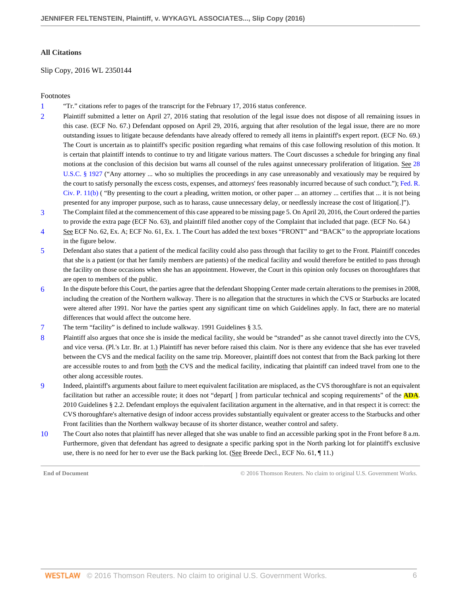#### **All Citations**

Slip Copy, 2016 WL 2350144

## Footnotes

- <span id="page-5-0"></span>[1](#page-0-0) "Tr." citations refer to pages of the transcript for the February 17, 2016 status conference.
- <span id="page-5-1"></span>[2](#page-0-1) Plaintiff submitted a letter on April 27, 2016 stating that resolution of the legal issue does not dispose of all remaining issues in this case. (ECF No. 67.) Defendant opposed on April 29, 2016, arguing that after resolution of the legal issue, there are no more outstanding issues to litigate because defendants have already offered to remedy all items in plaintiff's expert report. (ECF No. 69.) The Court is uncertain as to plaintiff's specific position regarding what remains of this case following resolution of this motion. It is certain that plaintiff intends to continue to try and litigate various matters. The Court discusses a schedule for bringing any final motions at the conclusion of this decision but warns all counsel of the rules against unnecessary proliferation of litigation. See [28](http://www.westlaw.com/Link/Document/FullText?findType=L&pubNum=1000546&cite=28USCAS1927&originatingDoc=I6e19fef012ca11e68200cc8fe940080b&refType=LQ&originationContext=document&vr=3.0&rs=cblt1.0&transitionType=DocumentItem&contextData=(sc.AlertsClip)) [U.S.C. § 1927](http://www.westlaw.com/Link/Document/FullText?findType=L&pubNum=1000546&cite=28USCAS1927&originatingDoc=I6e19fef012ca11e68200cc8fe940080b&refType=LQ&originationContext=document&vr=3.0&rs=cblt1.0&transitionType=DocumentItem&contextData=(sc.AlertsClip)) ("Any attorney ... who so multiplies the proceedings in any case unreasonably and vexatiously may be required by the court to satisfy personally the excess costs, expenses, and attorneys' fees reasonably incurred because of such conduct."); [Fed. R.](http://www.westlaw.com/Link/Document/FullText?findType=L&pubNum=1000600&cite=USFRCPR11&originatingDoc=I6e19fef012ca11e68200cc8fe940080b&refType=LQ&originationContext=document&vr=3.0&rs=cblt1.0&transitionType=DocumentItem&contextData=(sc.AlertsClip)) [Civ. P. 11\(b\)](http://www.westlaw.com/Link/Document/FullText?findType=L&pubNum=1000600&cite=USFRCPR11&originatingDoc=I6e19fef012ca11e68200cc8fe940080b&refType=LQ&originationContext=document&vr=3.0&rs=cblt1.0&transitionType=DocumentItem&contextData=(sc.AlertsClip)) ( "By presenting to the court a pleading, written motion, or other paper ... an attorney ... certifies that ... it is not being presented for any improper purpose, such as to harass, cause unnecessary delay, or needlessly increase the cost of litigation[.]").
- <span id="page-5-2"></span>[3](#page-1-0) The Complaint filed at the commencement of this case appeared to be missing page 5. On April 20, 2016, the Court ordered the parties to provide the extra page (ECF No. 63), and plaintiff filed another copy of the Complaint that included that page. (ECF No. 64.)
- <span id="page-5-3"></span>[4](#page-1-1) See ECF No. 62, Ex. A; ECF No. 61, Ex. 1. The Court has added the text boxes "FRONT" and "BACK" to the appropriate locations in the figure below.
- <span id="page-5-4"></span>[5](#page-1-2) Defendant also states that a patient of the medical facility could also pass through that facility to get to the Front. Plaintiff concedes that she is a patient (or that her family members are patients) of the medical facility and would therefore be entitled to pass through the facility on those occasions when she has an appointment. However, the Court in this opinion only focuses on thoroughfares that are open to members of the public.
- <span id="page-5-5"></span>[6](#page-2-0) In the dispute before this Court, the parties agree that the defendant Shopping Center made certain alterations to the premises in 2008, including the creation of the Northern walkway. There is no allegation that the structures in which the CVS or Starbucks are located were altered after 1991. Nor have the parties spent any significant time on which Guidelines apply. In fact, there are no material differences that would affect the outcome here.
- <span id="page-5-6"></span>[7](#page-2-1) The term "facility" is defined to include walkway. 1991 Guidelines § 3.5.
- <span id="page-5-7"></span>[8](#page-3-0) Plaintiff also argues that once she is inside the medical facility, she would be "stranded" as she cannot travel directly into the CVS, and vice versa. (Pl.'s Ltr. Br. at 1.) Plaintiff has never before raised this claim. Nor is there any evidence that she has ever traveled between the CVS and the medical facility on the same trip. Moreover, plaintiff does not contest that from the Back parking lot there are accessible routes to and from both the CVS and the medical facility, indicating that plaintiff can indeed travel from one to the other along accessible routes.
- <span id="page-5-8"></span>[9](#page-4-0) Indeed, plaintiff's arguments about failure to meet equivalent facilitation are misplaced, as the CVS thoroughfare is not an equivalent facilitation but rather an accessible route; it does not "depart[ ] from particular technical and scoping requirements" of the **ADA**. 2010 Guidelines § 2.2. Defendant employs the equivalent facilitation argument in the alternative, and in that respect it is correct: the CVS thoroughfare's alternative design of indoor access provides substantially equivalent or greater access to the Starbucks and other Front facilities than the Northern walkway because of its shorter distance, weather control and safety.
- <span id="page-5-9"></span>[10](#page-4-1) The Court also notes that plaintiff has never alleged that she was unable to find an accessible parking spot in the Front before 8 a.m. Furthermore, given that defendant has agreed to designate a specific parking spot in the North parking lot for plaintiff's exclusive use, there is no need for her to ever use the Back parking lot. (See Breede Decl., ECF No. 61, ¶ 11.)

**End of Document** C 2016 Thomson Reuters. No claim to original U.S. Government Works.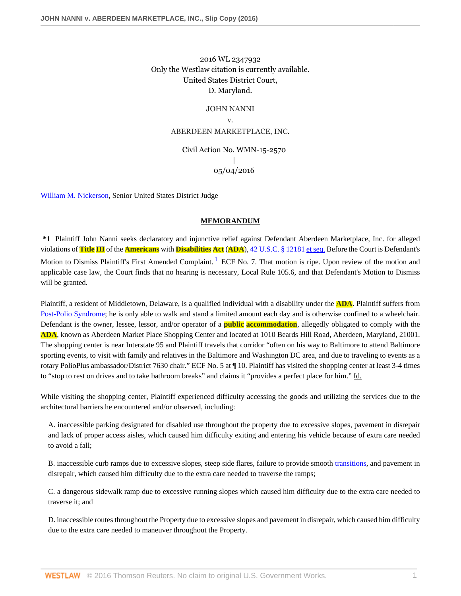## 2016 WL 2347932 Only the Westlaw citation is currently available. United States District Court, D. Maryland.

#### JOHN NANNI

v.

## ABERDEEN MARKETPLACE, INC.

## Civil Action No. WMN-15-2570 | 05/04/2016

[William M. Nickerson](http://www.westlaw.com/Link/Document/FullText?findType=h&pubNum=176284&cite=0213023001&originatingDoc=If792012012aa11e6a3c8ab9852eeabcd&refType=RQ&originationContext=document&vr=3.0&rs=cblt1.0&transitionType=DocumentItem&contextData=(sc.AlertsClip)), Senior United States District Judge

## <span id="page-6-0"></span>**MEMORANDUM**

**\*1** Plaintiff John Nanni seeks declaratory and injunctive relief against Defendant Aberdeen Marketplace, Inc. for alleged violations of **Title III** of the **Americans** with **Disabilities Act** (**ADA**), [42 U.S.C. § 12181 et seq.](http://www.westlaw.com/Link/Document/FullText?findType=L&pubNum=1000546&cite=42USCAS12181&originatingDoc=If792012012aa11e6a3c8ab9852eeabcd&refType=LQ&originationContext=document&vr=3.0&rs=cblt1.0&transitionType=DocumentItem&contextData=(sc.AlertsClip)) Before the Court is Defendant's Motion to Dismiss Plaintiff's First Amended Complaint. <sup>[1](#page-9-0)</sup> ECF No. 7. That motion is ripe. Upon review of the motion and applicable case law, the Court finds that no hearing is necessary, Local Rule 105.6, and that Defendant's Motion to Dismiss will be granted.

Plaintiff, a resident of Middletown, Delaware, is a qualified individual with a disability under the **ADA**. Plaintiff suffers from [Post-Polio Syndrome](http://www.westlaw.com/Link/Document/FullText?entityType=disease&entityId=Ic6c70bf8475411db9765f9243f53508a&originationContext=document&transitionType=DocumentItem&contextData=(sc.Default)&vr=3.0&rs=cblt1.0); he is only able to walk and stand a limited amount each day and is otherwise confined to a wheelchair. Defendant is the owner, lessee, lessor, and/or operator of a **public accommodation**, allegedly obligated to comply with the **ADA**, known as Aberdeen Market Place Shopping Center and located at 1010 Beards Hill Road, Aberdeen, Maryland, 21001. The shopping center is near Interstate 95 and Plaintiff travels that corridor "often on his way to Baltimore to attend Baltimore sporting events, to visit with family and relatives in the Baltimore and Washington DC area, and due to traveling to events as a rotary PolioPlus ambassador/District 7630 chair." ECF No. 5 at ¶ 10. Plaintiff has visited the shopping center at least 3-4 times to "stop to rest on drives and to take bathroom breaks" and claims it "provides a perfect place for him." Id.

While visiting the shopping center, Plaintiff experienced difficulty accessing the goods and utilizing the services due to the architectural barriers he encountered and/or observed, including:

A. inaccessible parking designated for disabled use throughout the property due to excessive slopes, pavement in disrepair and lack of proper access aisles, which caused him difficulty exiting and entering his vehicle because of extra care needed to avoid a fall;

B. inaccessible curb ramps due to excessive slopes, steep side flares, failure to provide smooth [transitions,](http://www.westlaw.com/Link/Document/FullText?entityType=disease&entityId=I777c6aba995711de9b8c850332338889&originationContext=document&transitionType=DocumentItem&contextData=(sc.Default)&vr=3.0&rs=cblt1.0) and pavement in disrepair, which caused him difficulty due to the extra care needed to traverse the ramps;

C. a dangerous sidewalk ramp due to excessive running slopes which caused him difficulty due to the extra care needed to traverse it; and

D. inaccessible routes throughout the Property due to excessive slopes and pavement in disrepair, which caused him difficulty due to the extra care needed to maneuver throughout the Property.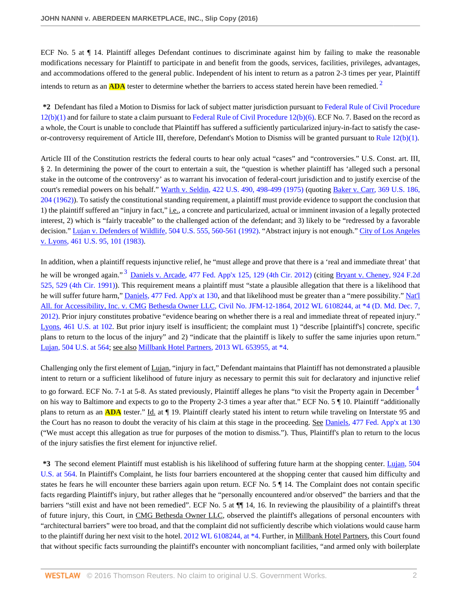ECF No. 5 at ¶ 14. Plaintiff alleges Defendant continues to discriminate against him by failing to make the reasonable modifications necessary for Plaintiff to participate in and benefit from the goods, services, facilities, privileges, advantages, and accommodations offered to the general public. Independent of his intent to return as a patron 2-3 times per year, Plaintiff intends to return as an **ADA** tester to determine whether the barriers to access stated herein have been remedied. [2](#page-9-1)

<span id="page-7-0"></span>**\*2** Defendant has filed a Motion to Dismiss for lack of subject matter jurisdiction pursuant to [Federal Rule of Civil Procedure](http://www.westlaw.com/Link/Document/FullText?findType=L&pubNum=1000600&cite=USFRCPR12&originatingDoc=If792012012aa11e6a3c8ab9852eeabcd&refType=LQ&originationContext=document&vr=3.0&rs=cblt1.0&transitionType=DocumentItem&contextData=(sc.AlertsClip))  $12(b)(1)$  and for failure to state a claim pursuant to Federal Rule of Civil Procedure  $12(b)(6)$ . ECF No. 7. Based on the record as a whole, the Court is unable to conclude that Plaintiff has suffered a sufficiently particularized injury-in-fact to satisfy the caseor-controversy requirement of Article III, therefore, Defendant's Motion to Dismiss will be granted pursuant to Rule  $12(b)(1)$ .

Article III of the Constitution restricts the federal courts to hear only actual "cases" and "controversies." U.S. Const. art. III, § 2. In determining the power of the court to entertain a suit, the "question is whether plaintiff has 'alleged such a personal stake in the outcome of the controversy' as to warrant his invocation of federal-court jurisdiction and to justify exercise of the court's remedial powers on his behalf." [Warth v. Seldin, 422 U.S. 490, 498-499 \(1975\)](http://www.westlaw.com/Link/Document/FullText?findType=Y&serNum=1975129820&pubNum=0000780&originatingDoc=If792012012aa11e6a3c8ab9852eeabcd&refType=RP&fi=co_pp_sp_780_498&originationContext=document&vr=3.0&rs=cblt1.0&transitionType=DocumentItem&contextData=(sc.AlertsClip)#co_pp_sp_780_498) (quoting [Baker v. Carr, 369 U.S. 186,](http://www.westlaw.com/Link/Document/FullText?findType=Y&serNum=1962127595&pubNum=0000780&originatingDoc=If792012012aa11e6a3c8ab9852eeabcd&refType=RP&fi=co_pp_sp_780_204&originationContext=document&vr=3.0&rs=cblt1.0&transitionType=DocumentItem&contextData=(sc.AlertsClip)#co_pp_sp_780_204) [204 \(1962\)\)](http://www.westlaw.com/Link/Document/FullText?findType=Y&serNum=1962127595&pubNum=0000780&originatingDoc=If792012012aa11e6a3c8ab9852eeabcd&refType=RP&fi=co_pp_sp_780_204&originationContext=document&vr=3.0&rs=cblt1.0&transitionType=DocumentItem&contextData=(sc.AlertsClip)#co_pp_sp_780_204). To satisfy the constitutional standing requirement, a plaintiff must provide evidence to support the conclusion that 1) the plaintiff suffered an "injury in fact," i.e., a concrete and particularized, actual or imminent invasion of a legally protected interest, 2) which is "fairly traceable" to the challenged action of the defendant; and 3) likely to be "redressed by a favorable decision." Lujan v. Defenders of [Wildlife, 504 U.S. 555, 560-561 \(1992\).](http://www.westlaw.com/Link/Document/FullText?findType=Y&serNum=1992106162&pubNum=0000780&originatingDoc=If792012012aa11e6a3c8ab9852eeabcd&refType=RP&fi=co_pp_sp_780_560&originationContext=document&vr=3.0&rs=cblt1.0&transitionType=DocumentItem&contextData=(sc.AlertsClip)#co_pp_sp_780_560) "Abstract injury is not enough." [City of Los Angeles](http://www.westlaw.com/Link/Document/FullText?findType=Y&serNum=1983118235&pubNum=0000780&originatingDoc=If792012012aa11e6a3c8ab9852eeabcd&refType=RP&fi=co_pp_sp_780_101&originationContext=document&vr=3.0&rs=cblt1.0&transitionType=DocumentItem&contextData=(sc.AlertsClip)#co_pp_sp_780_101) [v. Lyons, 461 U.S. 95, 101 \(1983\).](http://www.westlaw.com/Link/Document/FullText?findType=Y&serNum=1983118235&pubNum=0000780&originatingDoc=If792012012aa11e6a3c8ab9852eeabcd&refType=RP&fi=co_pp_sp_780_101&originationContext=document&vr=3.0&rs=cblt1.0&transitionType=DocumentItem&contextData=(sc.AlertsClip)#co_pp_sp_780_101)

<span id="page-7-1"></span>In addition, when a plaintiff requests injunctive relief, he "must allege and prove that there is a 'real and immediate threat' that he will be wronged again."<sup>[3](#page-9-2)</sup> [Daniels v. Arcade, 477 Fed. App'x 125, 129 \(4th Cir. 2012\)](http://www.westlaw.com/Link/Document/FullText?findType=Y&serNum=2027556296&pubNum=0006538&originatingDoc=If792012012aa11e6a3c8ab9852eeabcd&refType=RP&fi=co_pp_sp_6538_129&originationContext=document&vr=3.0&rs=cblt1.0&transitionType=DocumentItem&contextData=(sc.AlertsClip)#co_pp_sp_6538_129) (citing [Bryant v. Cheney, 924 F.2d](http://www.westlaw.com/Link/Document/FullText?findType=Y&serNum=1991028705&pubNum=0000350&originatingDoc=If792012012aa11e6a3c8ab9852eeabcd&refType=RP&fi=co_pp_sp_350_529&originationContext=document&vr=3.0&rs=cblt1.0&transitionType=DocumentItem&contextData=(sc.AlertsClip)#co_pp_sp_350_529) [525, 529 \(4th Cir. 1991\)\)](http://www.westlaw.com/Link/Document/FullText?findType=Y&serNum=1991028705&pubNum=0000350&originatingDoc=If792012012aa11e6a3c8ab9852eeabcd&refType=RP&fi=co_pp_sp_350_529&originationContext=document&vr=3.0&rs=cblt1.0&transitionType=DocumentItem&contextData=(sc.AlertsClip)#co_pp_sp_350_529). This requirement means a plaintiff must "state a plausible allegation that there is a likelihood that he will suffer future harm," [Daniels, 477 Fed. App'x at 130](http://www.westlaw.com/Link/Document/FullText?findType=Y&serNum=2027556296&pubNum=0006538&originatingDoc=If792012012aa11e6a3c8ab9852eeabcd&refType=RP&fi=co_pp_sp_6538_130&originationContext=document&vr=3.0&rs=cblt1.0&transitionType=DocumentItem&contextData=(sc.AlertsClip)#co_pp_sp_6538_130), and that likelihood must be greater than a "mere possibility." [Nat'l](http://www.westlaw.com/Link/Document/FullText?findType=Y&serNum=2029386956&pubNum=0000999&originatingDoc=If792012012aa11e6a3c8ab9852eeabcd&refType=RP&originationContext=document&vr=3.0&rs=cblt1.0&transitionType=DocumentItem&contextData=(sc.AlertsClip)) All. for Accessibility, Inc. v. CMG [Bethesda Owner LLC, Civil No. JFM-12-1864, 2012 WL 6108244, at \\*4 \(D. Md. Dec. 7,](http://www.westlaw.com/Link/Document/FullText?findType=Y&serNum=2029386956&pubNum=0000999&originatingDoc=If792012012aa11e6a3c8ab9852eeabcd&refType=RP&originationContext=document&vr=3.0&rs=cblt1.0&transitionType=DocumentItem&contextData=(sc.AlertsClip)) [2012\)](http://www.westlaw.com/Link/Document/FullText?findType=Y&serNum=2029386956&pubNum=0000999&originatingDoc=If792012012aa11e6a3c8ab9852eeabcd&refType=RP&originationContext=document&vr=3.0&rs=cblt1.0&transitionType=DocumentItem&contextData=(sc.AlertsClip)). Prior injury constitutes probative "evidence bearing on whether there is a real and immediate threat of repeated injury." [Lyons, 461 U.S. at 102](http://www.westlaw.com/Link/Document/FullText?findType=Y&serNum=1983118235&pubNum=0000780&originatingDoc=If792012012aa11e6a3c8ab9852eeabcd&refType=RP&fi=co_pp_sp_780_102&originationContext=document&vr=3.0&rs=cblt1.0&transitionType=DocumentItem&contextData=(sc.AlertsClip)#co_pp_sp_780_102). But prior injury itself is insufficient; the complaint must 1) "describe [plaintiff's] concrete, specific plans to return to the locus of the injury" and 2) "indicate that the plaintiff is likely to suffer the same injuries upon return." [Lujan, 504 U.S. at 564;](http://www.westlaw.com/Link/Document/FullText?findType=Y&serNum=1992106162&pubNum=0000780&originatingDoc=If792012012aa11e6a3c8ab9852eeabcd&refType=RP&fi=co_pp_sp_780_564&originationContext=document&vr=3.0&rs=cblt1.0&transitionType=DocumentItem&contextData=(sc.AlertsClip)#co_pp_sp_780_564) see also [Millbank Hotel Partners, 2013 WL 653955, at \\*4.](http://www.westlaw.com/Link/Document/FullText?findType=Y&serNum=2029926122&pubNum=0000999&originatingDoc=If792012012aa11e6a3c8ab9852eeabcd&refType=RP&originationContext=document&vr=3.0&rs=cblt1.0&transitionType=DocumentItem&contextData=(sc.AlertsClip))

<span id="page-7-2"></span>Challenging only the first element of Lujan, "injury in fact," Defendant maintains that Plaintiff has not demonstrated a plausible intent to return or a sufficient likelihood of future injury as necessary to permit this suit for declaratory and injunctive relief to go forward. ECF No. 7-1 at 5-8. As stated previously, Plaintiff alleges he plans "to visit the Property again in December <sup>[4](#page-9-3)</sup> on his way to Baltimore and expects to go to the Property 2-3 times a year after that." ECF No. 5 ¶ 10. Plaintiff "additionally plans to return as an **ADA** tester." Id. at  $\P$  19. Plaintiff clearly stated his intent to return while traveling on Interstate 95 and the Court has no reason to doubt the veracity of his claim at this stage in the proceeding. See [Daniels, 477 Fed. App'x at 130](http://www.westlaw.com/Link/Document/FullText?findType=Y&serNum=2027556296&pubNum=0006538&originatingDoc=If792012012aa11e6a3c8ab9852eeabcd&refType=RP&fi=co_pp_sp_6538_130&originationContext=document&vr=3.0&rs=cblt1.0&transitionType=DocumentItem&contextData=(sc.AlertsClip)#co_pp_sp_6538_130) ("We must accept this allegation as true for purposes of the motion to dismiss."). Thus, Plaintiff's plan to return to the locus of the injury satisfies the first element for injunctive relief.

**\*3** The second element Plaintiff must establish is his likelihood of suffering future harm at the shopping center. [Lujan, 504](http://www.westlaw.com/Link/Document/FullText?findType=Y&serNum=1992106162&pubNum=0000780&originatingDoc=If792012012aa11e6a3c8ab9852eeabcd&refType=RP&fi=co_pp_sp_780_564&originationContext=document&vr=3.0&rs=cblt1.0&transitionType=DocumentItem&contextData=(sc.AlertsClip)#co_pp_sp_780_564) [U.S. at 564](http://www.westlaw.com/Link/Document/FullText?findType=Y&serNum=1992106162&pubNum=0000780&originatingDoc=If792012012aa11e6a3c8ab9852eeabcd&refType=RP&fi=co_pp_sp_780_564&originationContext=document&vr=3.0&rs=cblt1.0&transitionType=DocumentItem&contextData=(sc.AlertsClip)#co_pp_sp_780_564). In Plaintiff's Complaint, he lists four barriers encountered at the shopping center that caused him difficulty and states he fears he will encounter these barriers again upon return. ECF No. 5 ¶ 14. The Complaint does not contain specific facts regarding Plaintiff's injury, but rather alleges that he "personally encountered and/or observed" the barriers and that the barriers "still exist and have not been remedied". ECF No. 5 at  $\P\P$  14, 16. In reviewing the plausibility of a plaintiff's threat of future injury, this Court, in CMG Bethesda Owner LLC, observed the plaintiff's allegations of personal encounters with "architectural barriers" were too broad, and that the complaint did not sufficiently describe which violations would cause harm to the plaintiff during her next visit to the hotel. [2012 WL 6108244, at \\*4](http://www.westlaw.com/Link/Document/FullText?findType=Y&serNum=2029386956&pubNum=0000999&originatingDoc=If792012012aa11e6a3c8ab9852eeabcd&refType=RP&originationContext=document&vr=3.0&rs=cblt1.0&transitionType=DocumentItem&contextData=(sc.AlertsClip)). Further, in Millbank Hotel Partners, this Court found that without specific facts surrounding the plaintiff's encounter with noncompliant facilities, "and armed only with boilerplate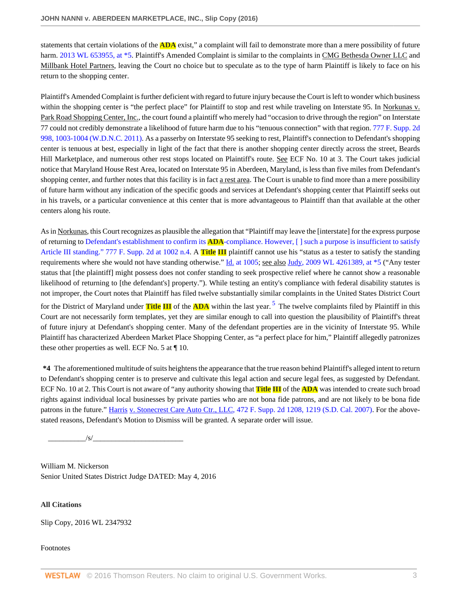statements that certain violations of the **ADA** exist," a complaint will fail to demonstrate more than a mere possibility of future harm. [2013 WL 653955, at \\*5.](http://www.westlaw.com/Link/Document/FullText?findType=Y&serNum=2029926122&pubNum=0000999&originatingDoc=If792012012aa11e6a3c8ab9852eeabcd&refType=RP&originationContext=document&vr=3.0&rs=cblt1.0&transitionType=DocumentItem&contextData=(sc.AlertsClip)) Plaintiff's Amended Complaint is similar to the complaints in CMG Bethesda Owner LLC and Millbank Hotel Partners, leaving the Court no choice but to speculate as to the type of harm Plaintiff is likely to face on his return to the shopping center.

Plaintiff's Amended Complaint is further deficient with regard to future injury because the Court is left to wonder which business within the shopping center is "the perfect place" for Plaintiff to stop and rest while traveling on Interstate 95. In Norkunas v. Park Road Shopping Center, Inc., the court found a plaintiff who merely had "occasion to drive through the region" on Interstate 77 could not credibly demonstrate a likelihood of future harm due to his "tenuous connection" with that region. [777 F. Supp. 2d](http://www.westlaw.com/Link/Document/FullText?findType=Y&serNum=2025080051&pubNum=0004637&originatingDoc=If792012012aa11e6a3c8ab9852eeabcd&refType=RP&fi=co_pp_sp_4637_1003&originationContext=document&vr=3.0&rs=cblt1.0&transitionType=DocumentItem&contextData=(sc.AlertsClip)#co_pp_sp_4637_1003) [998, 1003-1004 \(W.D.N.C. 2011\)](http://www.westlaw.com/Link/Document/FullText?findType=Y&serNum=2025080051&pubNum=0004637&originatingDoc=If792012012aa11e6a3c8ab9852eeabcd&refType=RP&fi=co_pp_sp_4637_1003&originationContext=document&vr=3.0&rs=cblt1.0&transitionType=DocumentItem&contextData=(sc.AlertsClip)#co_pp_sp_4637_1003). As a passerby on Interstate 95 seeking to rest, Plaintiff's connection to Defendant's shopping center is tenuous at best, especially in light of the fact that there is another shopping center directly across the street, Beards Hill Marketplace, and numerous other rest stops located on Plaintiff's route. See ECF No. 10 at 3. The Court takes judicial notice that Maryland House Rest Area, located on Interstate 95 in Aberdeen, Maryland, is less than five miles from Defendant's shopping center, and further notes that this facility is in fact a rest area. The Court is unable to find more than a mere possibility of future harm without any indication of the specific goods and services at Defendant's shopping center that Plaintiff seeks out in his travels, or a particular convenience at this center that is more advantageous to Plaintiff than that available at the other centers along his route.

As in Norkunas, this Court recognizes as plausible the allegation that "Plaintiff may leave the [interstate] for the express purpose of returning to Defendant's establishment to confirm its **ADA**[-compliance. However, \[ \] such a purpose is insufficient to satisfy](http://www.westlaw.com/Link/Document/FullText?findType=Y&serNum=2025080051&pubNum=0004637&originatingDoc=If792012012aa11e6a3c8ab9852eeabcd&refType=RP&fi=co_pp_sp_4637_1002&originationContext=document&vr=3.0&rs=cblt1.0&transitionType=DocumentItem&contextData=(sc.AlertsClip)#co_pp_sp_4637_1002) [Article III standing." 777 F. Supp. 2d at 1002 n.4.](http://www.westlaw.com/Link/Document/FullText?findType=Y&serNum=2025080051&pubNum=0004637&originatingDoc=If792012012aa11e6a3c8ab9852eeabcd&refType=RP&fi=co_pp_sp_4637_1002&originationContext=document&vr=3.0&rs=cblt1.0&transitionType=DocumentItem&contextData=(sc.AlertsClip)#co_pp_sp_4637_1002) A **Title III** plaintiff cannot use his "status as a tester to satisfy the standing requirements where she would not have standing otherwise." [Id. at 1005](http://www.westlaw.com/Link/Document/FullText?findType=Y&serNum=2025080051&pubNum=0004637&originatingDoc=If792012012aa11e6a3c8ab9852eeabcd&refType=RP&fi=co_pp_sp_4637_1005&originationContext=document&vr=3.0&rs=cblt1.0&transitionType=DocumentItem&contextData=(sc.AlertsClip)#co_pp_sp_4637_1005); see also [Judy, 2009 WL 4261389, at \\*5](http://www.westlaw.com/Link/Document/FullText?findType=Y&serNum=2020562598&pubNum=0000999&originatingDoc=If792012012aa11e6a3c8ab9852eeabcd&refType=RP&originationContext=document&vr=3.0&rs=cblt1.0&transitionType=DocumentItem&contextData=(sc.AlertsClip)) ("Any tester status that [the plaintiff] might possess does not confer standing to seek prospective relief where he cannot show a reasonable likelihood of returning to [the defendant's] property."). While testing an entity's compliance with federal disability statutes is not improper, the Court notes that Plaintiff has filed twelve substantially similar complaints in the United States District Court for the District of Maryland under **Title III** of the **ADA** within the last year. [5](#page-9-4) The twelve complaints filed by Plaintiff in this Court are not necessarily form templates, yet they are similar enough to call into question the plausibility of Plaintiff's threat of future injury at Defendant's shopping center. Many of the defendant properties are in the vicinity of Interstate 95. While Plaintiff has characterized Aberdeen Market Place Shopping Center, as "a perfect place for him," Plaintiff allegedly patronizes these other properties as well. ECF No. 5 at  $\P$  10.

<span id="page-8-0"></span>**\*4** The aforementioned multitude of suits heightens the appearance that the true reason behind Plaintiff's alleged intent to return to Defendant's shopping center is to preserve and cultivate this legal action and secure legal fees, as suggested by Defendant. ECF No. 10 at 2. This Court is not aware of "any authority showing that **Title III** of the **ADA** was intended to create such broad rights against individual local businesses by private parties who are not bona fide patrons, and are not likely to be bona fide patrons in the future." Harris y. Stonecrest Care Auto Ctr., LLC, 472 F. Supp. 2d 1208, 1219 (S.D. Cal. 2007). For the abovestated reasons, Defendant's Motion to Dismiss will be granted. A separate order will issue.

\_\_\_\_\_\_\_\_\_\_/s/\_\_\_\_\_\_\_\_\_\_\_\_\_\_\_\_\_\_\_\_\_\_\_\_

William M. Nickerson Senior United States District Judge DATED: May 4, 2016

**All Citations**

Slip Copy, 2016 WL 2347932

#### Footnotes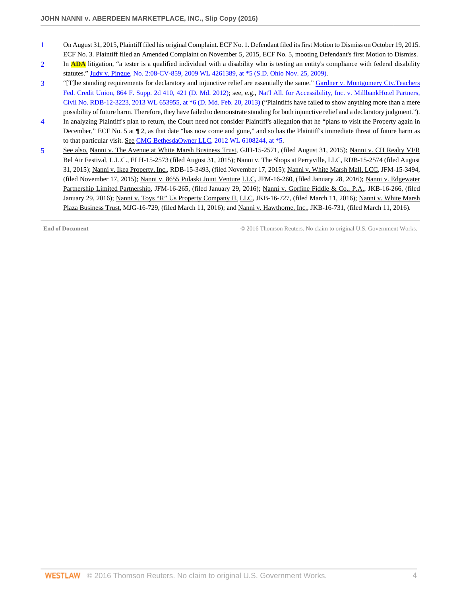- <span id="page-9-0"></span>[1](#page-6-0) On August 31, 2015, Plaintiff filed his original Complaint. ECF No. 1. Defendant filed its first Motion to Dismiss on October 19, 2015. ECF No. 3. Plaintiff filed an Amended Complaint on November 5, 2015, ECF No. 5, mooting Defendant's first Motion to Dismiss.
- <span id="page-9-1"></span>[2](#page-7-0) In **ADA** litigation, "a tester is a qualified individual with a disability who is testing an entity's compliance with federal disability statutes." [Judy v. Pingue, No. 2:08-CV-859, 2009 WL 4261389, at \\*5 \(S.D. Ohio Nov. 25, 2009\).](http://www.westlaw.com/Link/Document/FullText?findType=Y&serNum=2020562598&pubNum=0000999&originatingDoc=If792012012aa11e6a3c8ab9852eeabcd&refType=RP&originationContext=document&vr=3.0&rs=cblt1.0&transitionType=DocumentItem&contextData=(sc.AlertsClip))
- <span id="page-9-2"></span>[3](#page-7-1) "[T]he standing requirements for declaratory and injunctive relief are essentially the same." [Gardner v. Montgomery Cty.Teachers](http://www.westlaw.com/Link/Document/FullText?findType=Y&serNum=2027837653&pubNum=0004637&originatingDoc=If792012012aa11e6a3c8ab9852eeabcd&refType=RP&fi=co_pp_sp_4637_421&originationContext=document&vr=3.0&rs=cblt1.0&transitionType=DocumentItem&contextData=(sc.AlertsClip)#co_pp_sp_4637_421) [Fed. Credit Union, 864 F. Supp. 2d 410, 421 \(D. Md. 2012\);](http://www.westlaw.com/Link/Document/FullText?findType=Y&serNum=2027837653&pubNum=0004637&originatingDoc=If792012012aa11e6a3c8ab9852eeabcd&refType=RP&fi=co_pp_sp_4637_421&originationContext=document&vr=3.0&rs=cblt1.0&transitionType=DocumentItem&contextData=(sc.AlertsClip)#co_pp_sp_4637_421) see, e.g., [Nat'l All. for Accessibility, Inc. v. MillbankHotel Partners,](http://www.westlaw.com/Link/Document/FullText?findType=Y&serNum=2029926122&pubNum=0000999&originatingDoc=If792012012aa11e6a3c8ab9852eeabcd&refType=RP&originationContext=document&vr=3.0&rs=cblt1.0&transitionType=DocumentItem&contextData=(sc.AlertsClip)) [Civil No. RDB-12-3223, 2013 WL 653955, at \\*6 \(D. Md. Feb. 20, 2013\)](http://www.westlaw.com/Link/Document/FullText?findType=Y&serNum=2029926122&pubNum=0000999&originatingDoc=If792012012aa11e6a3c8ab9852eeabcd&refType=RP&originationContext=document&vr=3.0&rs=cblt1.0&transitionType=DocumentItem&contextData=(sc.AlertsClip)) ("Plaintiffs have failed to show anything more than a mere possibility of future harm. Therefore, they have failed to demonstrate standing for both injunctive relief and a declaratory judgment.").
- <span id="page-9-3"></span>[4](#page-7-2) In analyzing Plaintiff's plan to return, the Court need not consider Plaintiff's allegation that he "plans to visit the Property again in December," ECF No. 5 at  $\P$  2, as that date "has now come and gone," and so has the Plaintiff's immediate threat of future harm as to that particular visit. See [CMG BethesdaOwner LLC, 2012 WL 6108244, at \\*5](http://www.westlaw.com/Link/Document/FullText?findType=Y&serNum=2029386956&pubNum=0000999&originatingDoc=If792012012aa11e6a3c8ab9852eeabcd&refType=RP&originationContext=document&vr=3.0&rs=cblt1.0&transitionType=DocumentItem&contextData=(sc.AlertsClip)).
- <span id="page-9-4"></span>[5](#page-8-0) See also, Nanni v. The Avenue at White Marsh Business Trust, GJH-15-2571, (filed August 31, 2015); Nanni v. CH Realty VI/R Bel Air Festival, L.L.C., ELH-15-2573 (filed August 31, 2015); Nanni v. The Shops at Perryville, LLC, RDB-15-2574 (filed August 31, 2015); Nanni v. Ikea Property, Inc., RDB-15-3493, (filed November 17, 2015); Nanni v. White Marsh Mall, LCC, JFM-15-3494, (filed November 17, 2015); Nanni v. 8655 Pulaski Joint Venture LLC, JFM-16-260, (filed January 28, 2016); Nanni v. Edgewater Partnership Limited Partnership, JFM-16-265, (filed January 29, 2016); Nanni v. Gorfine Fiddle & Co., P.A., JKB-16-266, (filed January 29, 2016); Nanni v. Toys "R" Us Property Company II, LLC, JKB-16-727, (filed March 11, 2016); Nanni v. White Marsh Plaza Business Trust, MJG-16-729, (filed March 11, 2016); and Nanni v. Hawthorne, Inc., JKB-16-731, (filed March 11, 2016).

**End of Document** C 2016 Thomson Reuters. No claim to original U.S. Government Works.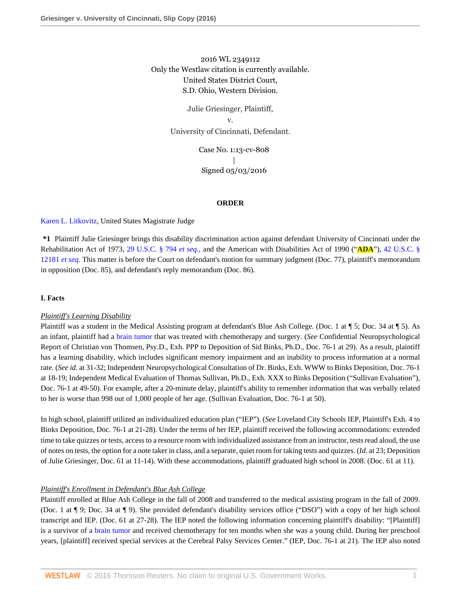## 2016 WL 2349112 Only the Westlaw citation is currently available. United States District Court, S.D. Ohio, Western Division.

Julie Griesinger, Plaintiff, v. University of Cincinnati, Defendant.

> Case No. 1:13-cv-808 | Signed 05/03/2016

#### **ORDER**

[Karen L. Litkovitz,](http://www.westlaw.com/Link/Document/FullText?findType=h&pubNum=176284&cite=0440700501&originatingDoc=I4b06c9b012b711e6a3c8ab9852eeabcd&refType=RQ&originationContext=document&vr=3.0&rs=cblt1.0&transitionType=DocumentItem&contextData=(sc.AlertsClip)) United States Magistrate Judge

**\*1** Plaintiff Julie Griesinger brings this disability discrimination action against defendant University of Cincinnati under the Rehabilitation Act of 1973, [29 U.S.C. § 794](http://www.westlaw.com/Link/Document/FullText?findType=L&pubNum=1000546&cite=29USCAS794&originatingDoc=I4b06c9b012b711e6a3c8ab9852eeabcd&refType=LQ&originationContext=document&vr=3.0&rs=cblt1.0&transitionType=DocumentItem&contextData=(sc.AlertsClip)) *et seq.*, and the American with Disabilities Act of 1990 ("**ADA**"), [42 U.S.C. §](http://www.westlaw.com/Link/Document/FullText?findType=L&pubNum=1000546&cite=42USCAS12181&originatingDoc=I4b06c9b012b711e6a3c8ab9852eeabcd&refType=LQ&originationContext=document&vr=3.0&rs=cblt1.0&transitionType=DocumentItem&contextData=(sc.AlertsClip)) [12181](http://www.westlaw.com/Link/Document/FullText?findType=L&pubNum=1000546&cite=42USCAS12181&originatingDoc=I4b06c9b012b711e6a3c8ab9852eeabcd&refType=LQ&originationContext=document&vr=3.0&rs=cblt1.0&transitionType=DocumentItem&contextData=(sc.AlertsClip)) *et seq.* This matter is before the Court on defendant's motion for summary judgment (Doc. 77), plaintiff's memorandum in opposition (Doc. 85), and defendant's reply memorandum (Doc. 86).

## **I. Facts**

#### *Plaintiff's Learning Disability*

Plaintiff was a student in the Medical Assisting program at defendant's Blue Ash College. (Doc. 1 at  $\P$  5; Doc. 34 at  $\P$  5). As an infant, plaintiff had a [brain tumor](http://www.westlaw.com/Link/Document/FullText?entityType=disease&entityId=Ic3045f22475411db9765f9243f53508a&originationContext=document&transitionType=DocumentItem&contextData=(sc.Default)&vr=3.0&rs=cblt1.0) that was treated with chemotherapy and surgery. (*See* Confidential Neuropsychological Report of Christian von Thomsen, Psy.D., Exh. PPP to Deposition of Sid Binks, Ph.D., Doc. 76-1 at 29). As a result, plaintiff has a learning disability, which includes significant memory impairment and an inability to process information at a normal rate. (*See id.* at 31-32; Independent Neuropsychological Consultation of Dr. Binks, Exh. WWW to Binks Deposition, Doc. 76-1 at 18-19; Independent Medical Evaluation of Thomas Sullivan, Ph.D., Exh. XXX to Binks Deposition ("Sullivan Evaluation"), Doc. 76-1 at 49-50). For example, after a 20-minute delay, plaintiff's ability to remember information that was verbally related to her is worse than 998 out of 1,000 people of her age. (Sullivan Evaluation, Doc. 76-1 at 50).

In high school, plaintiff utilized an individualized education plan ("IEP"). (*See* Loveland City Schools IEP, Plaintiff's Exh. 4 to Binks Deposition, Doc. 76-1 at 21-28). Under the terms of her IEP, plaintiff received the following accommodations: extended time to take quizzes or tests, access to a resource room with individualized assistance from an instructor, tests read aloud, the use of notes on tests, the option for a note taker in class, and a separate, quiet room for taking tests and quizzes. (*Id.* at 23; Deposition of Julie Griesinger, Doc. 61 at 11-14). With these accommodations, plaintiff graduated high school in 2008. (Doc. 61 at 11).

#### *Plaintiff's Enrollment in Defendant's Blue Ash College*

Plaintiff enrolled at Blue Ash College in the fall of 2008 and transferred to the medical assisting program in the fall of 2009. (Doc. 1 at ¶ 9; Doc. 34 at ¶ 9). She provided defendant's disability services office ("DSO") with a copy of her high school transcript and IEP. (Doc. 61 at 27-28). The IEP noted the following information concerning plaintiff's disability: "[Plaintiff] is a survivor of a [brain tumor](http://www.westlaw.com/Link/Document/FullText?entityType=disease&entityId=Ic3045f22475411db9765f9243f53508a&originationContext=document&transitionType=DocumentItem&contextData=(sc.Default)&vr=3.0&rs=cblt1.0) and received chemotherapy for ten months when she was a young child. During her preschool years, [plaintiff] received special services at the Cerebral Palsy Services Center." (IEP, Doc. 76-1 at 21). The IEP also noted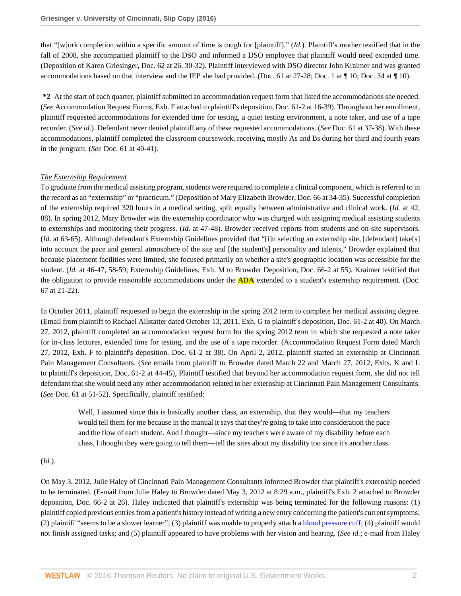that "[w]ork completion within a specific amount of time is tough for [plaintiff]." (*Id.*). Plaintiff's mother testified that in the fall of 2008, she accompanied plaintiff to the DSO and informed a DSO employee that plaintiff would need extended time. (Deposition of Karen Griesinger, Doc. 62 at 26, 30-32). Plaintiff interviewed with DSO director John Kraimer and was granted accommodations based on that interview and the IEP she had provided. (Doc. 61 at 27-28; Doc. 1 at ¶ 10; Doc. 34 at ¶ 10).

**\*2** At the start of each quarter, plaintiff submitted an accommodation request form that listed the accommodations she needed. (*See* Accommodation Request Forms, Exh. F attached to plaintiff's deposition, Doc. 61-2 at 16-39). Throughout her enrollment, plaintiff requested accommodations for extended time for testing, a quiet testing environment, a note taker, and use of a tape recorder. (*See id.*). Defendant never denied plaintiff any of these requested accommodations. (*See* Doc. 61 at 37-38). With these accommodations, plaintiff completed the classroom coursework, receiving mostly As and Bs during her third and fourth years in the program. (*See* Doc. 61 at 40-41).

## *The Externship Requirement*

To graduate from the medical assisting program, students were required to complete a clinical component, which is referred to in the record as an "externship" or "practicum." (Deposition of Mary Elizabeth Browder, Doc. 66 at 34-35). Successful completion of the externship required 320 hours in a medical setting, split equally between administrative and clinical work. (*Id.* at 42, 88). In spring 2012, Mary Browder was the externship coordinator who was charged with assigning medical assisting students to externships and monitoring their progress. (*Id.* at 47-48). Browder received reports from students and on-site supervisors. (*Id.* at 63-65). Although defendant's Externship Guidelines provided that "[i]n selecting an externship site, [defendant] take[s] into account the pace and general atmosphere of the site and [the student's] personality and talents," Browder explained that because placement facilities were limited, she focused primarily on whether a site's geographic location was accessible for the student. (*Id.* at 46-47, 58-59; Externship Guidelines, Exh. M to Browder Deposition, Doc. 66-2 at 55). Kraimer testified that the obligation to provide reasonable accommodations under the **ADA** extended to a student's externship requirement. (Doc. 67 at 21-22).

In October 2011, plaintiff requested to begin the externship in the spring 2012 term to complete her medical assisting degree. (Email from plaintiff to Rachael Allstatter dated October 13, 2011, Exh. G to plaintiff's deposition, Doc. 61-2 at 40). On March 27, 2012, plaintiff completed an accommodation request form for the spring 2012 term in which she requested a note taker for in-class lectures, extended time for testing, and the use of a tape recorder. (Accommodation Request Form dated March 27, 2012, Exh. F to plaintiff's deposition. Doc. 61-2 at 38). On April 2, 2012, plaintiff started an externship at Cincinnati Pain Management Consultants. (*See* emails from plaintiff to Browder dated March 22 and March 27, 2012, Exhs. K and L to plaintiff's deposition, Doc, 61-2 at 44-45), Plaintiff testified that beyond her accommodation request form, she did not tell defendant that she would need any other accommodation related to her externship at Cincinnati Pain Management Consultants. (*See* Doc. 61 at 51-52). Specifically, plaintiff testified:

Well, I assumed since this is basically another class, an externship, that they would—that my teachers would tell them for me because in the manual it says that they're going to take into consideration the pace and the flow of each student. And I thought—since my teachers were aware of my disability before each class, I thought they were going to tell them—tell the sites about my disability too since it's another class.

## (*Id.*).

On May 3, 2012, Julie Haley of Cincinnati Pain Management Consultants informed Browder that plaintiff's externship needed to be terminated. (E-mail from Julie Haley to Browder dated May 3, 2012 at 8:29 a.m., plaintiff's Exh. 2 attached to Browder deposition, Doc. 66-2 at 26). Haley indicated that plaintiff's externship was being terminated for the following reasons: (1) plaintiff copied previous entries from a patient's history instead of writing a new entry concerning the patient's current symptoms; (2) plaintiff "seems to be a slower learner"; (3) plaintiff was unable to properly attach a [blood pressure cuff](http://www.westlaw.com/Link/Document/FullText?entityType=mdev&entityId=Ib0391ef6475411db9765f9243f53508a&originationContext=document&transitionType=DocumentItem&contextData=(sc.Default)&vr=3.0&rs=cblt1.0); (4) plaintiff would not finish assigned tasks; and (5) plaintiff appeared to have problems with her vision and hearing. (*See id.*; e-mail from Haley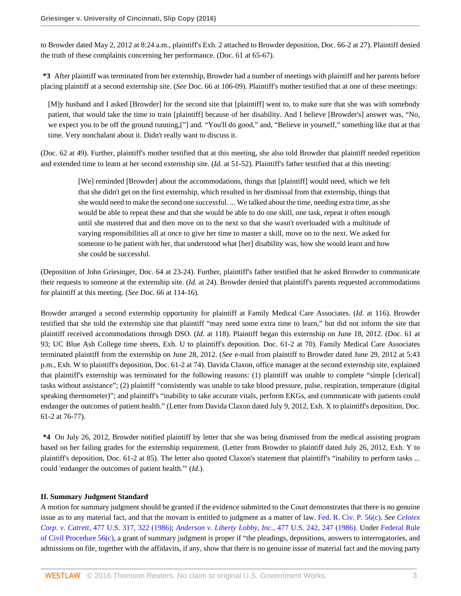to Browder dated May 2, 2012 at 8:24 a.m., plaintiff's Exh. 2 attached to Browder deposition, Doc. 66-2 at 27). Plaintiff denied the truth of these complaints concerning her performance. (Doc. 61 at 65-67).

**\*3** After plaintiff was terminated from her externship, Browder had a number of meetings with plaintiff and her parents before placing plaintiff at a second externship site. (*See* Doc. 66 at 106-09). Plaintiff's mother testified that at one of these meetings:

[M]y husband and I asked [Browder] for the second site that [plaintiff] went to, to make sure that she was with somebody patient, that would take the time to train [plaintiff] because of her disability. And I believe [Browder's] answer was, "No, we expect you to be off the ground running,["] and. "You'll do good," and, "Believe in yourself," something like that at that time. Very nonchalant about it. Didn't really want to discuss it.

(Doc. 62 at 49). Further, plaintiff's mother testified that at this meeting, she also told Browder that plaintiff needed repetition and extended time to learn at her second externship site. (*Id.* at 51-52). Plaintiff's father testified that at this meeting:

[We] reminded [Browder] about the accommodations, things that [plaintiff] would need, which we felt that she didn't get on the first externship, which resulted in her dismissal from that externship, things that she would need to make the second one successful. ... We talked about the time, needing extra time, as she would be able to repeat these and that she would be able to do one skill, one task, repeat it often enough until she mastered that and then move on to the next so that she wasn't overloaded with a multitude of varying responsibilities all at once to give her time to master a skill, move on to the next. We asked for someone to be patient with her, that understood what [her] disability was, how she would learn and how she could be successful.

(Deposition of John Griesinger, Doc. 64 at 23-24). Further, plaintiff's father testified that he asked Browder to communicate their requests to someone at the externship site. (*Id.* at 24). Browder denied that plaintiff's parents requested accommodations for plaintiff at this meeting. (*See* Doc. 66 at 114-16).

Browder arranged a second externship opportunity for plaintiff at Family Medical Care Associates. (*Id.* at 116). Browder testified that she told the externship site that plaintiff "may need some extra time to learn," but did not inform the site that plaintiff received accommodations through DSO. (*Id.* at 118). Plaintiff began this externship on June 18, 2012. (Doc. 61 at 93; UC Blue Ash College time sheets, Exh. U to plaintiff's deposition. Doc. 61-2 at 70). Family Medical Care Associates terminated plaintiff from the externship on June 28, 2012. (*See* e-mail from plaintiff to Browder dated June 29, 2012 at 5:43 p.m., Exh. W to plaintiff's deposition, Doc. 61-2 at 74). Davida Claxon, office manager at the second externship site, explained that plaintiff's externship was terminated for the following reasons: (1) plaintiff was unable to complete "simple [clerical] tasks without assistance"; (2) plaintiff "consistently was unable to take blood pressure, pulse, respiration, temperature (digital speaking thermometer)"; and plaintiff's "inability to take accurate vitals, perform EKGs, and communicate with patients could endanger the outcomes of patient health." (Letter from Davida Claxon dated July 9, 2012, Exh. X to plaintiff's deposition, Doc. 61-2 at 76-77).

**\*4** On July 26, 2012, Browder notified plaintiff by letter that she was being dismissed from the medical assisting program based on her failing grades for the externship requirement. (Letter from Browder to plaintiff dated July 26, 2012, Exh. Y to plaintiff's deposition, Doc. 61-2 at 85). The letter also quoted Claxon's statement that plaintiff's "inability to perform tasks ... could 'endanger the outcomes of patient health."' (*Id.*).

## **II. Summary Judgment Standard**

A motion for summary judgment should be granted if the evidence submitted to the Court demonstrates that there is no genuine issue as to any material fact, and that the movant is entitled to judgment as a matter of law. [Fed. R. Civ. P. 56\(c\).](http://www.westlaw.com/Link/Document/FullText?findType=L&pubNum=1000600&cite=USFRCPR56&originatingDoc=I4b06c9b012b711e6a3c8ab9852eeabcd&refType=LQ&originationContext=document&vr=3.0&rs=cblt1.0&transitionType=DocumentItem&contextData=(sc.AlertsClip)) *See [Celotex](http://www.westlaw.com/Link/Document/FullText?findType=Y&serNum=1986132677&pubNum=0000780&originatingDoc=I4b06c9b012b711e6a3c8ab9852eeabcd&refType=RP&fi=co_pp_sp_780_322&originationContext=document&vr=3.0&rs=cblt1.0&transitionType=DocumentItem&contextData=(sc.AlertsClip)#co_pp_sp_780_322) Corp. v. Catrett*[, 477 U.S. 317, 322 \(1986\)](http://www.westlaw.com/Link/Document/FullText?findType=Y&serNum=1986132677&pubNum=0000780&originatingDoc=I4b06c9b012b711e6a3c8ab9852eeabcd&refType=RP&fi=co_pp_sp_780_322&originationContext=document&vr=3.0&rs=cblt1.0&transitionType=DocumentItem&contextData=(sc.AlertsClip)#co_pp_sp_780_322); *[Anderson v. Liberty Lobby, Inc.](http://www.westlaw.com/Link/Document/FullText?findType=Y&serNum=1986132674&pubNum=0000780&originatingDoc=I4b06c9b012b711e6a3c8ab9852eeabcd&refType=RP&fi=co_pp_sp_780_247&originationContext=document&vr=3.0&rs=cblt1.0&transitionType=DocumentItem&contextData=(sc.AlertsClip)#co_pp_sp_780_247)*, 477 U.S. 242, 247 (1986). Under [Federal Rule](http://www.westlaw.com/Link/Document/FullText?findType=L&pubNum=1000600&cite=USFRCPR56&originatingDoc=I4b06c9b012b711e6a3c8ab9852eeabcd&refType=LQ&originationContext=document&vr=3.0&rs=cblt1.0&transitionType=DocumentItem&contextData=(sc.AlertsClip)) [of Civil Procedure 56\(c\)](http://www.westlaw.com/Link/Document/FullText?findType=L&pubNum=1000600&cite=USFRCPR56&originatingDoc=I4b06c9b012b711e6a3c8ab9852eeabcd&refType=LQ&originationContext=document&vr=3.0&rs=cblt1.0&transitionType=DocumentItem&contextData=(sc.AlertsClip)), a grant of summary judgment is proper if "the pleadings, depositions, answers to interrogatories, and admissions on file, together with the affidavits, if any, show that there is no genuine issue of material fact and the moving party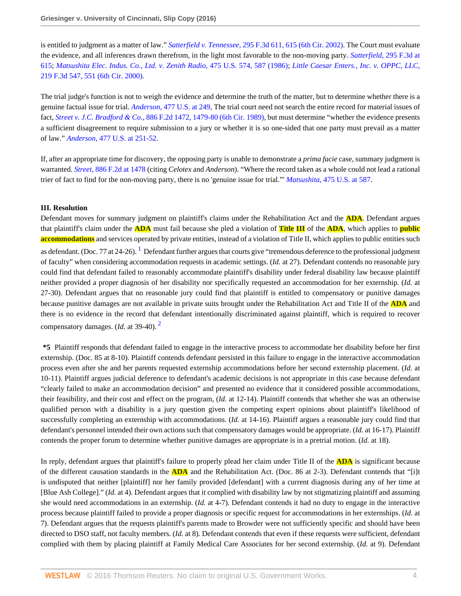is entitled to judgment as a matter of law." *Satterfield v. Tennessee*[, 295 F.3d 611, 615 \(6th Cir. 2002\).](http://www.westlaw.com/Link/Document/FullText?findType=Y&serNum=2002414617&pubNum=0000506&originatingDoc=I4b06c9b012b711e6a3c8ab9852eeabcd&refType=RP&fi=co_pp_sp_506_615&originationContext=document&vr=3.0&rs=cblt1.0&transitionType=DocumentItem&contextData=(sc.AlertsClip)#co_pp_sp_506_615) The Court must evaluate the evidence, and all inferences drawn therefrom, in the light most favorable to the non-moving party. *Satterfield*[, 295 F.3d at](http://www.westlaw.com/Link/Document/FullText?findType=Y&serNum=2002414617&pubNum=0000506&originatingDoc=I4b06c9b012b711e6a3c8ab9852eeabcd&refType=RP&fi=co_pp_sp_506_615&originationContext=document&vr=3.0&rs=cblt1.0&transitionType=DocumentItem&contextData=(sc.AlertsClip)#co_pp_sp_506_615) [615](http://www.westlaw.com/Link/Document/FullText?findType=Y&serNum=2002414617&pubNum=0000506&originatingDoc=I4b06c9b012b711e6a3c8ab9852eeabcd&refType=RP&fi=co_pp_sp_506_615&originationContext=document&vr=3.0&rs=cblt1.0&transitionType=DocumentItem&contextData=(sc.AlertsClip)#co_pp_sp_506_615); *[Matsushita Elec. Indus. Co., Ltd. v. Zenith Radio](http://www.westlaw.com/Link/Document/FullText?findType=Y&serNum=1986115992&pubNum=0000780&originatingDoc=I4b06c9b012b711e6a3c8ab9852eeabcd&refType=RP&fi=co_pp_sp_780_587&originationContext=document&vr=3.0&rs=cblt1.0&transitionType=DocumentItem&contextData=(sc.AlertsClip)#co_pp_sp_780_587)*, 475 U.S. 574, 587 (1986); *[Little Caesar Enters., Inc. v. OPPC, LLC](http://www.westlaw.com/Link/Document/FullText?findType=Y&serNum=2000438885&pubNum=0000506&originatingDoc=I4b06c9b012b711e6a3c8ab9852eeabcd&refType=RP&fi=co_pp_sp_506_551&originationContext=document&vr=3.0&rs=cblt1.0&transitionType=DocumentItem&contextData=(sc.AlertsClip)#co_pp_sp_506_551)*, [219 F.3d 547, 551 \(6th Cir. 2000\)](http://www.westlaw.com/Link/Document/FullText?findType=Y&serNum=2000438885&pubNum=0000506&originatingDoc=I4b06c9b012b711e6a3c8ab9852eeabcd&refType=RP&fi=co_pp_sp_506_551&originationContext=document&vr=3.0&rs=cblt1.0&transitionType=DocumentItem&contextData=(sc.AlertsClip)#co_pp_sp_506_551).

The trial judge's function is not to weigh the evidence and determine the truth of the matter, but to determine whether there is a genuine factual issue for trial. *Anderson*[, 477 U.S. at 249](http://www.westlaw.com/Link/Document/FullText?findType=Y&serNum=1986132674&pubNum=0000780&originatingDoc=I4b06c9b012b711e6a3c8ab9852eeabcd&refType=RP&fi=co_pp_sp_780_249&originationContext=document&vr=3.0&rs=cblt1.0&transitionType=DocumentItem&contextData=(sc.AlertsClip)#co_pp_sp_780_249), The trial court need not search the entire record for material issues of fact, *Street v. J.C. Bradford & Co.*[, 886 F.2d 1472, 1479-80 \(6th Cir. 1989\),](http://www.westlaw.com/Link/Document/FullText?findType=Y&serNum=1989134069&pubNum=0000350&originatingDoc=I4b06c9b012b711e6a3c8ab9852eeabcd&refType=RP&fi=co_pp_sp_350_1479&originationContext=document&vr=3.0&rs=cblt1.0&transitionType=DocumentItem&contextData=(sc.AlertsClip)#co_pp_sp_350_1479) but must determine "whether the evidence presents a sufficient disagreement to require submission to a jury or whether it is so one-sided that one party must prevail as a matter of law." *Anderson*[, 477 U.S. at 251-52.](http://www.westlaw.com/Link/Document/FullText?findType=Y&serNum=1986132674&pubNum=0000780&originatingDoc=I4b06c9b012b711e6a3c8ab9852eeabcd&refType=RP&fi=co_pp_sp_780_251&originationContext=document&vr=3.0&rs=cblt1.0&transitionType=DocumentItem&contextData=(sc.AlertsClip)#co_pp_sp_780_251)

If, after an appropriate time for discovery, the opposing party is unable to demonstrate a *prima facie* case, summary judgment is warranted. *Street*[, 886 F.2d at 1478](http://www.westlaw.com/Link/Document/FullText?findType=Y&serNum=1989134069&pubNum=0000350&originatingDoc=I4b06c9b012b711e6a3c8ab9852eeabcd&refType=RP&fi=co_pp_sp_350_1478&originationContext=document&vr=3.0&rs=cblt1.0&transitionType=DocumentItem&contextData=(sc.AlertsClip)#co_pp_sp_350_1478) (citing *Celotex* and *Anderson*). "Where the record taken as a whole could not lead a rational trier of fact to find for the non-moving party, there is no 'genuine issue for trial."' *Matsushita*[, 475 U.S. at 587](http://www.westlaw.com/Link/Document/FullText?findType=Y&serNum=1986115992&pubNum=0000780&originatingDoc=I4b06c9b012b711e6a3c8ab9852eeabcd&refType=RP&fi=co_pp_sp_780_587&originationContext=document&vr=3.0&rs=cblt1.0&transitionType=DocumentItem&contextData=(sc.AlertsClip)#co_pp_sp_780_587).

#### **III. Resolution**

<span id="page-13-0"></span>Defendant moves for summary judgment on plaintiff's claims under the Rehabilitation Act and the **ADA**. Defendant argues that plaintiff's claim under the **ADA** must fail because she pled a violation of **Title III** of the **ADA**, which applies to **public accommodations** and services operated by private entities, instead of a violation of Title II, which applies to public entities such as defendant. (Doc. 77 at 24-26).  $^1$  $^1$  Defendant further argues that courts give "tremendous deference to the professional judgment of faculty" when considering accommodation requests in academic settings. (*Id.* at 27). Defendant contends no reasonable jury could find that defendant failed to reasonably accommodate plaintiff's disability under federal disability law because plaintiff neither provided a proper diagnosis of her disability nor specifically requested an accommodation for her externship. (*Id.* at 27-30). Defendant argues that no reasonable jury could find that plaintiff is entitled to compensatory or punitive damages because punitive damages are not available in private suits brought under the Rehabilitation Act and Title II of the **ADA** and there is no evidence in the record that defendant intentionally discriminated against plaintiff, which is required to recover compensatory damages. (*Id.* at 39-40). [2](#page-17-1)

<span id="page-13-1"></span>**\*5** Plaintiff responds that defendant failed to engage in the interactive process to accommodate her disability before her first externship. (Doc. 85 at 8-10). Plaintiff contends defendant persisted in this failure to engage in the interactive accommodation process even after she and her parents requested externship accommodations before her second externship placement. (*Id.* at 10-11). Plaintiff argues judicial deference to defendant's academic decisions is not appropriate in this case because defendant "clearly failed to make an accommodation decision" and presented no evidence that it considered possible accommodations, their feasibility, and their cost and effect on the program, (*Id.* at 12-14). Plaintiff contends that whether she was an otherwise qualified person with a disability is a jury question given the competing expert opinions about plaintiff's likelihood of successfully completing an externship with accommodations. (*Id.* at 14-16). Plaintiff argues a reasonable jury could find that defendant's personnel intended their own actions such that compensatory damages would be appropriate. (*Id.* at 16-17). Plaintiff contends the proper forum to determine whether punitive damages are appropriate is in a pretrial motion. (*Id.* at 18).

In reply, defendant argues that plaintiff's failure to properly plead her claim under Title II of the **ADA** is significant because of the different causation standards in the **ADA** and the Rehabilitation Act. (Doc. 86 at 2-3). Defendant contends that "[i]t is undisputed that neither [plaintiff] nor her family provided [defendant] with a current diagnosis during any of her time at [Blue Ash College]." (*Id.* at 4). Defendant argues that it complied with disability law by not stigmatizing plaintiff and assuming she would need accommodations in an externship. (*Id.* at 4-7). Defendant contends it had no duty to engage in the interactive process because plaintiff failed to provide a proper diagnosis or specific request for accommodations in her externships. (*Id.* at 7). Defendant argues that the requests plaintiff's parents made to Browder were not sufficiently specific and should have been directed to DSO staff, not faculty members. (*Id.* at 8). Defendant contends that even if these requests were sufficient, defendant complied with them by placing plaintiff at Family Medical Care Associates for her second externship. (*Id.* at 9). Defendant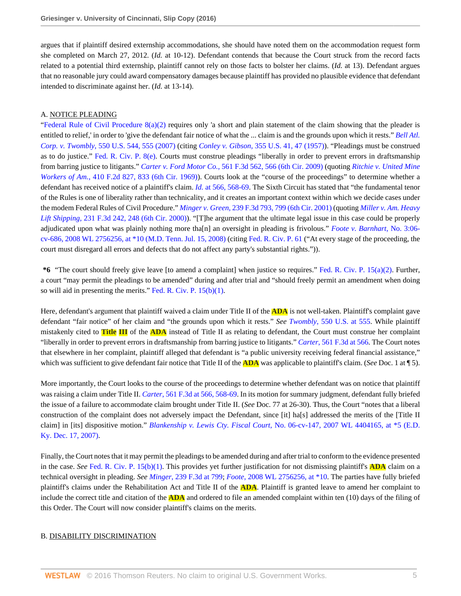argues that if plaintiff desired externship accommodations, she should have noted them on the accommodation request form she completed on March 27, 2012. (*Id.* at 10-12). Defendant contends that because the Court struck from the record facts related to a potential third externship, plaintiff cannot rely on those facts to bolster her claims. (*Id.* at 13). Defendant argues that no reasonable jury could award compensatory damages because plaintiff has provided no plausible evidence that defendant intended to discriminate against her. (*Id.* at 13-14).

## A. NOTICE PLEADING

"Federal Rule of Civil Procedure  $8(a)(2)$  requires only 'a short and plain statement of the claim showing that the pleader is entitled to relief,' in order to 'give the defendant fair notice of what the ... claim is and the grounds upon which it rests." *[Bell Atl.](http://www.westlaw.com/Link/Document/FullText?findType=Y&serNum=2012293296&pubNum=0000780&originatingDoc=I4b06c9b012b711e6a3c8ab9852eeabcd&refType=RP&fi=co_pp_sp_780_555&originationContext=document&vr=3.0&rs=cblt1.0&transitionType=DocumentItem&contextData=(sc.AlertsClip)#co_pp_sp_780_555) Corp. v. Twombly*[, 550 U.S. 544, 555 \(2007\)](http://www.westlaw.com/Link/Document/FullText?findType=Y&serNum=2012293296&pubNum=0000780&originatingDoc=I4b06c9b012b711e6a3c8ab9852eeabcd&refType=RP&fi=co_pp_sp_780_555&originationContext=document&vr=3.0&rs=cblt1.0&transitionType=DocumentItem&contextData=(sc.AlertsClip)#co_pp_sp_780_555) (citing *Conley v. Gibson*[, 355 U.S. 41, 47 \(1957\)\)](http://www.westlaw.com/Link/Document/FullText?findType=Y&serNum=1957120403&pubNum=0000780&originatingDoc=I4b06c9b012b711e6a3c8ab9852eeabcd&refType=RP&fi=co_pp_sp_780_47&originationContext=document&vr=3.0&rs=cblt1.0&transitionType=DocumentItem&contextData=(sc.AlertsClip)#co_pp_sp_780_47). "Pleadings must be construed as to do justice." [Fed. R. Civ. P. 8\(e\).](http://www.westlaw.com/Link/Document/FullText?findType=L&pubNum=1000600&cite=USFRCPR8&originatingDoc=I4b06c9b012b711e6a3c8ab9852eeabcd&refType=LQ&originationContext=document&vr=3.0&rs=cblt1.0&transitionType=DocumentItem&contextData=(sc.AlertsClip)) Courts must construe pleadings "liberally in order to prevent errors in draftsmanship from barring justice to litigants." *Carter v. Ford Motor Co.*[, 561 F.3d 562, 566 \(6th Cir. 2009\)](http://www.westlaw.com/Link/Document/FullText?findType=Y&serNum=2018520231&pubNum=0000506&originatingDoc=I4b06c9b012b711e6a3c8ab9852eeabcd&refType=RP&fi=co_pp_sp_506_566&originationContext=document&vr=3.0&rs=cblt1.0&transitionType=DocumentItem&contextData=(sc.AlertsClip)#co_pp_sp_506_566) (quoting *[Ritchie v. United Mine](http://www.westlaw.com/Link/Document/FullText?findType=Y&serNum=1969118479&pubNum=0000350&originatingDoc=I4b06c9b012b711e6a3c8ab9852eeabcd&refType=RP&fi=co_pp_sp_350_833&originationContext=document&vr=3.0&rs=cblt1.0&transitionType=DocumentItem&contextData=(sc.AlertsClip)#co_pp_sp_350_833) Workers of Am.*[, 410 F.2d 827, 833 \(6th Cir. 1969\)](http://www.westlaw.com/Link/Document/FullText?findType=Y&serNum=1969118479&pubNum=0000350&originatingDoc=I4b06c9b012b711e6a3c8ab9852eeabcd&refType=RP&fi=co_pp_sp_350_833&originationContext=document&vr=3.0&rs=cblt1.0&transitionType=DocumentItem&contextData=(sc.AlertsClip)#co_pp_sp_350_833)). Courts look at the "course of the proceedings" to determine whether a defendant has received notice of a plaintiff's claim. *Id.* [at 566, 568-69.](http://www.westlaw.com/Link/Document/FullText?findType=Y&serNum=2018520231&pubNum=0000506&originatingDoc=I4b06c9b012b711e6a3c8ab9852eeabcd&refType=RP&fi=co_pp_sp_506_566&originationContext=document&vr=3.0&rs=cblt1.0&transitionType=DocumentItem&contextData=(sc.AlertsClip)#co_pp_sp_506_566) The Sixth Circuit has stated that "the fundamental tenor of the Rules is one of liberality rather than technicality, and it creates an important context within which we decide cases under the modem Federal Rules of Civil Procedure." *Minger v. Green*[, 239 F.3d 793, 799 \(6th Cir. 2001\)](http://www.westlaw.com/Link/Document/FullText?findType=Y&serNum=2001130896&pubNum=0000506&originatingDoc=I4b06c9b012b711e6a3c8ab9852eeabcd&refType=RP&fi=co_pp_sp_506_799&originationContext=document&vr=3.0&rs=cblt1.0&transitionType=DocumentItem&contextData=(sc.AlertsClip)#co_pp_sp_506_799) (quoting *[Miller v. Am. Heavy](http://www.westlaw.com/Link/Document/FullText?findType=Y&serNum=2000596951&pubNum=0000506&originatingDoc=I4b06c9b012b711e6a3c8ab9852eeabcd&refType=RP&fi=co_pp_sp_506_248&originationContext=document&vr=3.0&rs=cblt1.0&transitionType=DocumentItem&contextData=(sc.AlertsClip)#co_pp_sp_506_248) Lift Shipping*[, 231 F.3d 242, 248 \(6th Cir. 2000\)\)](http://www.westlaw.com/Link/Document/FullText?findType=Y&serNum=2000596951&pubNum=0000506&originatingDoc=I4b06c9b012b711e6a3c8ab9852eeabcd&refType=RP&fi=co_pp_sp_506_248&originationContext=document&vr=3.0&rs=cblt1.0&transitionType=DocumentItem&contextData=(sc.AlertsClip)#co_pp_sp_506_248). "[T]he argument that the ultimate legal issue in this case could be properly adjudicated upon what was plainly nothing more tha[n] an oversight in pleading is frivolous." *[Foote v. Barnhart](http://www.westlaw.com/Link/Document/FullText?findType=Y&serNum=2016536867&pubNum=0000999&originatingDoc=I4b06c9b012b711e6a3c8ab9852eeabcd&refType=RP&originationContext=document&vr=3.0&rs=cblt1.0&transitionType=DocumentItem&contextData=(sc.AlertsClip))*, No. 3:06 [cv-686, 2008 WL 2756256, at \\*10 \(M.D. Tenn. Jul. 15, 2008\)](http://www.westlaw.com/Link/Document/FullText?findType=Y&serNum=2016536867&pubNum=0000999&originatingDoc=I4b06c9b012b711e6a3c8ab9852eeabcd&refType=RP&originationContext=document&vr=3.0&rs=cblt1.0&transitionType=DocumentItem&contextData=(sc.AlertsClip)) (citing [Fed. R. Civ. P. 61](http://www.westlaw.com/Link/Document/FullText?findType=L&pubNum=1000600&cite=USFRCPR61&originatingDoc=I4b06c9b012b711e6a3c8ab9852eeabcd&refType=LQ&originationContext=document&vr=3.0&rs=cblt1.0&transitionType=DocumentItem&contextData=(sc.AlertsClip)) ("At every stage of the proceeding, the court must disregard all errors and defects that do not affect any party's substantial rights.")).

**\*6** "The court should freely give leave [to amend a complaint] when justice so requires." [Fed. R. Civ. P. 15\(a\)\(2\).](http://www.westlaw.com/Link/Document/FullText?findType=L&pubNum=1000600&cite=USFRCPR15&originatingDoc=I4b06c9b012b711e6a3c8ab9852eeabcd&refType=LQ&originationContext=document&vr=3.0&rs=cblt1.0&transitionType=DocumentItem&contextData=(sc.AlertsClip)) Further, a court "may permit the pleadings to be amended" during and after trial and "should freely permit an amendment when doing so will aid in presenting the merits." Fed. R. Civ. P.  $15(b)(1)$ .

Here, defendant's argument that plaintiff waived a claim under Title II of the **ADA** is not well-taken. Plaintiff's complaint gave defendant "fair notice" of her claim and "the grounds upon which it rests." *See Twombly*[, 550 U.S. at 555](http://www.westlaw.com/Link/Document/FullText?findType=Y&serNum=2012293296&pubNum=0000780&originatingDoc=I4b06c9b012b711e6a3c8ab9852eeabcd&refType=RP&fi=co_pp_sp_780_555&originationContext=document&vr=3.0&rs=cblt1.0&transitionType=DocumentItem&contextData=(sc.AlertsClip)#co_pp_sp_780_555). While plaintiff mistakenly cited to **Title III** of the **ADA** instead of Title II as relating to defendant, the Court must construe her complaint "liberally in order to prevent errors in draftsmanship from barring justice to litigants." *Carter*[, 561 F.3d at 566](http://www.westlaw.com/Link/Document/FullText?findType=Y&serNum=2018520231&pubNum=0000506&originatingDoc=I4b06c9b012b711e6a3c8ab9852eeabcd&refType=RP&fi=co_pp_sp_506_566&originationContext=document&vr=3.0&rs=cblt1.0&transitionType=DocumentItem&contextData=(sc.AlertsClip)#co_pp_sp_506_566). The Court notes that elsewhere in her complaint, plaintiff alleged that defendant is "a public university receiving federal financial assistance," which was sufficient to give defendant fair notice that Title II of the **ADA** was applicable to plaintiff's claim. (*See* Doc. 1 at ¶ 5).

More importantly, the Court looks to the course of the proceedings to determine whether defendant was on notice that plaintiff was raising a claim under Title II. *Carter*[, 561 F.3d at 566, 568-69.](http://www.westlaw.com/Link/Document/FullText?findType=Y&serNum=2018520231&pubNum=0000506&originatingDoc=I4b06c9b012b711e6a3c8ab9852eeabcd&refType=RP&fi=co_pp_sp_506_566&originationContext=document&vr=3.0&rs=cblt1.0&transitionType=DocumentItem&contextData=(sc.AlertsClip)#co_pp_sp_506_566) In its motion for summary judgment, defendant fully briefed the issue of a failure to accommodate claim brought under Title II. (*See* Doc. 77 at 26-30). Thus, the Court "notes that a liberal construction of the complaint does not adversely impact the Defendant, since [it] ha[s] addressed the merits of the [Title II claim] in [its] dispositive motion." *Blankenship v. Lewis Cty. Fiscal Court*[, No. 06-cv-147, 2007 WL 4404165, at \\*5 \(E.D.](http://www.westlaw.com/Link/Document/FullText?findType=Y&serNum=2014395005&pubNum=0000999&originatingDoc=I4b06c9b012b711e6a3c8ab9852eeabcd&refType=RP&originationContext=document&vr=3.0&rs=cblt1.0&transitionType=DocumentItem&contextData=(sc.AlertsClip)) [Ky. Dec. 17, 2007\).](http://www.westlaw.com/Link/Document/FullText?findType=Y&serNum=2014395005&pubNum=0000999&originatingDoc=I4b06c9b012b711e6a3c8ab9852eeabcd&refType=RP&originationContext=document&vr=3.0&rs=cblt1.0&transitionType=DocumentItem&contextData=(sc.AlertsClip))

Finally, the Court notes that it may permit the pleadings to be amended during and after trial to conform to the evidence presented in the case. *See* [Fed. R. Civ. P. 15\(b\)\(1\)](http://www.westlaw.com/Link/Document/FullText?findType=L&pubNum=1000600&cite=USFRCPR15&originatingDoc=I4b06c9b012b711e6a3c8ab9852eeabcd&refType=LQ&originationContext=document&vr=3.0&rs=cblt1.0&transitionType=DocumentItem&contextData=(sc.AlertsClip)). This provides yet further justification for not dismissing plaintiff's **ADA** claim on a technical oversight in pleading. *See Minger*[, 239 F.3d at 799;](http://www.westlaw.com/Link/Document/FullText?findType=Y&serNum=2001130896&pubNum=0000506&originatingDoc=I4b06c9b012b711e6a3c8ab9852eeabcd&refType=RP&fi=co_pp_sp_506_799&originationContext=document&vr=3.0&rs=cblt1.0&transitionType=DocumentItem&contextData=(sc.AlertsClip)#co_pp_sp_506_799) *Foote*[, 2008 WL 2756256, at \\*10.](http://www.westlaw.com/Link/Document/FullText?findType=Y&serNum=2016536867&pubNum=0000999&originatingDoc=I4b06c9b012b711e6a3c8ab9852eeabcd&refType=RP&originationContext=document&vr=3.0&rs=cblt1.0&transitionType=DocumentItem&contextData=(sc.AlertsClip)) The parties have fully briefed plaintiff's claims under the Rehabilitation Act and Title II of the **ADA**. Plaintiff is granted leave to amend her complaint to include the correct title and citation of the **ADA** and ordered to file an amended complaint within ten (10) days of the filing of this Order. The Court will now consider plaintiff's claims on the merits.

## B. DISABILITY DISCRIMINATION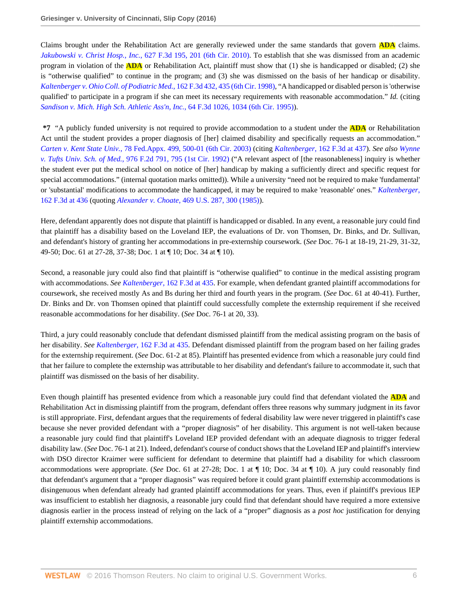Claims brought under the Rehabilitation Act are generally reviewed under the same standards that govern **ADA** claims. *Jakubowski v. Christ Hosp., Inc.*[, 627 F.3d 195, 201 \(6th Cir. 2010\)](http://www.westlaw.com/Link/Document/FullText?findType=Y&serNum=2023972966&pubNum=0000506&originatingDoc=I4b06c9b012b711e6a3c8ab9852eeabcd&refType=RP&fi=co_pp_sp_506_201&originationContext=document&vr=3.0&rs=cblt1.0&transitionType=DocumentItem&contextData=(sc.AlertsClip)#co_pp_sp_506_201). To establish that she was dismissed from an academic program in violation of the **ADA** or Rehabilitation Act, plaintiff must show that (1) she is handicapped or disabled; (2) she is "otherwise qualified" to continue in the program; and (3) she was dismissed on the basis of her handicap or disability. *[Kaltenberger v. Ohio Coll. of Podiatric Med.](http://www.westlaw.com/Link/Document/FullText?findType=Y&serNum=1998247270&pubNum=0000506&originatingDoc=I4b06c9b012b711e6a3c8ab9852eeabcd&refType=RP&fi=co_pp_sp_506_435&originationContext=document&vr=3.0&rs=cblt1.0&transitionType=DocumentItem&contextData=(sc.AlertsClip)#co_pp_sp_506_435)*, 162 F.3d 432, 435 (6th Cir. 1998), "A handicapped or disabled person is 'otherwise qualified' to participate in a program if she can meet its necessary requirements with reasonable accommodation." *Id.* (citing *[Sandison v. Mich. High Sch. Athletic Ass'n, Inc.](http://www.westlaw.com/Link/Document/FullText?findType=Y&serNum=1995183604&pubNum=0000506&originatingDoc=I4b06c9b012b711e6a3c8ab9852eeabcd&refType=RP&fi=co_pp_sp_506_1034&originationContext=document&vr=3.0&rs=cblt1.0&transitionType=DocumentItem&contextData=(sc.AlertsClip)#co_pp_sp_506_1034)*, 64 F.3d 1026, 1034 (6th Cir. 1995)).

**\*7** "A publicly funded university is not required to provide accommodation to a student under the **ADA** or Rehabilitation Act until the student provides a proper diagnosis of [her] claimed disability and specifically requests an accommodation." *Carten v. Kent State Univ.*[, 78 Fed.Appx. 499, 500-01 \(6th Cir. 2003\)](http://www.westlaw.com/Link/Document/FullText?findType=Y&serNum=2003712071&pubNum=0006538&originatingDoc=I4b06c9b012b711e6a3c8ab9852eeabcd&refType=RP&fi=co_pp_sp_6538_500&originationContext=document&vr=3.0&rs=cblt1.0&transitionType=DocumentItem&contextData=(sc.AlertsClip)#co_pp_sp_6538_500) (citing *Kaltenberger*[, 162 F.3d at 437\)](http://www.westlaw.com/Link/Document/FullText?findType=Y&serNum=1998247270&pubNum=0000506&originatingDoc=I4b06c9b012b711e6a3c8ab9852eeabcd&refType=RP&fi=co_pp_sp_506_437&originationContext=document&vr=3.0&rs=cblt1.0&transitionType=DocumentItem&contextData=(sc.AlertsClip)#co_pp_sp_506_437). *See also [Wynne](http://www.westlaw.com/Link/Document/FullText?findType=Y&serNum=1992172845&pubNum=0000350&originatingDoc=I4b06c9b012b711e6a3c8ab9852eeabcd&refType=RP&fi=co_pp_sp_350_795&originationContext=document&vr=3.0&rs=cblt1.0&transitionType=DocumentItem&contextData=(sc.AlertsClip)#co_pp_sp_350_795) v. Tufts Univ. Sch. of Med.*[, 976 F.2d 791, 795 \(1st Cir. 1992\)](http://www.westlaw.com/Link/Document/FullText?findType=Y&serNum=1992172845&pubNum=0000350&originatingDoc=I4b06c9b012b711e6a3c8ab9852eeabcd&refType=RP&fi=co_pp_sp_350_795&originationContext=document&vr=3.0&rs=cblt1.0&transitionType=DocumentItem&contextData=(sc.AlertsClip)#co_pp_sp_350_795) ("A relevant aspect of [the reasonableness] inquiry is whether the student ever put the medical school on notice of [her] handicap by making a sufficiently direct and specific request for special accommodations." (internal quotation marks omitted)). While a university "need not be required to make 'fundamental' or 'substantial' modifications to accommodate the handicapped, it may be required to make 'reasonable' ones." *[Kaltenberger](http://www.westlaw.com/Link/Document/FullText?findType=Y&serNum=1998247270&pubNum=0000506&originatingDoc=I4b06c9b012b711e6a3c8ab9852eeabcd&refType=RP&fi=co_pp_sp_506_436&originationContext=document&vr=3.0&rs=cblt1.0&transitionType=DocumentItem&contextData=(sc.AlertsClip)#co_pp_sp_506_436)*, [162 F.3d at 436](http://www.westlaw.com/Link/Document/FullText?findType=Y&serNum=1998247270&pubNum=0000506&originatingDoc=I4b06c9b012b711e6a3c8ab9852eeabcd&refType=RP&fi=co_pp_sp_506_436&originationContext=document&vr=3.0&rs=cblt1.0&transitionType=DocumentItem&contextData=(sc.AlertsClip)#co_pp_sp_506_436) (quoting *Alexander v. Choate*[, 469 U.S. 287, 300 \(1985\)\)](http://www.westlaw.com/Link/Document/FullText?findType=Y&serNum=1985101524&pubNum=0000780&originatingDoc=I4b06c9b012b711e6a3c8ab9852eeabcd&refType=RP&fi=co_pp_sp_780_300&originationContext=document&vr=3.0&rs=cblt1.0&transitionType=DocumentItem&contextData=(sc.AlertsClip)#co_pp_sp_780_300).

Here, defendant apparently does not dispute that plaintiff is handicapped or disabled. In any event, a reasonable jury could find that plaintiff has a disability based on the Loveland IEP, the evaluations of Dr. von Thomsen, Dr. Binks, and Dr. Sullivan, and defendant's history of granting her accommodations in pre-externship coursework. (*See* Doc. 76-1 at 18-19, 21-29, 31-32, 49-50; Doc. 61 at 27-28, 37-38; Doc. 1 at ¶ 10; Doc. 34 at ¶ 10).

Second, a reasonable jury could also find that plaintiff is "otherwise qualified" to continue in the medical assisting program with accommodations. *See Kaltenberger*[, 162 F.3d at 435.](http://www.westlaw.com/Link/Document/FullText?findType=Y&serNum=1998247270&pubNum=0000506&originatingDoc=I4b06c9b012b711e6a3c8ab9852eeabcd&refType=RP&fi=co_pp_sp_506_435&originationContext=document&vr=3.0&rs=cblt1.0&transitionType=DocumentItem&contextData=(sc.AlertsClip)#co_pp_sp_506_435) For example, when defendant granted plaintiff accommodations for coursework, she received mostly As and Bs during her third and fourth years in the program. (*See* Doc. 61 at 40-41). Further, Dr. Binks and Dr. von Thomsen opined that plaintiff could successfully complete the externship requirement if she received reasonable accommodations for her disability. (*See* Doc. 76-1 at 20, 33).

Third, a jury could reasonably conclude that defendant dismissed plaintiff from the medical assisting program on the basis of her disability. *See Kaltenberger*[, 162 F.3d at 435.](http://www.westlaw.com/Link/Document/FullText?findType=Y&serNum=1998247270&pubNum=0000506&originatingDoc=I4b06c9b012b711e6a3c8ab9852eeabcd&refType=RP&fi=co_pp_sp_506_435&originationContext=document&vr=3.0&rs=cblt1.0&transitionType=DocumentItem&contextData=(sc.AlertsClip)#co_pp_sp_506_435) Defendant dismissed plaintiff from the program based on her failing grades for the externship requirement. (*See* Doc. 61-2 at 85). Plaintiff has presented evidence from which a reasonable jury could find that her failure to complete the externship was attributable to her disability and defendant's failure to accommodate it, such that plaintiff was dismissed on the basis of her disability.

Even though plaintiff has presented evidence from which a reasonable jury could find that defendant violated the **ADA** and Rehabilitation Act in dismissing plaintiff from the program, defendant offers three reasons why summary judgment in its favor is still appropriate. First, defendant argues that the requirements of federal disability law were never triggered in plaintiff's case because she never provided defendant with a "proper diagnosis" of her disability. This argument is not well-taken because a reasonable jury could find that plaintiff's Loveland IEP provided defendant with an adequate diagnosis to trigger federal disability law. (*See* Doc. 76-1 at 21). Indeed, defendant's course of conduct shows that the Loveland IEP and plaintiff's interview with DSO director Kraimer were sufficient for defendant to determine that plaintiff had a disability for which classroom accommodations were appropriate. (*See* Doc. 61 at 27-28; Doc. 1 at ¶ 10; Doc. 34 at ¶ 10). A jury could reasonably find that defendant's argument that a "proper diagnosis" was required before it could grant plaintiff externship accommodations is disingenuous when defendant already had granted plaintiff accommodations for years. Thus, even if plaintiff's previous IEP was insufficient to establish her diagnosis, a reasonable jury could find that defendant should have required a more extensive diagnosis earlier in the process instead of relying on the lack of a "proper" diagnosis as a *post hoc* justification for denying plaintiff externship accommodations.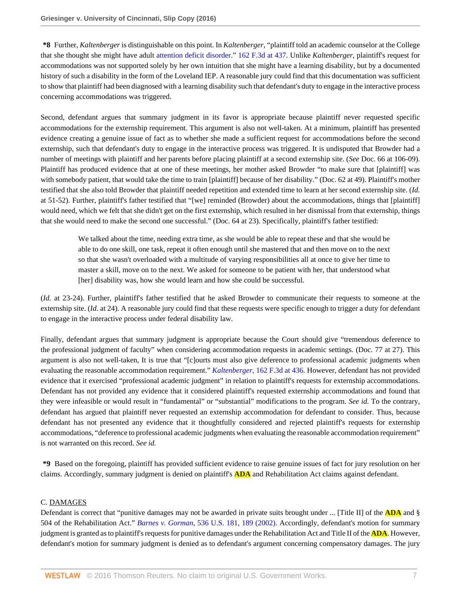**\*8** Further, *Kaltenberger* is distinguishable on this point. In *Kaltenberger*, "plaintiff told an academic counselor at the College that she thought she might have adult [attention deficit disorder.](http://www.westlaw.com/Link/Document/FullText?entityType=disease&entityId=Ibe73b2f3475411db9765f9243f53508a&originationContext=document&transitionType=DocumentItem&contextData=(sc.Default)&vr=3.0&rs=cblt1.0)" [162 F.3d at 437](http://www.westlaw.com/Link/Document/FullText?findType=Y&serNum=1998247270&pubNum=0000506&originatingDoc=I4b06c9b012b711e6a3c8ab9852eeabcd&refType=RP&fi=co_pp_sp_506_437&originationContext=document&vr=3.0&rs=cblt1.0&transitionType=DocumentItem&contextData=(sc.AlertsClip)#co_pp_sp_506_437). Unlike *Kaltenberger*, plaintiff's request for accommodations was not supported solely by her own intuition that she might have a learning disability, but by a documented history of such a disability in the form of the Loveland IEP. A reasonable jury could find that this documentation was sufficient to show that plaintiff had been diagnosed with a learning disability such that defendant's duty to engage in the interactive process concerning accommodations was triggered.

Second, defendant argues that summary judgment in its favor is appropriate because plaintiff never requested specific accommodations for the externship requirement. This argument is also not well-taken. At a minimum, plaintiff has presented evidence creating a genuine issue of fact as to whether she made a sufficient request for accommodations before the second externship, such that defendant's duty to engage in the interactive process was triggered. It is undisputed that Browder had a number of meetings with plaintiff and her parents before placing plaintiff at a second externship site. (*See* Doc. 66 at 106-09). Plaintiff has produced evidence that at one of these meetings, her mother asked Browder "to make sure that [plaintiff] was with somebody patient, that would take the time to train [plaintiff] because of her disability." (Doc. 62 at 49). Plaintiff's mother testified that she also told Browder that plaintiff needed repetition and extended time to learn at her second externship site. (*Id.* at 51-52). Further, plaintiff's father testified that "[we] reminded (Browder) about the accommodations, things that [plaintiff] would need, which we felt that she didn't get on the first externship, which resulted in her dismissal from that externship, things that she would need to make the second one successful." (Doc. 64 at 23). Specifically, plaintiff's father testified:

We talked about the time, needing extra time, as she would be able to repeat these and that she would be able to do one skill, one task, repeat it often enough until she mastered that and then move on to the next so that she wasn't overloaded with a multitude of varying responsibilities all at once to give her time to master a skill, move on to the next. We asked for someone to be patient with her, that understood what [her] disability was, how she would learn and how she could be successful.

(*Id.* at 23-24). Further, plaintiff's father testified that he asked Browder to communicate their requests to someone at the externship site. (*Id.* at 24). A reasonable jury could find that these requests were specific enough to trigger a duty for defendant to engage in the interactive process under federal disability law.

Finally, defendant argues that summary judgment is appropriate because the Court should give "tremendous deference to the professional judgment of faculty" when considering accommodation requests in academic settings. (Doc. 77 at 27). This argument is also not well-taken, It is true that "[c]ourts must also give deference to professional academic judgments when evaluating the reasonable accommodation requirement." *Kaltenberger*[, 162 F.3d at 436.](http://www.westlaw.com/Link/Document/FullText?findType=Y&serNum=1998247270&pubNum=0000506&originatingDoc=I4b06c9b012b711e6a3c8ab9852eeabcd&refType=RP&fi=co_pp_sp_506_436&originationContext=document&vr=3.0&rs=cblt1.0&transitionType=DocumentItem&contextData=(sc.AlertsClip)#co_pp_sp_506_436) However, defendant has not provided evidence that it exercised "professional academic judgment" in relation to plaintiff's requests for externship accommodations. Defendant has not provided any evidence that it considered plaintiff's requested externship accommodations and found that they were infeasible or would result in "fundamental" or "substantial" modifications to the program. *See id.* To the contrary, defendant has argued that plaintiff never requested an externship accommodation for defendant to consider. Thus, because defendant has not presented any evidence that it thoughtfully considered and rejected plaintiff's requests for externship accommodations, "deference to professional academic judgments when evaluating the reasonable accommodation requirement" is not warranted on this record. *See id.*

**\*9** Based on the foregoing, plaintiff has provided sufficient evidence to raise genuine issues of fact for jury resolution on her claims. Accordingly, summary judgment is denied on plaintiff's **ADA** and Rehabilitation Act claims against defendant.

## C. DAMAGES

Defendant is correct that "punitive damages may not be awarded in private suits brought under ... [Title II] of the **ADA** and § 504 of the Rehabilitation Act." *Barnes v. Gorman*[, 536 U.S. 181, 189 \(2002\).](http://www.westlaw.com/Link/Document/FullText?findType=Y&serNum=2002373274&pubNum=0000780&originatingDoc=I4b06c9b012b711e6a3c8ab9852eeabcd&refType=RP&fi=co_pp_sp_780_189&originationContext=document&vr=3.0&rs=cblt1.0&transitionType=DocumentItem&contextData=(sc.AlertsClip)#co_pp_sp_780_189) Accordingly, defendant's motion for summary judgment is granted as to plaintiff's requests for punitive damages under the Rehabilitation Act and Title II of the **ADA**. However, defendant's motion for summary judgment is denied as to defendant's argument concerning compensatory damages. The jury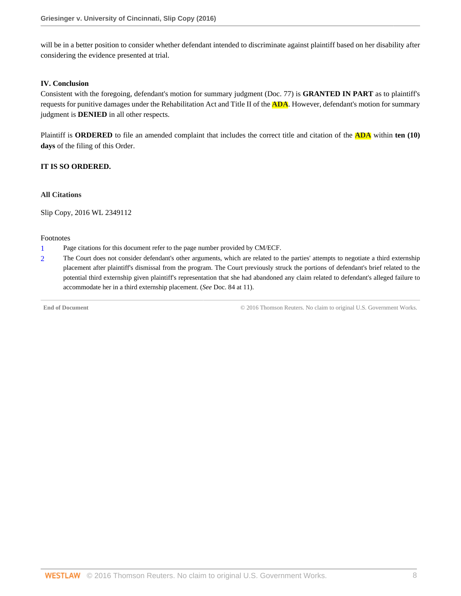will be in a better position to consider whether defendant intended to discriminate against plaintiff based on her disability after considering the evidence presented at trial.

### **IV. Conclusion**

Consistent with the foregoing, defendant's motion for summary judgment (Doc. 77) is **GRANTED IN PART** as to plaintiff's requests for punitive damages under the Rehabilitation Act and Title II of the **ADA**. However, defendant's motion for summary judgment is **DENIED** in all other respects.

Plaintiff is **ORDERED** to file an amended complaint that includes the correct title and citation of the **ADA** within **ten (10) days** of the filing of this Order.

## **IT IS SO ORDERED.**

### **All Citations**

Slip Copy, 2016 WL 2349112

#### Footnotes

- <span id="page-17-0"></span>[1](#page-13-0) Page citations for this document refer to the page number provided by CM/ECF.
- <span id="page-17-1"></span>[2](#page-13-1) The Court does not consider defendant's other arguments, which are related to the parties' attempts to negotiate a third externship placement after plaintiff's dismissal from the program. The Court previously struck the portions of defendant's brief related to the potential third externship given plaintiff's representation that she had abandoned any claim related to defendant's alleged failure to accommodate her in a third externship placement. (*See* Doc. 84 at 11).

**End of Document** © 2016 Thomson Reuters. No claim to original U.S. Government Works.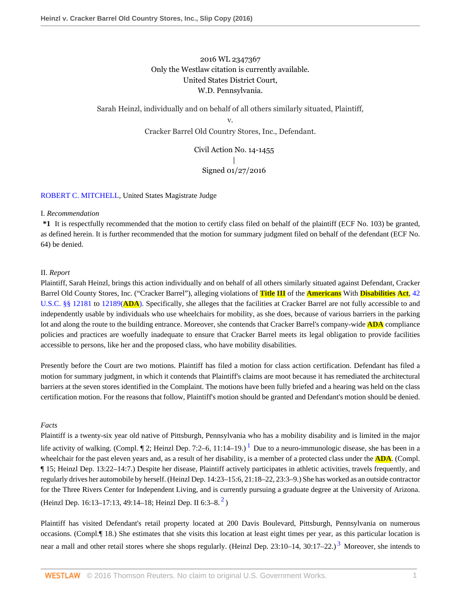## 2016 WL 2347367 Only the Westlaw citation is currently available. United States District Court, W.D. Pennsylvania.

Sarah Heinzl, individually and on behalf of all others similarly situated, Plaintiff,

v. Cracker Barrel Old Country Stores, Inc., Defendant.

> Civil Action No. 14-1455 | Signed 01/27/2016

## [ROBERT C. MITCHELL](http://www.westlaw.com/Link/Document/FullText?findType=h&pubNum=176284&cite=0240997801&originatingDoc=Ie1a7759011e511e6981be831f2f2ac24&refType=RQ&originationContext=document&vr=3.0&rs=cblt1.0&transitionType=DocumentItem&contextData=(sc.AlertsClip)), United States Magistrate Judge

#### I. *Recommendation*

**\*1** It is respectfully recommended that the motion to certify class filed on behalf of the plaintiff (ECF No. 103) be granted, as defined herein. It is further recommended that the motion for summary judgment filed on behalf of the defendant (ECF No. 64) be denied.

## II. *Report*

Plaintiff, Sarah Heinzl, brings this action individually and on behalf of all others similarly situated against Defendant, Cracker Barrel Old County Stores, Inc. ("Cracker Barrel"), alleging violations of **Title III** of the **Americans** With **Disabilities Act**, [42](http://www.westlaw.com/Link/Document/FullText?findType=L&pubNum=1000546&cite=42USCAS12181&originatingDoc=Ie1a7759011e511e6981be831f2f2ac24&refType=LQ&originationContext=document&vr=3.0&rs=cblt1.0&transitionType=DocumentItem&contextData=(sc.AlertsClip)) [U.S.C. §§ 12181](http://www.westlaw.com/Link/Document/FullText?findType=L&pubNum=1000546&cite=42USCAS12181&originatingDoc=Ie1a7759011e511e6981be831f2f2ac24&refType=LQ&originationContext=document&vr=3.0&rs=cblt1.0&transitionType=DocumentItem&contextData=(sc.AlertsClip)) to [12189\(](http://www.westlaw.com/Link/Document/FullText?findType=L&pubNum=1000546&cite=42USCAS12189&originatingDoc=Ie1a7759011e511e6981be831f2f2ac24&refType=LQ&originationContext=document&vr=3.0&rs=cblt1.0&transitionType=DocumentItem&contextData=(sc.AlertsClip))**ADA**). Specifically, she alleges that the facilities at Cracker Barrel are not fully accessible to and independently usable by individuals who use wheelchairs for mobility, as she does, because of various barriers in the parking lot and along the route to the building entrance. Moreover, she contends that Cracker Barrel's company-wide **ADA** compliance policies and practices are woefully inadequate to ensure that Cracker Barrel meets its legal obligation to provide facilities accessible to persons, like her and the proposed class, who have mobility disabilities.

Presently before the Court are two motions. Plaintiff has filed a motion for class action certification. Defendant has filed a motion for summary judgment, in which it contends that Plaintiff's claims are moot because it has remediated the architectural barriers at the seven stores identified in the Complaint. The motions have been fully briefed and a hearing was held on the class certification motion. For the reasons that follow, Plaintiff's motion should be granted and Defendant's motion should be denied.

## *Facts*

<span id="page-18-0"></span>Plaintiff is a twenty-six year old native of Pittsburgh, Pennsylvania who has a mobility disability and is limited in the major life activity of walking. (Compl.  $\P$  2; Heinzl Dep. 7:2–6, [1](#page-40-0)1:14–19.)<sup>1</sup> Due to a neuro-immunologic disease, she has been in a wheelchair for the past eleven years and, as a result of her disability, is a member of a protected class under the **ADA**. (Compl. ¶ 15; Heinzl Dep. 13:22–14:7.) Despite her disease, Plaintiff actively participates in athletic activities, travels frequently, and regularly drives her automobile by herself. (Heinzl Dep. 14:23–15:6, 21:18–22, 23:3–9.) She has worked as an outside contractor for the Three Rivers Center for Independent Living, and is currently pursuing a graduate degree at the University of Arizona. (Heinzl Dep. 16:13–17:13, 49:14–18; Heinzl Dep. II 6:3–8. $^2$  $^2$ )

<span id="page-18-2"></span><span id="page-18-1"></span>Plaintiff has visited Defendant's retail property located at 200 Davis Boulevard, Pittsburgh, Pennsylvania on numerous occasions. (Compl.¶ 18.) She estimates that she visits this location at least eight times per year, as this particular location is near a mall and other retail stores where she shops regularly. (Heinzl Dep. 2[3](#page-40-2):10–14, 30:17–22.)<sup>3</sup> Moreover, she intends to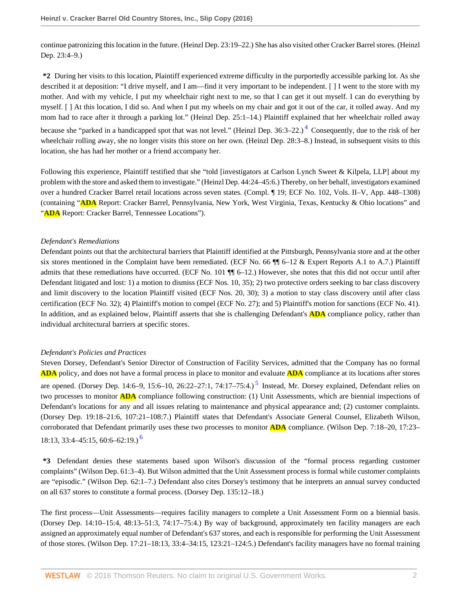continue patronizing this location in the future. (Heinzl Dep. 23:19–22.) She has also visited other Cracker Barrel stores. (Heinzl Dep. 23:4–9.)

**\*2** During her visits to this location, Plaintiff experienced extreme difficulty in the purportedly accessible parking lot. As she described it at deposition: "I drive myself, and I am—find it very important to be independent. [ ] I went to the store with my mother. And with my vehicle, I put my wheelchair right next to me, so that I can get it out myself. I can do everything by myself. [ ] At this location, I did so. And when I put my wheels on my chair and got it out of the car, it rolled away. And my mom had to race after it through a parking lot." (Heinzl Dep. 25:1–14.) Plaintiff explained that her wheelchair rolled away because she "parked in a handicapped spot that was not level." (Heinzl Dep. 36:3–22.)<sup>[4](#page-40-3)</sup> Consequently, due to the risk of her wheelchair rolling away, she no longer visits this store on her own. (Heinzl Dep. 28:3–8.) Instead, in subsequent visits to this location, she has had her mother or a friend accompany her.

<span id="page-19-0"></span>Following this experience, Plaintiff testified that she "told [investigators at Carlson Lynch Sweet & Kilpela, LLP] about my problem with the store and asked them to investigate." (Heinzl Dep. 44:24–45:6.) Thereby, on her behalf, investigators examined over a hundred Cracker Barrel retail locations across seven states. (Compl. ¶ 19; ECF No. 102, Vols. II–V, App. 448–1308) (containing "**ADA** Report: Cracker Barrel, Pennsylvania, New York, West Virginia, Texas, Kentucky & Ohio locations" and "ADA Report: Cracker Barrel, Tennessee Locations").

#### *Defendant's Remediations*

Defendant points out that the architectural barriers that Plaintiff identified at the Pittsburgh, Pennsylvania store and at the other six stores mentioned in the Complaint have been remediated. (ECF No. 66 ¶¶ 6–12 & Expert Reports A.1 to A.7.) Plaintiff admits that these remediations have occurred. (ECF No. 101  $\P$  $[6-12]$ .) However, she notes that this did not occur until after Defendant litigated and lost: 1) a motion to dismiss (ECF Nos. 10, 35); 2) two protective orders seeking to bar class discovery and limit discovery to the location Plaintiff visited (ECF Nos. 20, 30); 3) a motion to stay class discovery until after class certification (ECF No. 32); 4) Plaintiff's motion to compel (ECF No. 27); and 5) Plaintiff's motion for sanctions (ECF No. 41). In addition, and as explained below, Plaintiff asserts that she is challenging Defendant's **ADA** compliance policy, rather than individual architectural barriers at specific stores.

#### *Defendant's Policies and Practices*

<span id="page-19-1"></span>Steven Dorsey, Defendant's Senior Director of Construction of Facility Services, admitted that the Company has no formal **ADA** policy, and does not have a formal process in place to monitor and evaluate **ADA** compliance at its locations after stores are opened. (Dorsey Dep. 14:6–9, 1[5](#page-40-4):6–10, 26:22–27:1, 74:17–75:4.)<sup>5</sup> Instead, Mr. Dorsey explained, Defendant relies on two processes to monitor **ADA** compliance following construction: (1) Unit Assessments, which are biennial inspections of Defendant's locations for any and all issues relating to maintenance and physical appearance and; (2) customer complaints. (Dorsey Dep. 19:18–21:6, 107:21–108:7.) Plaintiff states that Defendant's Associate General Counsel, Elizabeth Wilson, corroborated that Defendant primarily uses these two processes to monitor **ADA** compliance. (Wilson Dep. 7:18–20, 17:23–  $18:13, 33:4-45:15, 60:6-62:19.$  $18:13, 33:4-45:15, 60:6-62:19.$  $18:13, 33:4-45:15, 60:6-62:19.$ )<sup>6</sup>

<span id="page-19-2"></span>**\*3** Defendant denies these statements based upon Wilson's discussion of the "formal process regarding customer complaints" (Wilson Dep. 61:3–4). But Wilson admitted that the Unit Assessment process is formal while customer complaints are "episodic." (Wilson Dep. 62:1–7.) Defendant also cites Dorsey's testimony that he interprets an annual survey conducted on all 637 stores to constitute a formal process. (Dorsey Dep. 135:12–18.)

The first process—Unit Assessments—requires facility managers to complete a Unit Assessment Form on a biennial basis. (Dorsey Dep. 14:10–15:4, 48:13–51:3, 74:17–75:4.) By way of background, approximately ten facility managers are each assigned an approximately equal number of Defendant's 637 stores, and each is responsible for performing the Unit Assessment of those stores. (Wilson Dep. 17:21–18:13, 33:4–34:15, 123:21–124:5.) Defendant's facility managers have no formal training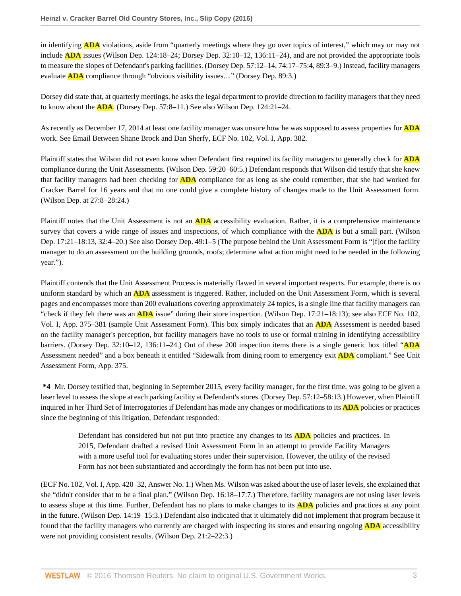in identifying **ADA** violations, aside from "quarterly meetings where they go over topics of interest," which may or may not include **ADA** issues (Wilson Dep. 124:18–24; Dorsey Dep. 32:10–12, 136:11–24), and are not provided the appropriate tools to measure the slopes of Defendant's parking facilities. (Dorsey Dep. 57:12–14, 74:17–75:4, 89:3–9.) Instead, facility managers evaluate **ADA** compliance through "obvious visibility issues...." (Dorsey Dep. 89:3.)

Dorsey did state that, at quarterly meetings, he asks the legal department to provide direction to facility managers that they need to know about the **ADA**. (Dorsey Dep. 57:8–11.) See also Wilson Dep. 124:21–24.

As recently as December 17, 2014 at least one facility manager was unsure how he was supposed to assess properties for **ADA** work. See Email Between Shane Brock and Dan Sherfy, ECF No. 102, Vol. I, App. 382.

Plaintiff states that Wilson did not even know when Defendant first required its facility managers to generally check for **ADA** compliance during the Unit Assessments. (Wilson Dep. 59:20–60:5.) Defendant responds that Wilson did testify that she knew that facility managers had been checking for **ADA** compliance for as long as she could remember, that she had worked for Cracker Barrel for 16 years and that no one could give a complete history of changes made to the Unit Assessment form. (Wilson Dep. at 27:8–28:24.)

Plaintiff notes that the Unit Assessment is not an **ADA** accessibility evaluation. Rather, it is a comprehensive maintenance survey that covers a wide range of issues and inspections, of which compliance with the **ADA** is but a small part. (Wilson Dep. 17:21–18:13, 32:4–20.) See also Dorsey Dep. 49:1–5 (The purpose behind the Unit Assessment Form is "[f]or the facility manager to do an assessment on the building grounds, roofs; determine what action might need to be needed in the following year.").

Plaintiff contends that the Unit Assessment Process is materially flawed in several important respects. For example, there is no uniform standard by which an **ADA** assessment is triggered. Rather, included on the Unit Assessment Form, which is several pages and encompasses more than 200 evaluations covering approximately 24 topics, is a single line that facility managers can "check if they felt there was an **ADA** issue" during their store inspection. (Wilson Dep. 17:21–18:13); see also ECF No. 102, Vol. I, App. 375–381 (sample Unit Assessment Form). This box simply indicates that an **ADA** Assessment is needed based on the facility manager's perception, but facility managers have no tools to use or formal training in identifying accessibility barriers. (Dorsey Dep. 32:10–12, 136:11–24.) Out of these 200 inspection items there is a single generic box titled "**ADA** Assessment needed" and a box beneath it entitled "Sidewalk from dining room to emergency exit **ADA** compliant." See Unit Assessment Form, App. 375.

**\*4** Mr. Dorsey testified that, beginning in September 2015, every facility manager, for the first time, was going to be given a laser level to assess the slope at each parking facility at Defendant's stores. (Dorsey Dep. 57:12–58:13.) However, when Plaintiff inquired in her Third Set of Interrogatories if Defendant has made any changes or modifications to its **ADA** policies or practices since the beginning of this litigation, Defendant responded:

Defendant has considered but not put into practice any changes to its **ADA** policies and practices. In 2015, Defendant drafted a revised Unit Assessment Form in an attempt to provide Facility Managers with a more useful tool for evaluating stores under their supervision. However, the utility of the revised Form has not been substantiated and accordingly the form has not been put into use.

(ECF No. 102, Vol. I, App. 420–32, Answer No. 1.) When Ms. Wilson was asked about the use of laser levels, she explained that she "didn't consider that to be a final plan." (Wilson Dep. 16:18–17:7.) Therefore, facility managers are not using laser levels to assess slope at this time. Further, Defendant has no plans to make changes to its **ADA** policies and practices at any point in the future. (Wilson Dep. 14:19–15:3.) Defendant also indicated that it ultimately did not implement that program because it found that the facility managers who currently are charged with inspecting its stores and ensuring ongoing **ADA** accessibility were not providing consistent results. (Wilson Dep. 21:2–22:3.)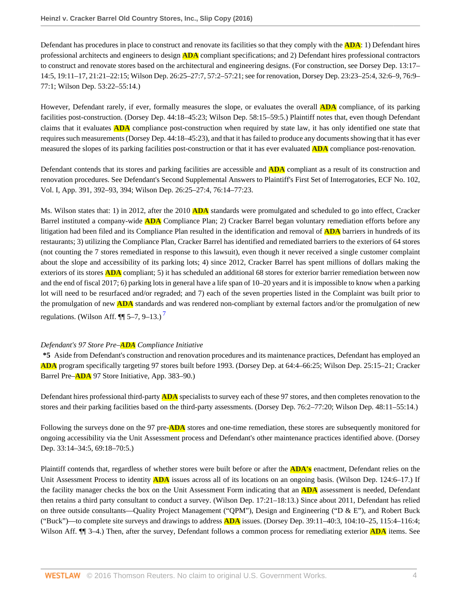Defendant has procedures in place to construct and renovate its facilities so that they comply with the **ADA**: 1) Defendant hires professional architects and engineers to design **ADA** compliant specifications; and 2) Defendant hires professional contractors to construct and renovate stores based on the architectural and engineering designs. (For construction, see Dorsey Dep. 13:17– 14:5, 19:11–17, 21:21–22:15; Wilson Dep. 26:25–27:7, 57:2–57:21; see for renovation, Dorsey Dep. 23:23–25:4, 32:6–9, 76:9– 77:1; Wilson Dep. 53:22–55:14.)

However, Defendant rarely, if ever, formally measures the slope, or evaluates the overall **ADA** compliance, of its parking facilities post-construction. (Dorsey Dep. 44:18–45:23; Wilson Dep. 58:15–59:5.) Plaintiff notes that, even though Defendant claims that it evaluates **ADA** compliance post-construction when required by state law, it has only identified one state that requires such measurements (Dorsey Dep. 44:18–45:23), and that it has failed to produce any documents showing that it has ever measured the slopes of its parking facilities post-construction or that it has ever evaluated **ADA** compliance post-renovation.

Defendant contends that its stores and parking facilities are accessible and **ADA** compliant as a result of its construction and renovation procedures. See Defendant's Second Supplemental Answers to Plaintiff's First Set of Interrogatories, ECF No. 102, Vol. I, App. 391, 392–93, 394; Wilson Dep. 26:25–27:4, 76:14–77:23.

Ms. Wilson states that: 1) in 2012, after the 2010 **ADA** standards were promulgated and scheduled to go into effect, Cracker Barrel instituted a company-wide **ADA** Compliance Plan; 2) Cracker Barrel began voluntary remediation efforts before any litigation had been filed and its Compliance Plan resulted in the identification and removal of **ADA** barriers in hundreds of its restaurants; 3) utilizing the Compliance Plan, Cracker Barrel has identified and remediated barriers to the exteriors of 64 stores (not counting the 7 stores remediated in response to this lawsuit), even though it never received a single customer complaint about the slope and accessibility of its parking lots; 4) since 2012, Cracker Barrel has spent millions of dollars making the exteriors of its stores **ADA** compliant; 5) it has scheduled an additional 68 stores for exterior barrier remediation between now and the end of fiscal 2017; 6) parking lots in general have a life span of 10–20 years and it is impossible to know when a parking lot will need to be resurfaced and/or regraded; and 7) each of the seven properties listed in the Complaint was built prior to the promulgation of new **ADA** standards and was rendered non-compliant by external factors and/or the promulgation of new regulations. (Wilson Aff.  $\P$  $[$  5–[7](#page-40-6), 9–13.)<sup>7</sup>

#### <span id="page-21-0"></span>*Defendant's 97 Store Pre–ADA Compliance Initiative*

**\*5** Aside from Defendant's construction and renovation procedures and its maintenance practices, Defendant has employed an **ADA** program specifically targeting 97 stores built before 1993. (Dorsey Dep. at 64:4–66:25; Wilson Dep. 25:15–21; Cracker Barrel Pre–**ADA** 97 Store Initiative, App. 383–90.)

Defendant hires professional third-party **ADA** specialists to survey each of these 97 stores, and then completes renovation to the stores and their parking facilities based on the third-party assessments. (Dorsey Dep. 76:2–77:20; Wilson Dep. 48:11–55:14.)

Following the surveys done on the 97 pre-**ADA** stores and one-time remediation, these stores are subsequently monitored for ongoing accessibility via the Unit Assessment process and Defendant's other maintenance practices identified above. (Dorsey Dep. 33:14–34:5, 69:18–70:5.)

Plaintiff contends that, regardless of whether stores were built before or after the **ADA's** enactment, Defendant relies on the Unit Assessment Process to identity **ADA** issues across all of its locations on an ongoing basis. (Wilson Dep. 124:6–17.) If the facility manager checks the box on the Unit Assessment Form indicating that an **ADA** assessment is needed, Defendant then retains a third party consultant to conduct a survey. (Wilson Dep. 17:21–18:13.) Since about 2011, Defendant has relied on three outside consultants—Quality Project Management ("QPM"), Design and Engineering ("D & E"), and Robert Buck ("Buck")—to complete site surveys and drawings to address **ADA** issues. (Dorsey Dep. 39:11–40:3, 104:10–25, 115:4–116:4; Wilson Aff. **[1]** 3–4.) Then, after the survey, Defendant follows a common process for remediating exterior **ADA** items. See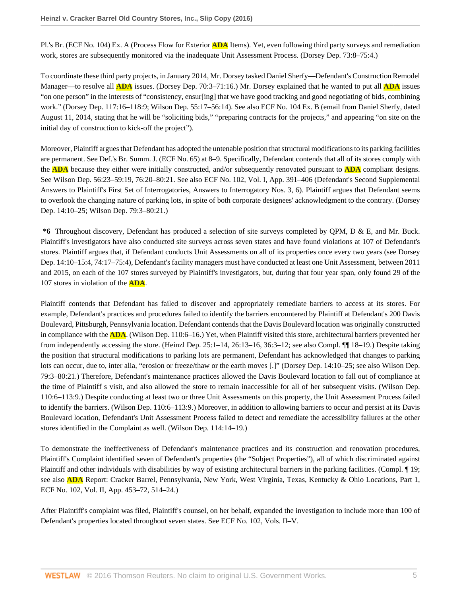Pl.'s Br. (ECF No. 104) Ex. A (Process Flow for Exterior **ADA** Items). Yet, even following third party surveys and remediation work, stores are subsequently monitored via the inadequate Unit Assessment Process. (Dorsey Dep. 73:8–75:4.)

To coordinate these third party projects, in January 2014, Mr. Dorsey tasked Daniel Sherfy—Defendant's Construction Remodel Manager—to resolve all **ADA** issues. (Dorsey Dep. 70:3–71:16.) Mr. Dorsey explained that he wanted to put all **ADA** issues "on one person" in the interests of "consistency, ensur[ing] that we have good tracking and good negotiating of bids, combining work." (Dorsey Dep. 117:16–118:9; Wilson Dep. 55:17–56:14). See also ECF No. 104 Ex. B (email from Daniel Sherfy, dated August 11, 2014, stating that he will be "soliciting bids," "preparing contracts for the projects," and appearing "on site on the initial day of construction to kick-off the project").

Moreover, Plaintiff argues that Defendant has adopted the untenable position that structural modifications to its parking facilities are permanent. See Def.'s Br. Summ. J. (ECF No. 65) at 8–9. Specifically, Defendant contends that all of its stores comply with the **ADA** because they either were initially constructed, and/or subsequently renovated pursuant to **ADA** compliant designs. See Wilson Dep. 56:23–59:19, 76:20–80:21. See also ECF No. 102, Vol. I, App. 391–406 (Defendant's Second Supplemental Answers to Plaintiff's First Set of Interrogatories, Answers to Interrogatory Nos. 3, 6). Plaintiff argues that Defendant seems to overlook the changing nature of parking lots, in spite of both corporate designees' acknowledgment to the contrary. (Dorsey Dep. 14:10–25; Wilson Dep. 79:3–80:21.)

**\*6** Throughout discovery, Defendant has produced a selection of site surveys completed by QPM, D & E, and Mr. Buck. Plaintiff's investigators have also conducted site surveys across seven states and have found violations at 107 of Defendant's stores. Plaintiff argues that, if Defendant conducts Unit Assessments on all of its properties once every two years (see Dorsey Dep. 14:10–15:4, 74:17–75:4), Defendant's facility managers must have conducted at least one Unit Assessment, between 2011 and 2015, on each of the 107 stores surveyed by Plaintiff's investigators, but, during that four year span, only found 29 of the 107 stores in violation of the **ADA**.

Plaintiff contends that Defendant has failed to discover and appropriately remediate barriers to access at its stores. For example, Defendant's practices and procedures failed to identify the barriers encountered by Plaintiff at Defendant's 200 Davis Boulevard, Pittsburgh, Pennsylvania location. Defendant contends that the Davis Boulevard location was originally constructed in compliance with the **ADA**. (Wilson Dep. 110:6–16.) Yet, when Plaintiff visited this store, architectural barriers prevented her from independently accessing the store. (Heinzl Dep. 25:1–14, 26:13–16, 36:3–12; see also Compl. ¶¶ 18–19.) Despite taking the position that structural modifications to parking lots are permanent, Defendant has acknowledged that changes to parking lots can occur, due to, inter alia, "erosion or freeze/thaw or the earth moves [.]" (Dorsey Dep. 14:10–25; see also Wilson Dep. 79:3–80:21.) Therefore, Defendant's maintenance practices allowed the Davis Boulevard location to fall out of compliance at the time of Plaintiff s visit, and also allowed the store to remain inaccessible for all of her subsequent visits. (Wilson Dep. 110:6–113:9.) Despite conducting at least two or three Unit Assessments on this property, the Unit Assessment Process failed to identify the barriers. (Wilson Dep. 110:6–113:9.) Moreover, in addition to allowing barriers to occur and persist at its Davis Boulevard location, Defendant's Unit Assessment Process failed to detect and remediate the accessibility failures at the other stores identified in the Complaint as well. (Wilson Dep. 114:14–19.)

To demonstrate the ineffectiveness of Defendant's maintenance practices and its construction and renovation procedures, Plaintiff's Complaint identified seven of Defendant's properties (the "Subject Properties"), all of which discriminated against Plaintiff and other individuals with disabilities by way of existing architectural barriers in the parking facilities. (Compl. ¶ 19; see also **ADA** Report: Cracker Barrel, Pennsylvania, New York, West Virginia, Texas, Kentucky & Ohio Locations, Part 1, ECF No. 102, Vol. II, App. 453–72, 514–24.)

After Plaintiff's complaint was filed, Plaintiff's counsel, on her behalf, expanded the investigation to include more than 100 of Defendant's properties located throughout seven states. See ECF No. 102, Vols. II–V.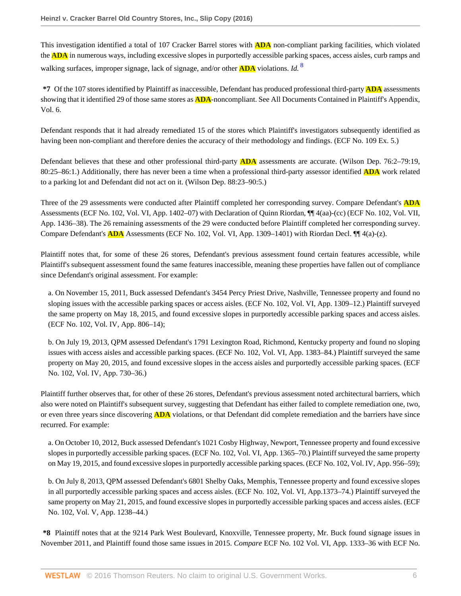This investigation identified a total of 107 Cracker Barrel stores with **ADA** non-compliant parking facilities, which violated the **ADA** in numerous ways, including excessive slopes in purportedly accessible parking spaces, access aisles, curb ramps and walking surfaces, improper signage, lack of signage, and/or other **ADA** violations. *Id.* <sup>8</sup>

**\*7** Of the 107 stores identified by Plaintiff as inaccessible, Defendant has produced professional third-party **ADA** assessments showing that it identified 29 of those same stores as **ADA**-noncompliant. See All Documents Contained in Plaintiff's Appendix, Vol. 6.

Defendant responds that it had already remediated 15 of the stores which Plaintiff's investigators subsequently identified as having been non-compliant and therefore denies the accuracy of their methodology and findings. (ECF No. 109 Ex. 5.)

Defendant believes that these and other professional third-party **ADA** assessments are accurate. (Wilson Dep. 76:2–79:19, 80:25–86:1.) Additionally, there has never been a time when a professional third-party assessor identified **ADA** work related to a parking lot and Defendant did not act on it. (Wilson Dep. 88:23–90:5.)

Three of the 29 assessments were conducted after Plaintiff completed her corresponding survey. Compare Defendant's **ADA** Assessments (ECF No. 102, Vol. VI, App. 1402–07) with Declaration of Quinn Riordan, ¶¶ 4(aa)-(cc) (ECF No. 102, Vol. VII, App. 1436–38). The 26 remaining assessments of the 29 were conducted before Plaintiff completed her corresponding survey. Compare Defendant's **ADA** Assessments (ECF No. 102, Vol. VI, App. 1309–1401) with Riordan Decl. ¶¶ 4(a)-(z).

Plaintiff notes that, for some of these 26 stores, Defendant's previous assessment found certain features accessible, while Plaintiff's subsequent assessment found the same features inaccessible, meaning these properties have fallen out of compliance since Defendant's original assessment. For example:

a. On November 15, 2011, Buck assessed Defendant's 3454 Percy Priest Drive, Nashville, Tennessee property and found no sloping issues with the accessible parking spaces or access aisles. (ECF No. 102, Vol. VI, App. 1309–12.) Plaintiff surveyed the same property on May 18, 2015, and found excessive slopes in purportedly accessible parking spaces and access aisles. (ECF No. 102, Vol. IV, App. 806–14);

b. On July 19, 2013, QPM assessed Defendant's 1791 Lexington Road, Richmond, Kentucky property and found no sloping issues with access aisles and accessible parking spaces. (ECF No. 102, Vol. VI, App. 1383–84.) Plaintiff surveyed the same property on May 20, 2015, and found excessive slopes in the access aisles and purportedly accessible parking spaces. (ECF No. 102, Vol. IV, App. 730–36.)

Plaintiff further observes that, for other of these 26 stores, Defendant's previous assessment noted architectural barriers, which also were noted on Plaintiff's subsequent survey, suggesting that Defendant has either failed to complete remediation one, two, or even three years since discovering **ADA** violations, or that Defendant did complete remediation and the barriers have since recurred. For example:

a. On October 10, 2012, Buck assessed Defendant's 1021 Cosby Highway, Newport, Tennessee property and found excessive slopes in purportedly accessible parking spaces. (ECF No. 102, Vol. VI, App. 1365–70.) Plaintiff surveyed the same property on May 19, 2015, and found excessive slopes in purportedly accessible parking spaces. (ECF No. 102, Vol. IV, App. 956–59);

b. On July 8, 2013, QPM assessed Defendant's 6801 Shelby Oaks, Memphis, Tennessee property and found excessive slopes in all purportedly accessible parking spaces and access aisles. (ECF No. 102, Vol. VI, App.1373–74.) Plaintiff surveyed the same property on May 21, 2015, and found excessive slopes in purportedly accessible parking spaces and access aisles. (ECF No. 102, Vol. V, App. 1238–44.)

**\*8** Plaintiff notes that at the 9214 Park West Boulevard, Knoxville, Tennessee property, Mr. Buck found signage issues in November 2011, and Plaintiff found those same issues in 2015. *Compare* ECF No. 102 Vol. VI, App. 1333–36 with ECF No.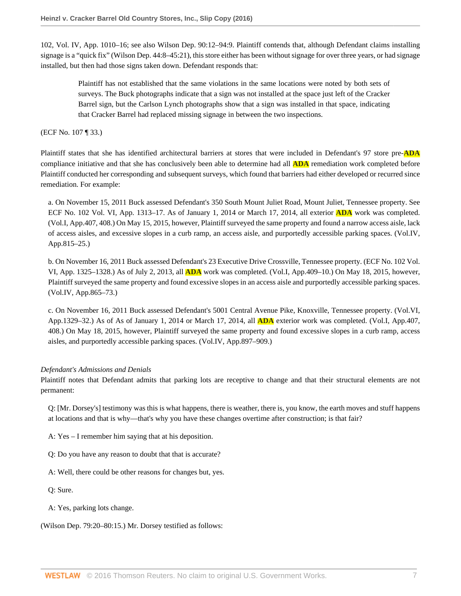102, Vol. IV, App. 1010–16; see also Wilson Dep. 90:12–94:9. Plaintiff contends that, although Defendant claims installing signage is a "quick fix" (Wilson Dep. 44:8–45:21), this store either has been without signage for over three years, or had signage installed, but then had those signs taken down. Defendant responds that:

Plaintiff has not established that the same violations in the same locations were noted by both sets of surveys. The Buck photographs indicate that a sign was not installed at the space just left of the Cracker Barrel sign, but the Carlson Lynch photographs show that a sign was installed in that space, indicating that Cracker Barrel had replaced missing signage in between the two inspections.

(ECF No. 107 ¶ 33.)

Plaintiff states that she has identified architectural barriers at stores that were included in Defendant's 97 store pre-**ADA** compliance initiative and that she has conclusively been able to determine had all **ADA** remediation work completed before Plaintiff conducted her corresponding and subsequent surveys, which found that barriers had either developed or recurred since remediation. For example:

a. On November 15, 2011 Buck assessed Defendant's 350 South Mount Juliet Road, Mount Juliet, Tennessee property. See ECF No. 102 Vol. VI, App. 1313–17. As of January 1, 2014 or March 17, 2014, all exterior **ADA** work was completed. (Vol.I, App.407, 408.) On May 15, 2015, however, Plaintiff surveyed the same property and found a narrow access aisle, lack of access aisles, and excessive slopes in a curb ramp, an access aisle, and purportedly accessible parking spaces. (Vol.IV, App.815–25.)

b. On November 16, 2011 Buck assessed Defendant's 23 Executive Drive Crossville, Tennessee property. (ECF No. 102 Vol. VI, App. 1325–1328.) As of July 2, 2013, all **ADA** work was completed. (Vol.I, App.409–10.) On May 18, 2015, however, Plaintiff surveyed the same property and found excessive slopes in an access aisle and purportedly accessible parking spaces. (Vol.IV, App.865–73.)

c. On November 16, 2011 Buck assessed Defendant's 5001 Central Avenue Pike, Knoxville, Tennessee property. (Vol.VI, App.1329–32.) As of As of January 1, 2014 or March 17, 2014, all **ADA** exterior work was completed. (Vol.I, App.407, 408.) On May 18, 2015, however, Plaintiff surveyed the same property and found excessive slopes in a curb ramp, access aisles, and purportedly accessible parking spaces. (Vol.IV, App.897–909.)

## *Defendant's Admissions and Denials*

Plaintiff notes that Defendant admits that parking lots are receptive to change and that their structural elements are not permanent:

Q: [Mr. Dorsey's] testimony was this is what happens, there is weather, there is, you know, the earth moves and stuff happens at locations and that is why—that's why you have these changes overtime after construction; is that fair?

A: Yes – I remember him saying that at his deposition.

Q: Do you have any reason to doubt that that is accurate?

A: Well, there could be other reasons for changes but, yes.

Q: Sure.

A: Yes, parking lots change.

(Wilson Dep. 79:20–80:15.) Mr. Dorsey testified as follows: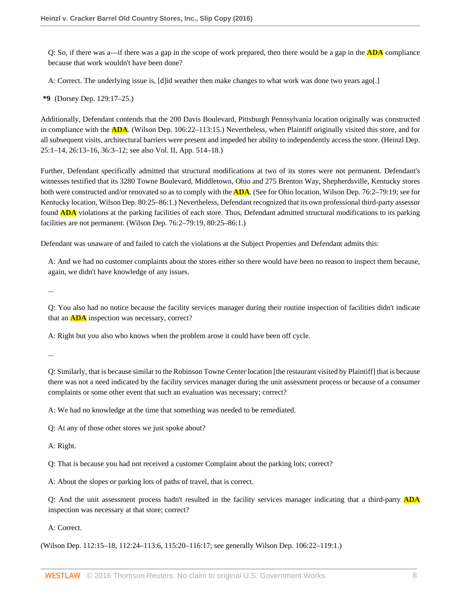Q: So, if there was a—if there was a gap in the scope of work prepared, then there would be a gap in the **ADA** compliance because that work wouldn't have been done?

A: Correct. The underlying issue is, [d]id weather then make changes to what work was done two years ago[.]

**\*9** (Dorsey Dep. 129:17–25.)

Additionally, Defendant contends that the 200 Davis Boulevard, Pittsburgh Pennsylvania location originally was constructed in compliance with the **ADA**. (Wilson Dep. 106:22–113:15.) Nevertheless, when Plaintiff originally visited this store, and for all subsequent visits, architectural barriers were present and impeded her ability to independently access the store. (Heinzl Dep. 25:1–14, 26:13–16, 36:3–12; see also Vol. II, App. 514–18.)

Further, Defendant specifically admitted that structural modifications at two of its stores were not permanent. Defendant's witnesses testified that its 3280 Towne Boulevard, Middletown, Ohio and 275 Brenton Way, Shepherdsville, Kentucky stores both were constructed and/or renovated so as to comply with the **ADA**. (See for Ohio location, Wilson Dep. 76:2–79:19; see for Kentucky location, Wilson Dep. 80:25–86:1.) Nevertheless, Defendant recognized that its own professional third-party assessor found **ADA** violations at the parking facilities of each store. Thus, Defendant admitted structural modifications to its parking facilities are not permanent. (Wilson Dep. 76:2–79:19, 80:25–86:1.)

Defendant was unaware of and failed to catch the violations at the Subject Properties and Defendant admits this:

A: And we had no customer complaints about the stores either so there would have been no reason to inspect them because, again, we didn't have knowledge of any issues.

...

Q: You also had no notice because the facility services manager during their routine inspection of facilities didn't indicate that an **ADA** inspection was necessary, correct?

A: Right but you also who knows when the problem arose it could have been off cycle.

...

Q: Similarly, that is because similar to the Robinson Towne Center location [the restaurant visited by Plaintiff] that is because there was not a need indicated by the facility services manager during the unit assessment process or because of a consumer complaints or some other event that such an evaluation was necessary; correct?

A: We had no knowledge at the time that something was needed to be remediated.

Q: At any of those other stores we just spoke about?

A: Right.

Q: That is because you had not received a customer Complaint about the parking lots; correct?

A: About the slopes or parking lots of paths of travel, that is correct.

Q: And the unit assessment process hadn't resulted in the facility services manager indicating that a third-party **ADA** inspection was necessary at that store; correct?

A: Correct.

(Wilson Dep. 112:15–18, 112:24–113:6, 115:20–116:17; see generally Wilson Dep. 106:22–119:1.)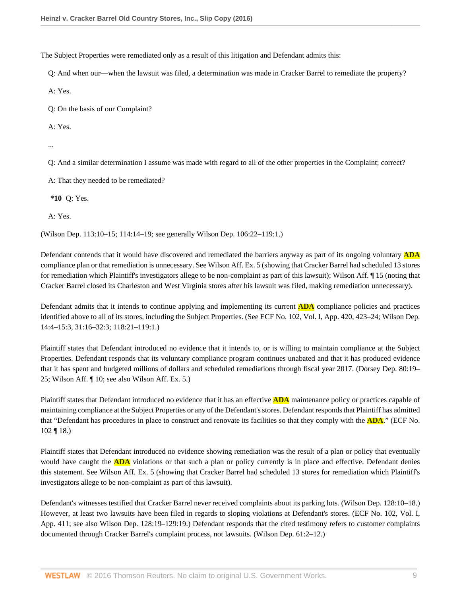The Subject Properties were remediated only as a result of this litigation and Defendant admits this:

Q: And when our—when the lawsuit was filed, a determination was made in Cracker Barrel to remediate the property?

A: Yes.

Q: On the basis of our Complaint?

A: Yes.

...

Q: And a similar determination I assume was made with regard to all of the other properties in the Complaint; correct?

A: That they needed to be remediated?

**\*10** Q: Yes.

A: Yes.

(Wilson Dep. 113:10–15; 114:14–19; see generally Wilson Dep. 106:22–119:1.)

Defendant contends that it would have discovered and remediated the barriers anyway as part of its ongoing voluntary **ADA** compliance plan or that remediation is unnecessary. See Wilson Aff. Ex. 5 (showing that Cracker Barrel had scheduled 13 stores for remediation which Plaintiff's investigators allege to be non-complaint as part of this lawsuit); Wilson Aff. ¶ 15 (noting that Cracker Barrel closed its Charleston and West Virginia stores after his lawsuit was filed, making remediation unnecessary).

Defendant admits that it intends to continue applying and implementing its current **ADA** compliance policies and practices identified above to all of its stores, including the Subject Properties. (See ECF No. 102, Vol. I, App. 420, 423–24; Wilson Dep. 14:4–15:3, 31:16–32:3; 118:21–119:1.)

Plaintiff states that Defendant introduced no evidence that it intends to, or is willing to maintain compliance at the Subject Properties. Defendant responds that its voluntary compliance program continues unabated and that it has produced evidence that it has spent and budgeted millions of dollars and scheduled remediations through fiscal year 2017. (Dorsey Dep. 80:19– 25; Wilson Aff. ¶ 10; see also Wilson Aff. Ex. 5.)

Plaintiff states that Defendant introduced no evidence that it has an effective **ADA** maintenance policy or practices capable of maintaining compliance at the Subject Properties or any of the Defendant's stores. Defendant responds that Plaintiff has admitted that "Defendant has procedures in place to construct and renovate its facilities so that they comply with the **ADA**." (ECF No. 102 ¶ 18.)

Plaintiff states that Defendant introduced no evidence showing remediation was the result of a plan or policy that eventually would have caught the **ADA** violations or that such a plan or policy currently is in place and effective. Defendant denies this statement. See Wilson Aff. Ex. 5 (showing that Cracker Barrel had scheduled 13 stores for remediation which Plaintiff's investigators allege to be non-complaint as part of this lawsuit).

Defendant's witnesses testified that Cracker Barrel never received complaints about its parking lots. (Wilson Dep. 128:10–18.) However, at least two lawsuits have been filed in regards to sloping violations at Defendant's stores. (ECF No. 102, Vol. I, App. 411; see also Wilson Dep. 128:19–129:19.) Defendant responds that the cited testimony refers to customer complaints documented through Cracker Barrel's complaint process, not lawsuits. (Wilson Dep. 61:2–12.)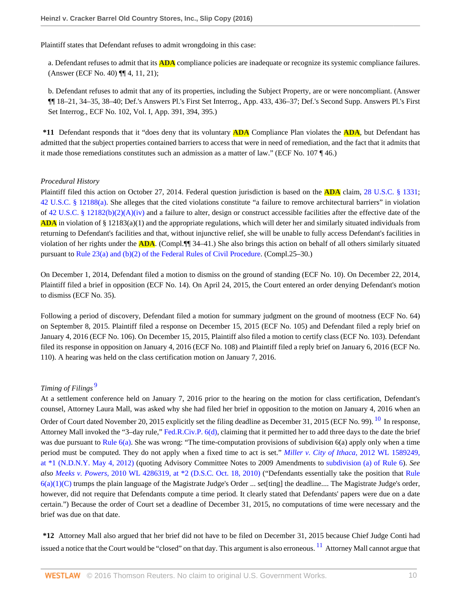Plaintiff states that Defendant refuses to admit wrongdoing in this case:

a. Defendant refuses to admit that its **ADA** compliance policies are inadequate or recognize its systemic compliance failures. (Answer (ECF No. 40) ¶¶ 4, 11, 21);

b. Defendant refuses to admit that any of its properties, including the Subject Property, are or were noncompliant. (Answer ¶¶ 18–21, 34–35, 38–40; Def.'s Answers Pl.'s First Set Interrog., App. 433, 436–37; Def.'s Second Supp. Answers Pl.'s First Set Interrog., ECF No. 102, Vol. I, App. 391, 394, 395.)

**\*11** Defendant responds that it "does deny that its voluntary **ADA** Compliance Plan violates the **ADA**, but Defendant has admitted that the subject properties contained barriers to access that were in need of remediation, and the fact that it admits that it made those remediations constitutes such an admission as a matter of law." (ECF No. 107 ¶ 46.)

### *Procedural History*

Plaintiff filed this action on October 27, 2014. Federal question jurisdiction is based on the **ADA** claim, [28 U.S.C. § 1331](http://www.westlaw.com/Link/Document/FullText?findType=L&pubNum=1000546&cite=28USCAS1331&originatingDoc=Ie1a7759011e511e6981be831f2f2ac24&refType=LQ&originationContext=document&vr=3.0&rs=cblt1.0&transitionType=DocumentItem&contextData=(sc.AlertsClip)); [42 U.S.C. § 12188\(a\)](http://www.westlaw.com/Link/Document/FullText?findType=L&pubNum=1000546&cite=42USCAS12188&originatingDoc=Ie1a7759011e511e6981be831f2f2ac24&refType=SP&originationContext=document&vr=3.0&rs=cblt1.0&transitionType=DocumentItem&contextData=(sc.AlertsClip)#co_pp_8b3b0000958a4). She alleges that the cited violations constitute "a failure to remove architectural barriers" in violation of [42 U.S.C. § 12182\(b\)\(2\)\(A\)\(iv\)](http://www.westlaw.com/Link/Document/FullText?findType=L&pubNum=1000546&cite=42USCAS12182&originatingDoc=Ie1a7759011e511e6981be831f2f2ac24&refType=SP&originationContext=document&vr=3.0&rs=cblt1.0&transitionType=DocumentItem&contextData=(sc.AlertsClip)#co_pp_a41b00006cf37) and a failure to alter, design or construct accessible facilities after the effective date of the **ADA** in violation of § 12183(a)(1) and the appropriate regulations, which will deter her and similarly situated individuals from returning to Defendant's facilities and that, without injunctive relief, she will be unable to fully access Defendant's facilities in violation of her rights under the **ADA**. (Compl.¶¶ 34–41.) She also brings this action on behalf of all others similarly situated pursuant to [Rule 23\(a\) and \(b\)\(2\) of the Federal Rules of Civil Procedure](http://www.westlaw.com/Link/Document/FullText?findType=L&pubNum=1000600&cite=USFRCPR23&originatingDoc=Ie1a7759011e511e6981be831f2f2ac24&refType=LQ&originationContext=document&vr=3.0&rs=cblt1.0&transitionType=DocumentItem&contextData=(sc.AlertsClip)). (Compl.25–30.)

On December 1, 2014, Defendant filed a motion to dismiss on the ground of standing (ECF No. 10). On December 22, 2014, Plaintiff filed a brief in opposition (ECF No. 14). On April 24, 2015, the Court entered an order denying Defendant's motion to dismiss (ECF No. 35).

Following a period of discovery, Defendant filed a motion for summary judgment on the ground of mootness (ECF No. 64) on September 8, 2015. Plaintiff filed a response on December 15, 2015 (ECF No. 105) and Defendant filed a reply brief on January 4, 2016 (ECF No. 106). On December 15, 2015, Plaintiff also filed a motion to certify class (ECF No. 103). Defendant filed its response in opposition on January 4, 2016 (ECF No. 108) and Plaintiff filed a reply brief on January 6, 2016 (ECF No. 110). A hearing was held on the class certification motion on January 7, 2016.

## <span id="page-27-0"></span>*Timing of Filings* [9](#page-41-0)

<span id="page-27-1"></span>At a settlement conference held on January 7, 2016 prior to the hearing on the motion for class certification, Defendant's counsel, Attorney Laura Mall, was asked why she had filed her brief in opposition to the motion on January 4, 2016 when an Order of Court dated November 20, 2015 explicitly set the filing deadline as December 31, 2015 (ECF No. 99). <sup>[10](#page-41-1)</sup> In response, Attorney Mall invoked the "3–day rule," [Fed.R.Civ.P. 6\(d\),](http://www.westlaw.com/Link/Document/FullText?findType=L&pubNum=1000600&cite=USFRCPR6&originatingDoc=Ie1a7759011e511e6981be831f2f2ac24&refType=LQ&originationContext=document&vr=3.0&rs=cblt1.0&transitionType=DocumentItem&contextData=(sc.AlertsClip)) claiming that it permitted her to add three days to the date the brief was due pursuant to [Rule 6\(a\).](http://www.westlaw.com/Link/Document/FullText?findType=L&pubNum=1000600&cite=USFRCPR6&originatingDoc=Ie1a7759011e511e6981be831f2f2ac24&refType=LQ&originationContext=document&vr=3.0&rs=cblt1.0&transitionType=DocumentItem&contextData=(sc.AlertsClip)) She was wrong: "The time-computation provisions of subdivision 6(a) apply only when a time period must be computed. They do not apply when a fixed time to act is set." *[Miller v. City of Ithaca,](http://www.westlaw.com/Link/Document/FullText?findType=Y&serNum=2027650558&pubNum=0000999&originatingDoc=Ie1a7759011e511e6981be831f2f2ac24&refType=RP&originationContext=document&vr=3.0&rs=cblt1.0&transitionType=DocumentItem&contextData=(sc.AlertsClip))* 2012 WL 1589249, [at \\*1 \(N.D.N.Y. May 4, 2012\)](http://www.westlaw.com/Link/Document/FullText?findType=Y&serNum=2027650558&pubNum=0000999&originatingDoc=Ie1a7759011e511e6981be831f2f2ac24&refType=RP&originationContext=document&vr=3.0&rs=cblt1.0&transitionType=DocumentItem&contextData=(sc.AlertsClip)) (quoting Advisory Committee Notes to 2009 Amendments to [subdivision \(a\) of Rule 6](http://www.westlaw.com/Link/Document/FullText?findType=L&pubNum=1000600&cite=USFRCPR6&originatingDoc=Ie1a7759011e511e6981be831f2f2ac24&refType=LQ&originationContext=document&vr=3.0&rs=cblt1.0&transitionType=DocumentItem&contextData=(sc.AlertsClip))). *See also Meeks v. Powers,* [2010 WL 4286319, at \\*2 \(D.S.C. Oct. 18, 2010\)](http://www.westlaw.com/Link/Document/FullText?findType=Y&serNum=2023571477&pubNum=0000999&originatingDoc=Ie1a7759011e511e6981be831f2f2ac24&refType=RP&originationContext=document&vr=3.0&rs=cblt1.0&transitionType=DocumentItem&contextData=(sc.AlertsClip)) ("Defendants essentially take the position that [Rule](http://www.westlaw.com/Link/Document/FullText?findType=L&pubNum=1000600&cite=USFRCPR6&originatingDoc=Ie1a7759011e511e6981be831f2f2ac24&refType=LQ&originationContext=document&vr=3.0&rs=cblt1.0&transitionType=DocumentItem&contextData=(sc.AlertsClip)) [6\(a\)\(1\)\(C\)](http://www.westlaw.com/Link/Document/FullText?findType=L&pubNum=1000600&cite=USFRCPR6&originatingDoc=Ie1a7759011e511e6981be831f2f2ac24&refType=LQ&originationContext=document&vr=3.0&rs=cblt1.0&transitionType=DocumentItem&contextData=(sc.AlertsClip)) trumps the plain language of the Magistrate Judge's Order ... set[ting] the deadline.... The Magistrate Judge's order, however, did not require that Defendants compute a time period. It clearly stated that Defendants' papers were due on a date certain.") Because the order of Court set a deadline of December 31, 2015, no computations of time were necessary and the brief was due on that date.

<span id="page-27-2"></span>**\*12** Attorney Mall also argued that her brief did not have to be filed on December 31, 2015 because Chief Judge Conti had issued a notice that the Court would be "closed" on that day. This argument is also erroneous. <sup>[11](#page-41-2)</sup> Attorney Mall cannot argue that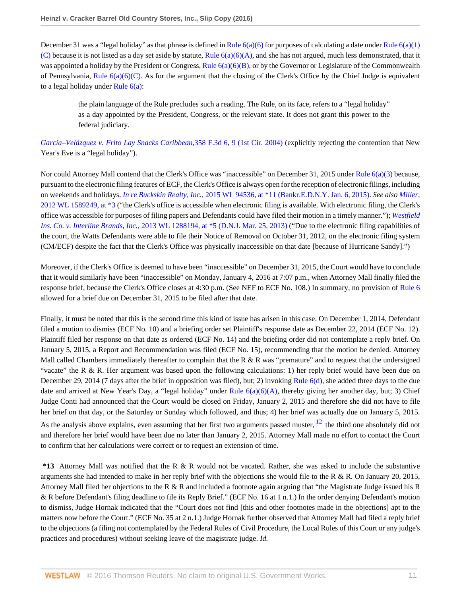December 31 was a "legal holiday" as that phrase is defined in Rule  $6(a)(6)$  for purposes of calculating a date under Rule  $6(a)(1)$ [\(C\)](http://www.westlaw.com/Link/Document/FullText?findType=L&pubNum=1000600&cite=USFRCPR6&originatingDoc=Ie1a7759011e511e6981be831f2f2ac24&refType=LQ&originationContext=document&vr=3.0&rs=cblt1.0&transitionType=DocumentItem&contextData=(sc.AlertsClip)) because it is not listed as a day set aside by statute, Rule  $6(a)(6)(A)$ , and she has not argued, much less demonstrated, that it was appointed a holiday by the President or Congress, Rule  $6(a)(6)(B)$ , or by the Governor or Legislature of the Commonwealth of Pennsylvania, Rule  $6(a)(6)(C)$ . As for the argument that the closing of the Clerk's Office by the Chief Judge is equivalent to a legal holiday under [Rule 6\(a\)](http://www.westlaw.com/Link/Document/FullText?findType=L&pubNum=1000600&cite=USFRCPR6&originatingDoc=Ie1a7759011e511e6981be831f2f2ac24&refType=LQ&originationContext=document&vr=3.0&rs=cblt1.0&transitionType=DocumentItem&contextData=(sc.AlertsClip)):

the plain language of the Rule precludes such a reading. The Rule, on its face, refers to a "legal holiday" as a day appointed by the President, Congress, or the relevant state. It does not grant this power to the federal judiciary.

*[García–Velázquez v. Frito Lay Snacks Caribbean,](http://www.westlaw.com/Link/Document/FullText?findType=Y&serNum=2004102917&pubNum=0000506&originatingDoc=Ie1a7759011e511e6981be831f2f2ac24&refType=RP&fi=co_pp_sp_506_9&originationContext=document&vr=3.0&rs=cblt1.0&transitionType=DocumentItem&contextData=(sc.AlertsClip)#co_pp_sp_506_9)*358 F.3d 6, 9 (1st Cir. 2004) (explicitly rejecting the contention that New Year's Eve is a "legal holiday").

Nor could Attorney Mall contend that the Clerk's Office was "inaccessible" on December 31, 2015 under Rule  $6(a)(3)$  because, pursuant to the electronic filing features of ECF, the Clerk's Office is always open for the reception of electronic filings, including on weekends and holidays. *In re Buckskin Realty, Inc.,* [2015 WL 94536, at \\*11 \(Bankr.E.D.N.Y. Jan. 6, 2015\).](http://www.westlaw.com/Link/Document/FullText?findType=Y&serNum=2035226660&pubNum=0000999&originatingDoc=Ie1a7759011e511e6981be831f2f2ac24&refType=RP&originationContext=document&vr=3.0&rs=cblt1.0&transitionType=DocumentItem&contextData=(sc.AlertsClip)) *See also [Miller,](http://www.westlaw.com/Link/Document/FullText?findType=Y&serNum=2027650558&pubNum=0000999&originatingDoc=Ie1a7759011e511e6981be831f2f2ac24&refType=RP&originationContext=document&vr=3.0&rs=cblt1.0&transitionType=DocumentItem&contextData=(sc.AlertsClip))* [2012 WL 1589249, at \\*3](http://www.westlaw.com/Link/Document/FullText?findType=Y&serNum=2027650558&pubNum=0000999&originatingDoc=Ie1a7759011e511e6981be831f2f2ac24&refType=RP&originationContext=document&vr=3.0&rs=cblt1.0&transitionType=DocumentItem&contextData=(sc.AlertsClip)) ("the Clerk's office is accessible when electronic filing is available. With electronic filing, the Clerk's office was accessible for purposes of filing papers and Defendants could have filed their motion in a timely manner."); *[Westfield](http://www.westlaw.com/Link/Document/FullText?findType=Y&serNum=2030259026&pubNum=0000999&originatingDoc=Ie1a7759011e511e6981be831f2f2ac24&refType=RP&originationContext=document&vr=3.0&rs=cblt1.0&transitionType=DocumentItem&contextData=(sc.AlertsClip)) Ins. Co. v. Interline Brands, Inc.,* [2013 WL 1288194, at \\*5 \(D.N.J. Mar. 25, 2013\)](http://www.westlaw.com/Link/Document/FullText?findType=Y&serNum=2030259026&pubNum=0000999&originatingDoc=Ie1a7759011e511e6981be831f2f2ac24&refType=RP&originationContext=document&vr=3.0&rs=cblt1.0&transitionType=DocumentItem&contextData=(sc.AlertsClip)) ("Due to the electronic filing capabilities of the court, the Watts Defendants were able to file their Notice of Removal on October 31, 2012, on the electronic filing system (CM/ECF) despite the fact that the Clerk's Office was physically inaccessible on that date [because of Hurricane Sandy].")

Moreover, if the Clerk's Office is deemed to have been "inaccessible" on December 31, 2015, the Court would have to conclude that it would similarly have been "inaccessible" on Monday, January 4, 2016 at 7:07 p.m., when Attorney Mall finally filed the response brief, because the Clerk's Office closes at 4:30 p.m. (See NEF to ECF No. 108.) In summary, no provision of [Rule 6](http://www.westlaw.com/Link/Document/FullText?findType=L&pubNum=1000600&cite=USFRCPR6&originatingDoc=Ie1a7759011e511e6981be831f2f2ac24&refType=LQ&originationContext=document&vr=3.0&rs=cblt1.0&transitionType=DocumentItem&contextData=(sc.AlertsClip)) allowed for a brief due on December 31, 2015 to be filed after that date.

Finally, it must be noted that this is the second time this kind of issue has arisen in this case. On December 1, 2014, Defendant filed a motion to dismiss (ECF No. 10) and a briefing order set Plaintiff's response date as December 22, 2014 (ECF No. 12). Plaintiff filed her response on that date as ordered (ECF No. 14) and the briefing order did not contemplate a reply brief. On January 5, 2015, a Report and Recommendation was filed (ECF No. 15), recommending that the motion be denied. Attorney Mall called Chambers immediately thereafter to complain that the R  $\&$  R was "premature" and to request that the undersigned "vacate" the R & R. Her argument was based upon the following calculations: 1) her reply brief would have been due on December 29, 2014 (7 days after the brief in opposition was filed), but; 2) invoking [Rule 6\(d\)](http://www.westlaw.com/Link/Document/FullText?findType=L&pubNum=1000600&cite=USFRCPR6&originatingDoc=Ie1a7759011e511e6981be831f2f2ac24&refType=LQ&originationContext=document&vr=3.0&rs=cblt1.0&transitionType=DocumentItem&contextData=(sc.AlertsClip)), she added three days to the due date and arrived at New Year's Day, a "legal holiday" under Rule  $6(a)(6)(A)$ , thereby giving her another day, but; 3) Chief Judge Conti had announced that the Court would be closed on Friday, January 2, 2015 and therefore she did not have to file her brief on that day, or the Saturday or Sunday which followed, and thus; 4) her brief was actually due on January 5, 2015.

<span id="page-28-0"></span>As the analysis above explains, even assuming that her first two arguments passed muster,  $^{12}$  $^{12}$  $^{12}$  the third one absolutely did not and therefore her brief would have been due no later than January 2, 2015. Attorney Mall made no effort to contact the Court to confirm that her calculations were correct or to request an extension of time.

**\*13** Attorney Mall was notified that the R & R would not be vacated. Rather, she was asked to include the substantive arguments she had intended to make in her reply brief with the objections she would file to the R & R. On January 20, 2015, Attorney Mall filed her objections to the R & R and included a footnote again arguing that "the Magistrate Judge issued his R & R before Defendant's filing deadline to file its Reply Brief." (ECF No. 16 at 1 n.1.) In the order denying Defendant's motion to dismiss, Judge Hornak indicated that the "Court does not find [this and other footnotes made in the objections] apt to the matters now before the Court." (ECF No. 35 at 2 n.1.) Judge Hornak further observed that Attorney Mall had filed a reply brief to the objections (a filing not contemplated by the Federal Rules of Civil Procedure, the Local Rules of this Court or any judge's practices and procedures) without seeking leave of the magistrate judge. *Id.*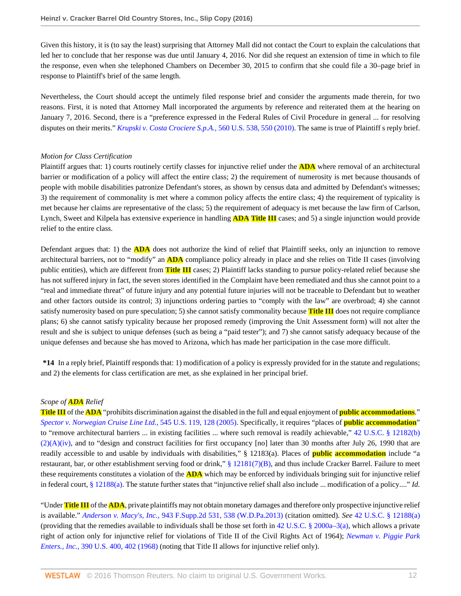Given this history, it is (to say the least) surprising that Attorney Mall did not contact the Court to explain the calculations that led her to conclude that her response was due until January 4, 2016. Nor did she request an extension of time in which to file the response, even when she telephoned Chambers on December 30, 2015 to confirm that she could file a 30–page brief in response to Plaintiff's brief of the same length.

Nevertheless, the Court should accept the untimely filed response brief and consider the arguments made therein, for two reasons. First, it is noted that Attorney Mall incorporated the arguments by reference and reiterated them at the hearing on January 7, 2016. Second, there is a "preference expressed in the Federal Rules of Civil Procedure in general ... for resolving disputes on their merits." *[Krupski v. Costa Crociere S.p.A.,](http://www.westlaw.com/Link/Document/FullText?findType=Y&serNum=2022242876&pubNum=0000780&originatingDoc=Ie1a7759011e511e6981be831f2f2ac24&refType=RP&fi=co_pp_sp_780_550&originationContext=document&vr=3.0&rs=cblt1.0&transitionType=DocumentItem&contextData=(sc.AlertsClip)#co_pp_sp_780_550)* 560 U.S. 538, 550 (2010). The same is true of Plaintiff s reply brief.

#### *Motion for Class Certification*

Plaintiff argues that: 1) courts routinely certify classes for injunctive relief under the **ADA** where removal of an architectural barrier or modification of a policy will affect the entire class; 2) the requirement of numerosity is met because thousands of people with mobile disabilities patronize Defendant's stores, as shown by census data and admitted by Defendant's witnesses; 3) the requirement of commonality is met where a common policy affects the entire class; 4) the requirement of typicality is met because her claims are representative of the class; 5) the requirement of adequacy is met because the law firm of Carlson, Lynch, Sweet and Kilpela has extensive experience in handling **ADA Title III** cases; and 5) a single injunction would provide relief to the entire class.

Defendant argues that: 1) the **ADA** does not authorize the kind of relief that Plaintiff seeks, only an injunction to remove architectural barriers, not to "modify" an **ADA** compliance policy already in place and she relies on Title II cases (involving public entities), which are different from **Title III** cases; 2) Plaintiff lacks standing to pursue policy-related relief because she has not suffered injury in fact, the seven stores identified in the Complaint have been remediated and thus she cannot point to a "real and immediate threat" of future injury and any potential future injuries will not be traceable to Defendant but to weather and other factors outside its control; 3) injunctions ordering parties to "comply with the law" are overbroad; 4) she cannot satisfy numerosity based on pure speculation; 5) she cannot satisfy commonality because **Title III** does not require compliance plans; 6) she cannot satisfy typicality because her proposed remedy (improving the Unit Assessment form) will not alter the result and she is subject to unique defenses (such as being a "paid tester"); and 7) she cannot satisfy adequacy because of the unique defenses and because she has moved to Arizona, which has made her participation in the case more difficult.

**\*14** In a reply brief, Plaintiff responds that: 1) modification of a policy is expressly provided for in the statute and regulations; and 2) the elements for class certification are met, as she explained in her principal brief.

#### *Scope of ADA Relief*

**Title III** of the **ADA** "prohibits discrimination against the disabled in the full and equal enjoyment of **public accommodations**." *[Spector v. Norwegian Cruise Line Ltd.,](http://www.westlaw.com/Link/Document/FullText?findType=Y&serNum=2006740957&pubNum=0000780&originatingDoc=Ie1a7759011e511e6981be831f2f2ac24&refType=RP&fi=co_pp_sp_780_128&originationContext=document&vr=3.0&rs=cblt1.0&transitionType=DocumentItem&contextData=(sc.AlertsClip)#co_pp_sp_780_128)* 545 U.S. 119, 128 (2005). Specifically, it requires "places of **public accommodation**" to "remove architectural barriers ... in existing facilities ... where such removal is readily achievable," [42 U.S.C. § 12182\(b\)](http://www.westlaw.com/Link/Document/FullText?findType=L&pubNum=1000546&cite=42USCAS12182&originatingDoc=Ie1a7759011e511e6981be831f2f2ac24&refType=SP&originationContext=document&vr=3.0&rs=cblt1.0&transitionType=DocumentItem&contextData=(sc.AlertsClip)#co_pp_a41b00006cf37)  $(2)(A)(iv)$ , and to "design and construct facilities for first occupancy [no] later than 30 months after July 26, 1990 that are readily accessible to and usable by individuals with disabilities," § 12183(a). Places of **public accommodation** include "a restaurant, bar, or other establishment serving food or drink," [§ 12181\(7\)\(B\),](http://www.westlaw.com/Link/Document/FullText?findType=L&pubNum=1000546&cite=42USCAS12181&originatingDoc=Ie1a7759011e511e6981be831f2f2ac24&refType=SP&originationContext=document&vr=3.0&rs=cblt1.0&transitionType=DocumentItem&contextData=(sc.AlertsClip)#co_pp_7c6f0000bf241) and thus include Cracker Barrel. Failure to meet these requirements constitutes a violation of the **ADA** which may be enforced by individuals bringing suit for injunctive relief in federal court, [§ 12188\(a\).](http://www.westlaw.com/Link/Document/FullText?findType=L&pubNum=1000546&cite=42USCAS12188&originatingDoc=Ie1a7759011e511e6981be831f2f2ac24&refType=SP&originationContext=document&vr=3.0&rs=cblt1.0&transitionType=DocumentItem&contextData=(sc.AlertsClip)#co_pp_8b3b0000958a4) The statute further states that "injunctive relief shall also include ... modification of a policy...." *Id.*

"Under **Title III** of the **ADA**, private plaintiffs may not obtain monetary damages and therefore only prospective injunctive relief is available." *Anderson v. Macy's, Inc.,* [943 F.Supp.2d 531, 538 \(W.D.Pa.2013\)](http://www.westlaw.com/Link/Document/FullText?findType=Y&serNum=2030469357&pubNum=0004637&originatingDoc=Ie1a7759011e511e6981be831f2f2ac24&refType=RP&fi=co_pp_sp_4637_538&originationContext=document&vr=3.0&rs=cblt1.0&transitionType=DocumentItem&contextData=(sc.AlertsClip)#co_pp_sp_4637_538) (citation omitted). *See* [42 U.S.C. § 12188\(a\)](http://www.westlaw.com/Link/Document/FullText?findType=L&pubNum=1000546&cite=42USCAS12188&originatingDoc=Ie1a7759011e511e6981be831f2f2ac24&refType=SP&originationContext=document&vr=3.0&rs=cblt1.0&transitionType=DocumentItem&contextData=(sc.AlertsClip)#co_pp_8b3b0000958a4) (providing that the remedies available to individuals shall be those set forth in [42 U.S.C. § 2000a–3\(a\),](http://www.westlaw.com/Link/Document/FullText?findType=L&pubNum=1000546&cite=42USCAS2000A-3&originatingDoc=Ie1a7759011e511e6981be831f2f2ac24&refType=SP&originationContext=document&vr=3.0&rs=cblt1.0&transitionType=DocumentItem&contextData=(sc.AlertsClip)#co_pp_8b3b0000958a4) which allows a private right of action only for injunctive relief for violations of Title II of the Civil Rights Act of 1964); *[Newman v. Piggie Park](http://www.westlaw.com/Link/Document/FullText?findType=Y&serNum=1968131142&pubNum=0000780&originatingDoc=Ie1a7759011e511e6981be831f2f2ac24&refType=RP&fi=co_pp_sp_780_402&originationContext=document&vr=3.0&rs=cblt1.0&transitionType=DocumentItem&contextData=(sc.AlertsClip)#co_pp_sp_780_402) Enters., Inc.,* [390 U.S. 400, 402 \(1968\)](http://www.westlaw.com/Link/Document/FullText?findType=Y&serNum=1968131142&pubNum=0000780&originatingDoc=Ie1a7759011e511e6981be831f2f2ac24&refType=RP&fi=co_pp_sp_780_402&originationContext=document&vr=3.0&rs=cblt1.0&transitionType=DocumentItem&contextData=(sc.AlertsClip)#co_pp_sp_780_402) (noting that Title II allows for injunctive relief only).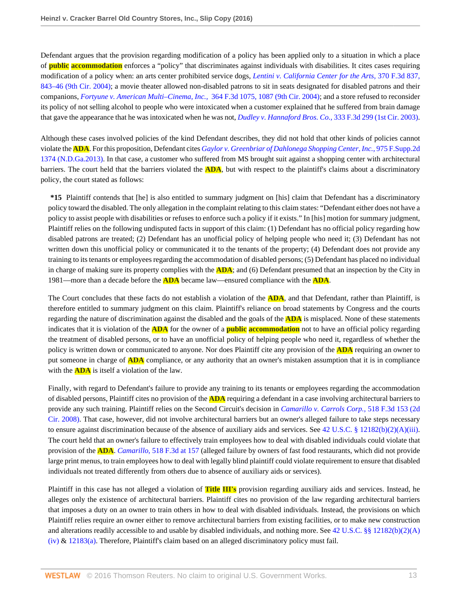Defendant argues that the provision regarding modification of a policy has been applied only to a situation in which a place of **public accommodation** enforces a "policy" that discriminates against individuals with disabilities. It cites cases requiring modification of a policy when: an arts center prohibited service dogs, *[Lentini v. California Center for the Arts,](http://www.westlaw.com/Link/Document/FullText?findType=Y&serNum=2004516854&pubNum=0000506&originatingDoc=Ie1a7759011e511e6981be831f2f2ac24&refType=RP&fi=co_pp_sp_506_843&originationContext=document&vr=3.0&rs=cblt1.0&transitionType=DocumentItem&contextData=(sc.AlertsClip)#co_pp_sp_506_843)* 370 F.3d 837, [843–46 \(9th Cir. 2004\)](http://www.westlaw.com/Link/Document/FullText?findType=Y&serNum=2004516854&pubNum=0000506&originatingDoc=Ie1a7759011e511e6981be831f2f2ac24&refType=RP&fi=co_pp_sp_506_843&originationContext=document&vr=3.0&rs=cblt1.0&transitionType=DocumentItem&contextData=(sc.AlertsClip)#co_pp_sp_506_843); a movie theater allowed non-disabled patrons to sit in seats designated for disabled patrons and their companions, *[Fortyune v. American Multi–Cinema, Inc.,](http://www.westlaw.com/Link/Document/FullText?findType=Y&serNum=2004326711&pubNum=0000506&originatingDoc=Ie1a7759011e511e6981be831f2f2ac24&refType=RP&fi=co_pp_sp_506_1087&originationContext=document&vr=3.0&rs=cblt1.0&transitionType=DocumentItem&contextData=(sc.AlertsClip)#co_pp_sp_506_1087)* 364 F.3d 1075, 1087 (9th Cir. 2004); and a store refused to reconsider its policy of not selling alcohol to people who were intoxicated when a customer explained that he suffered from brain damage that gave the appearance that he was intoxicated when he was not, *[Dudley v. Hannaford Bros. Co.,](http://www.westlaw.com/Link/Document/FullText?findType=Y&serNum=2003446369&pubNum=0000506&originatingDoc=Ie1a7759011e511e6981be831f2f2ac24&refType=RP&originationContext=document&vr=3.0&rs=cblt1.0&transitionType=DocumentItem&contextData=(sc.AlertsClip))* 333 F.3d 299 (1st Cir. 2003).

Although these cases involved policies of the kind Defendant describes, they did not hold that other kinds of policies cannot violate the **ADA**. For this proposition, Defendant cites *[Gaylor v. Greenbriar of Dahlonega Shopping Center, Inc.,](http://www.westlaw.com/Link/Document/FullText?findType=Y&serNum=2031678941&pubNum=0004637&originatingDoc=Ie1a7759011e511e6981be831f2f2ac24&refType=RP&originationContext=document&vr=3.0&rs=cblt1.0&transitionType=DocumentItem&contextData=(sc.AlertsClip))* 975 F.Supp.2d [1374 \(N.D.Ga.2013\).](http://www.westlaw.com/Link/Document/FullText?findType=Y&serNum=2031678941&pubNum=0004637&originatingDoc=Ie1a7759011e511e6981be831f2f2ac24&refType=RP&originationContext=document&vr=3.0&rs=cblt1.0&transitionType=DocumentItem&contextData=(sc.AlertsClip)) In that case, a customer who suffered from MS brought suit against a shopping center with architectural barriers. The court held that the barriers violated the **ADA**, but with respect to the plaintiff's claims about a discriminatory policy, the court stated as follows:

**\*15** Plaintiff contends that [he] is also entitled to summary judgment on [his] claim that Defendant has a discriminatory policy toward the disabled. The only allegation in the complaint relating to this claim states: "Defendant either does not have a policy to assist people with disabilities or refuses to enforce such a policy if it exists." In [his] motion for summary judgment, Plaintiff relies on the following undisputed facts in support of this claim: (1) Defendant has no official policy regarding how disabled patrons are treated; (2) Defendant has an unofficial policy of helping people who need it; (3) Defendant has not written down this unofficial policy or communicated it to the tenants of the property; (4) Defendant does not provide any training to its tenants or employees regarding the accommodation of disabled persons; (5) Defendant has placed no individual in charge of making sure its property complies with the **ADA**; and (6) Defendant presumed that an inspection by the City in 1981—more than a decade before the **ADA** became law—ensured compliance with the **ADA**.

The Court concludes that these facts do not establish a violation of the **ADA**, and that Defendant, rather than Plaintiff, is therefore entitled to summary judgment on this claim. Plaintiff's reliance on broad statements by Congress and the courts regarding the nature of discrimination against the disabled and the goals of the **ADA** is misplaced. None of these statements indicates that it is violation of the **ADA** for the owner of a **public accommodation** not to have an official policy regarding the treatment of disabled persons, or to have an unofficial policy of helping people who need it, regardless of whether the policy is written down or communicated to anyone. Nor does Plaintiff cite any provision of the **ADA** requiring an owner to put someone in charge of **ADA** compliance, or any authority that an owner's mistaken assumption that it is in compliance with the **ADA** is itself a violation of the law.

Finally, with regard to Defendant's failure to provide any training to its tenants or employees regarding the accommodation of disabled persons, Plaintiff cites no provision of the **ADA** requiring a defendant in a case involving architectural barriers to provide any such training. Plaintiff relies on the Second Circuit's decision in *[Camarillo v. Carrols Corp.,](http://www.westlaw.com/Link/Document/FullText?findType=Y&serNum=2015173128&pubNum=0000506&originatingDoc=Ie1a7759011e511e6981be831f2f2ac24&refType=RP&originationContext=document&vr=3.0&rs=cblt1.0&transitionType=DocumentItem&contextData=(sc.AlertsClip))* 518 F.3d 153 (2d [Cir. 2008\)](http://www.westlaw.com/Link/Document/FullText?findType=Y&serNum=2015173128&pubNum=0000506&originatingDoc=Ie1a7759011e511e6981be831f2f2ac24&refType=RP&originationContext=document&vr=3.0&rs=cblt1.0&transitionType=DocumentItem&contextData=(sc.AlertsClip)). That case, however, did not involve architectural barriers but an owner's alleged failure to take steps necessary to ensure against discrimination because of the absence of auxiliary aids and services. See [42 U.S.C. § 12182\(b\)\(2\)\(A\)\(iii\)](http://www.westlaw.com/Link/Document/FullText?findType=L&pubNum=1000546&cite=42USCAS12182&originatingDoc=Ie1a7759011e511e6981be831f2f2ac24&refType=SP&originationContext=document&vr=3.0&rs=cblt1.0&transitionType=DocumentItem&contextData=(sc.AlertsClip)#co_pp_803c00004e281). The court held that an owner's failure to effectively train employees how to deal with disabled individuals could violate that provision of the **ADA**. *Camarillo,* [518 F.3d at 157](http://www.westlaw.com/Link/Document/FullText?findType=Y&serNum=2015173128&pubNum=0000506&originatingDoc=Ie1a7759011e511e6981be831f2f2ac24&refType=RP&fi=co_pp_sp_506_157&originationContext=document&vr=3.0&rs=cblt1.0&transitionType=DocumentItem&contextData=(sc.AlertsClip)#co_pp_sp_506_157) (alleged failure by owners of fast food restaurants, which did not provide large print menus, to train employees how to deal with legally blind plaintiff could violate requirement to ensure that disabled individuals not treated differently from others due to absence of auxiliary aids or services).

Plaintiff in this case has not alleged a violation of **Title III's** provision regarding auxiliary aids and services. Instead, he alleges only the existence of architectural barriers. Plaintiff cites no provision of the law regarding architectural barriers that imposes a duty on an owner to train others in how to deal with disabled individuals. Instead, the provisions on which Plaintiff relies require an owner either to remove architectural barriers from existing facilities, or to make new construction and alterations readily accessible to and usable by disabled individuals, and nothing more. See [42 U.S.C. §§ 12182\(b\)\(2\)\(A\)](http://www.westlaw.com/Link/Document/FullText?findType=L&pubNum=1000546&cite=42USCAS12182&originatingDoc=Ie1a7759011e511e6981be831f2f2ac24&refType=SP&originationContext=document&vr=3.0&rs=cblt1.0&transitionType=DocumentItem&contextData=(sc.AlertsClip)#co_pp_a41b00006cf37) [\(iv\)](http://www.westlaw.com/Link/Document/FullText?findType=L&pubNum=1000546&cite=42USCAS12182&originatingDoc=Ie1a7759011e511e6981be831f2f2ac24&refType=SP&originationContext=document&vr=3.0&rs=cblt1.0&transitionType=DocumentItem&contextData=(sc.AlertsClip)#co_pp_a41b00006cf37) & [12183\(a\)](http://www.westlaw.com/Link/Document/FullText?findType=L&pubNum=1000546&cite=42USCAS12183&originatingDoc=Ie1a7759011e511e6981be831f2f2ac24&refType=SP&originationContext=document&vr=3.0&rs=cblt1.0&transitionType=DocumentItem&contextData=(sc.AlertsClip)#co_pp_8b3b0000958a4). Therefore, Plaintiff's claim based on an alleged discriminatory policy must fail.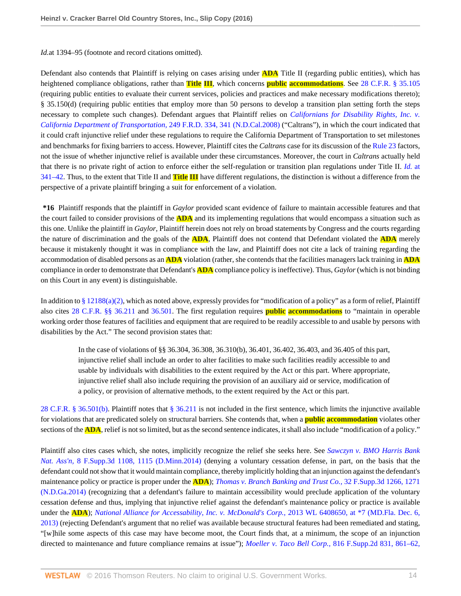*Id.*at 1394–95 (footnote and record citations omitted).

Defendant also contends that Plaintiff is relying on cases arising under **ADA** Title II (regarding public entities), which has heightened compliance obligations, rather than **Title III**, which concerns **public accommodations**. See [28 C.F.R. § 35.105](http://www.westlaw.com/Link/Document/FullText?findType=L&pubNum=1000547&cite=28CFRS35.105&originatingDoc=Ie1a7759011e511e6981be831f2f2ac24&refType=LQ&originationContext=document&vr=3.0&rs=cblt1.0&transitionType=DocumentItem&contextData=(sc.AlertsClip)) (requiring public entities to evaluate their current services, policies and practices and make necessary modifications thereto); § 35.150(d) (requiring public entities that employ more than 50 persons to develop a transition plan setting forth the steps necessary to complete such changes). Defendant argues that Plaintiff relies on *[Californians for Disability Rights, Inc. v.](http://www.westlaw.com/Link/Document/FullText?findType=Y&serNum=2015500341&pubNum=0000344&originatingDoc=Ie1a7759011e511e6981be831f2f2ac24&refType=RP&fi=co_pp_sp_344_341&originationContext=document&vr=3.0&rs=cblt1.0&transitionType=DocumentItem&contextData=(sc.AlertsClip)#co_pp_sp_344_341) [California Department of Transportation,](http://www.westlaw.com/Link/Document/FullText?findType=Y&serNum=2015500341&pubNum=0000344&originatingDoc=Ie1a7759011e511e6981be831f2f2ac24&refType=RP&fi=co_pp_sp_344_341&originationContext=document&vr=3.0&rs=cblt1.0&transitionType=DocumentItem&contextData=(sc.AlertsClip)#co_pp_sp_344_341)* 249 F.R.D. 334, 341 (N.D.Cal.2008) ("Caltrans"), in which the court indicated that it could craft injunctive relief under these regulations to require the California Department of Transportation to set milestones and benchmarks for fixing barriers to access. However, Plaintiff cites the *Caltrans* case for its discussion of the [Rule 23](http://www.westlaw.com/Link/Document/FullText?findType=L&pubNum=1000600&cite=USFRCPR23&originatingDoc=Ie1a7759011e511e6981be831f2f2ac24&refType=LQ&originationContext=document&vr=3.0&rs=cblt1.0&transitionType=DocumentItem&contextData=(sc.AlertsClip)) factors, not the issue of whether injunctive relief is available under these circumstances. Moreover, the court in *Caltrans* actually held that there is no private right of action to enforce either the self-regulation or transition plan regulations under Title II. *[Id.](http://www.westlaw.com/Link/Document/FullText?findType=Y&serNum=2015500341&pubNum=0000344&originatingDoc=Ie1a7759011e511e6981be831f2f2ac24&refType=RP&fi=co_pp_sp_344_341&originationContext=document&vr=3.0&rs=cblt1.0&transitionType=DocumentItem&contextData=(sc.AlertsClip)#co_pp_sp_344_341)* at [341–42](http://www.westlaw.com/Link/Document/FullText?findType=Y&serNum=2015500341&pubNum=0000344&originatingDoc=Ie1a7759011e511e6981be831f2f2ac24&refType=RP&fi=co_pp_sp_344_341&originationContext=document&vr=3.0&rs=cblt1.0&transitionType=DocumentItem&contextData=(sc.AlertsClip)#co_pp_sp_344_341). Thus, to the extent that Title II and **Title III** have different regulations, the distinction is without a difference from the perspective of a private plaintiff bringing a suit for enforcement of a violation.

**\*16** Plaintiff responds that the plaintiff in *Gaylor* provided scant evidence of failure to maintain accessible features and that the court failed to consider provisions of the **ADA** and its implementing regulations that would encompass a situation such as this one. Unlike the plaintiff in *Gaylor,* Plaintiff herein does not rely on broad statements by Congress and the courts regarding the nature of discrimination and the goals of the **ADA**, Plaintiff does not contend that Defendant violated the **ADA** merely because it mistakenly thought it was in compliance with the law, and Plaintiff does not cite a lack of training regarding the accommodation of disabled persons as an **ADA** violation (rather, she contends that the facilities managers lack training in **ADA** compliance in order to demonstrate that Defendant's **ADA** compliance policy is ineffective). Thus, *Gaylor* (which is not binding on this Court in any event) is distinguishable.

In addition to [§ 12188\(a\)\(2\)](http://www.westlaw.com/Link/Document/FullText?findType=L&pubNum=1000546&cite=42USCAS12188&originatingDoc=Ie1a7759011e511e6981be831f2f2ac24&refType=SP&originationContext=document&vr=3.0&rs=cblt1.0&transitionType=DocumentItem&contextData=(sc.AlertsClip)#co_pp_d86d0000be040), which as noted above, expressly provides for "modification of a policy" as a form of relief, Plaintiff also cites [28 C.F.R. §§ 36.211](http://www.westlaw.com/Link/Document/FullText?findType=L&pubNum=1000547&cite=28CFRS36.211&originatingDoc=Ie1a7759011e511e6981be831f2f2ac24&refType=LQ&originationContext=document&vr=3.0&rs=cblt1.0&transitionType=DocumentItem&contextData=(sc.AlertsClip)) and [36.501.](http://www.westlaw.com/Link/Document/FullText?findType=L&pubNum=1000547&cite=28CFRS36.501&originatingDoc=Ie1a7759011e511e6981be831f2f2ac24&refType=LQ&originationContext=document&vr=3.0&rs=cblt1.0&transitionType=DocumentItem&contextData=(sc.AlertsClip)) The first regulation requires **public accommodations** to "maintain in operable working order those features of facilities and equipment that are required to be readily accessible to and usable by persons with disabilities by the Act." The second provision states that:

In the case of violations of §§ 36.304, 36.308, 36.310(b), 36.401, 36.402, 36.403, and 36.405 of this part, injunctive relief shall include an order to alter facilities to make such facilities readily accessible to and usable by individuals with disabilities to the extent required by the Act or this part. Where appropriate, injunctive relief shall also include requiring the provision of an auxiliary aid or service, modification of a policy, or provision of alternative methods, to the extent required by the Act or this part.

[28 C.F.R. § 36.501\(b\)](http://www.westlaw.com/Link/Document/FullText?findType=L&pubNum=1000547&cite=28CFRS36.501&originatingDoc=Ie1a7759011e511e6981be831f2f2ac24&refType=LQ&originationContext=document&vr=3.0&rs=cblt1.0&transitionType=DocumentItem&contextData=(sc.AlertsClip)). Plaintiff notes that [§ 36.211](http://www.westlaw.com/Link/Document/FullText?findType=L&pubNum=1000547&cite=28CFRS36.211&originatingDoc=Ie1a7759011e511e6981be831f2f2ac24&refType=LQ&originationContext=document&vr=3.0&rs=cblt1.0&transitionType=DocumentItem&contextData=(sc.AlertsClip)) is not included in the first sentence, which limits the injunctive available for violations that are predicated solely on structural barriers. She contends that, when a **public accommodation** violates other sections of the **ADA**, relief is not so limited, but as the second sentence indicates, it shall also include "modification of a policy."

Plaintiff also cites cases which, she notes, implicitly recognize the relief she seeks here. See *[Sawczyn v. BMO Harris Bank](http://www.westlaw.com/Link/Document/FullText?findType=Y&serNum=2032931645&pubNum=0007903&originatingDoc=Ie1a7759011e511e6981be831f2f2ac24&refType=RP&fi=co_pp_sp_7903_1115&originationContext=document&vr=3.0&rs=cblt1.0&transitionType=DocumentItem&contextData=(sc.AlertsClip)#co_pp_sp_7903_1115) Nat. Ass'n,* [8 F.Supp.3d 1108, 1115 \(D.Minn.2014\)](http://www.westlaw.com/Link/Document/FullText?findType=Y&serNum=2032931645&pubNum=0007903&originatingDoc=Ie1a7759011e511e6981be831f2f2ac24&refType=RP&fi=co_pp_sp_7903_1115&originationContext=document&vr=3.0&rs=cblt1.0&transitionType=DocumentItem&contextData=(sc.AlertsClip)#co_pp_sp_7903_1115) (denying a voluntary cessation defense, in part, on the basis that the defendant could not show that it would maintain compliance, thereby implicitly holding that an injunction against the defendant's maintenance policy or practice is proper under the **ADA**); *[Thomas v. Branch Banking and Trust Co.,](http://www.westlaw.com/Link/Document/FullText?findType=Y&serNum=2033845125&pubNum=0007903&originatingDoc=Ie1a7759011e511e6981be831f2f2ac24&refType=RP&fi=co_pp_sp_7903_1271&originationContext=document&vr=3.0&rs=cblt1.0&transitionType=DocumentItem&contextData=(sc.AlertsClip)#co_pp_sp_7903_1271)* 32 F.Supp.3d 1266, 1271 [\(N.D.Ga.2014\)](http://www.westlaw.com/Link/Document/FullText?findType=Y&serNum=2033845125&pubNum=0007903&originatingDoc=Ie1a7759011e511e6981be831f2f2ac24&refType=RP&fi=co_pp_sp_7903_1271&originationContext=document&vr=3.0&rs=cblt1.0&transitionType=DocumentItem&contextData=(sc.AlertsClip)#co_pp_sp_7903_1271) (recognizing that a defendant's failure to maintain accessibility would preclude application of the voluntary cessation defense and thus, implying that injunctive relief against the defendant's maintenance policy or practice is available under the **ADA**); *[National Alliance for Accessability, Inc. v. McDonald's Corp.,](http://www.westlaw.com/Link/Document/FullText?findType=Y&serNum=2032243688&pubNum=0000999&originatingDoc=Ie1a7759011e511e6981be831f2f2ac24&refType=RP&originationContext=document&vr=3.0&rs=cblt1.0&transitionType=DocumentItem&contextData=(sc.AlertsClip))* 2013 WL 6408650, at \*7 (MD.Fla. Dec. 6, [2013\)](http://www.westlaw.com/Link/Document/FullText?findType=Y&serNum=2032243688&pubNum=0000999&originatingDoc=Ie1a7759011e511e6981be831f2f2ac24&refType=RP&originationContext=document&vr=3.0&rs=cblt1.0&transitionType=DocumentItem&contextData=(sc.AlertsClip)) (rejecting Defendant's argument that no relief was available because structural features had been remediated and stating, "[w]hile some aspects of this case may have become moot, the Court finds that, at a minimum, the scope of an injunction directed to maintenance and future compliance remains at issue"); *Moeller v. Taco Bell Corp.,* [816 F.Supp.2d 831, 861–62,](http://www.westlaw.com/Link/Document/FullText?findType=Y&serNum=2026297075&pubNum=0004637&originatingDoc=Ie1a7759011e511e6981be831f2f2ac24&refType=RP&fi=co_pp_sp_4637_861&originationContext=document&vr=3.0&rs=cblt1.0&transitionType=DocumentItem&contextData=(sc.AlertsClip)#co_pp_sp_4637_861)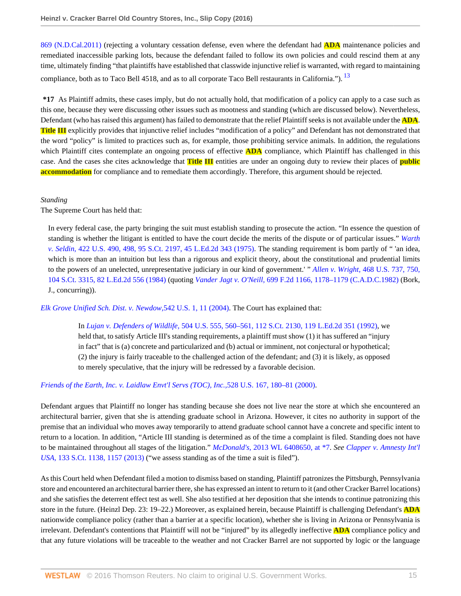[869 \(N.D.Cal.2011\)](http://www.westlaw.com/Link/Document/FullText?findType=Y&serNum=2026297075&pubNum=0004637&originatingDoc=Ie1a7759011e511e6981be831f2f2ac24&refType=RP&fi=co_pp_sp_4637_861&originationContext=document&vr=3.0&rs=cblt1.0&transitionType=DocumentItem&contextData=(sc.AlertsClip)#co_pp_sp_4637_861) (rejecting a voluntary cessation defense, even where the defendant had **ADA** maintenance policies and remediated inaccessible parking lots, because the defendant failed to follow its own policies and could rescind them at any time, ultimately finding "that plaintiffs have established that classwide injunctive relief is warranted, with regard to maintaining compliance, both as to Taco Bell 4518, and as to all corporate Taco Bell restaurants in California."). <sup>[13](#page-41-4)</sup>

<span id="page-32-0"></span>**\*17** As Plaintiff admits, these cases imply, but do not actually hold, that modification of a policy can apply to a case such as this one, because they were discussing other issues such as mootness and standing (which are discussed below). Nevertheless, Defendant (who has raised this argument) has failed to demonstrate that the relief Plaintiff seeks is not available under the **ADA**. **Title III** explicitly provides that injunctive relief includes "modification of a policy" and Defendant has not demonstrated that the word "policy" is limited to practices such as, for example, those prohibiting service animals. In addition, the regulations which Plaintiff cites contemplate an ongoing process of effective **ADA** compliance, which Plaintiff has challenged in this case. And the cases she cites acknowledge that **Title III** entities are under an ongoing duty to review their places of **public accommodation** for compliance and to remediate them accordingly. Therefore, this argument should be rejected.

## *Standing*

The Supreme Court has held that:

In every federal case, the party bringing the suit must establish standing to prosecute the action. "In essence the question of standing is whether the litigant is entitled to have the court decide the merits of the dispute or of particular issues." *[Warth](http://www.westlaw.com/Link/Document/FullText?findType=Y&serNum=1975129820&pubNum=0000708&originatingDoc=Ie1a7759011e511e6981be831f2f2ac24&refType=RP&originationContext=document&vr=3.0&rs=cblt1.0&transitionType=DocumentItem&contextData=(sc.AlertsClip)) v. Seldin,* [422 U.S. 490, 498, 95 S.Ct. 2197, 45 L.Ed.2d 343 \(1975\).](http://www.westlaw.com/Link/Document/FullText?findType=Y&serNum=1975129820&pubNum=0000708&originatingDoc=Ie1a7759011e511e6981be831f2f2ac24&refType=RP&originationContext=document&vr=3.0&rs=cblt1.0&transitionType=DocumentItem&contextData=(sc.AlertsClip)) The standing requirement is bom partly of " 'an idea, which is more than an intuition but less than a rigorous and explicit theory, about the constitutional and prudential limits to the powers of an unelected, unrepresentative judiciary in our kind of government.' " *Allen v. Wright,* [468 U.S. 737, 750,](http://www.westlaw.com/Link/Document/FullText?findType=Y&serNum=1984132352&pubNum=0000708&originatingDoc=Ie1a7759011e511e6981be831f2f2ac24&refType=RP&originationContext=document&vr=3.0&rs=cblt1.0&transitionType=DocumentItem&contextData=(sc.AlertsClip)) [104 S.Ct. 3315, 82 L.Ed.2d 556 \(1984\)](http://www.westlaw.com/Link/Document/FullText?findType=Y&serNum=1984132352&pubNum=0000708&originatingDoc=Ie1a7759011e511e6981be831f2f2ac24&refType=RP&originationContext=document&vr=3.0&rs=cblt1.0&transitionType=DocumentItem&contextData=(sc.AlertsClip)) (quoting *Vander Jagt v. O'Neill,* [699 F.2d 1166, 1178–1179 \(C.A.D.C.1982\)](http://www.westlaw.com/Link/Document/FullText?findType=Y&serNum=1983107971&pubNum=0000350&originatingDoc=Ie1a7759011e511e6981be831f2f2ac24&refType=RP&fi=co_pp_sp_350_1178&originationContext=document&vr=3.0&rs=cblt1.0&transitionType=DocumentItem&contextData=(sc.AlertsClip)#co_pp_sp_350_1178) (Bork, J., concurring)).

*[Elk Grove Unified Sch. Dist. v. Newdow,](http://www.westlaw.com/Link/Document/FullText?findType=Y&serNum=2004581269&pubNum=0000780&originatingDoc=Ie1a7759011e511e6981be831f2f2ac24&refType=RP&fi=co_pp_sp_780_11&originationContext=document&vr=3.0&rs=cblt1.0&transitionType=DocumentItem&contextData=(sc.AlertsClip)#co_pp_sp_780_11)*542 U.S. 1, 11 (2004). The Court has explained that:

In *Lujan v. Defenders of Wildlife,* [504 U.S. 555, 560–561, 112 S.Ct. 2130, 119 L.Ed.2d 351 \(1992\)](http://www.westlaw.com/Link/Document/FullText?findType=Y&serNum=1992106162&pubNum=0000708&originatingDoc=Ie1a7759011e511e6981be831f2f2ac24&refType=RP&originationContext=document&vr=3.0&rs=cblt1.0&transitionType=DocumentItem&contextData=(sc.AlertsClip)), we held that, to satisfy Article III's standing requirements, a plaintiff must show (1) it has suffered an "injury in fact" that is (a) concrete and particularized and (b) actual or imminent, not conjectural or hypothetical; (2) the injury is fairly traceable to the challenged action of the defendant; and (3) it is likely, as opposed to merely speculative, that the injury will be redressed by a favorable decision.

## *[Friends of the Earth, Inc. v. Laidlaw Envt'l Servs \(TOC\), Inc.,](http://www.westlaw.com/Link/Document/FullText?findType=Y&serNum=2000029538&pubNum=0000780&originatingDoc=Ie1a7759011e511e6981be831f2f2ac24&refType=RP&fi=co_pp_sp_780_180&originationContext=document&vr=3.0&rs=cblt1.0&transitionType=DocumentItem&contextData=(sc.AlertsClip)#co_pp_sp_780_180)*528 U.S. 167, 180–81 (2000).

Defendant argues that Plaintiff no longer has standing because she does not live near the store at which she encountered an architectural barrier, given that she is attending graduate school in Arizona. However, it cites no authority in support of the premise that an individual who moves away temporarily to attend graduate school cannot have a concrete and specific intent to return to a location. In addition, "Article III standing is determined as of the time a complaint is filed. Standing does not have to be maintained throughout all stages of the litigation." *McDonald's,* [2013 WL 6408650, at \\*7](http://www.westlaw.com/Link/Document/FullText?findType=Y&serNum=2032243688&pubNum=0000999&originatingDoc=Ie1a7759011e511e6981be831f2f2ac24&refType=RP&originationContext=document&vr=3.0&rs=cblt1.0&transitionType=DocumentItem&contextData=(sc.AlertsClip)). *See [Clapper v. Amnesty Int'l](http://www.westlaw.com/Link/Document/FullText?findType=Y&serNum=2029935439&pubNum=0000708&originatingDoc=Ie1a7759011e511e6981be831f2f2ac24&refType=RP&fi=co_pp_sp_708_1157&originationContext=document&vr=3.0&rs=cblt1.0&transitionType=DocumentItem&contextData=(sc.AlertsClip)#co_pp_sp_708_1157) USA,* [133 S.Ct. 1138, 1157 \(2013\)](http://www.westlaw.com/Link/Document/FullText?findType=Y&serNum=2029935439&pubNum=0000708&originatingDoc=Ie1a7759011e511e6981be831f2f2ac24&refType=RP&fi=co_pp_sp_708_1157&originationContext=document&vr=3.0&rs=cblt1.0&transitionType=DocumentItem&contextData=(sc.AlertsClip)#co_pp_sp_708_1157) ("we assess standing as of the time a suit is filed").

As this Court held when Defendant filed a motion to dismiss based on standing, Plaintiff patronizes the Pittsburgh, Pennsylvania store and encountered an architectural barrier there, she has expressed an intent to return to it (and other Cracker Barrel locations) and she satisfies the deterrent effect test as well. She also testified at her deposition that she intends to continue patronizing this store in the future. (Heinzl Dep. 23: 19–22.) Moreover, as explained herein, because Plaintiff is challenging Defendant's **ADA** nationwide compliance policy (rather than a barrier at a specific location), whether she is living in Arizona or Pennsylvania is irrelevant. Defendant's contentions that Plaintiff will not be "injured" by its allegedly ineffective **ADA** compliance policy and that any future violations will be traceable to the weather and not Cracker Barrel are not supported by logic or the language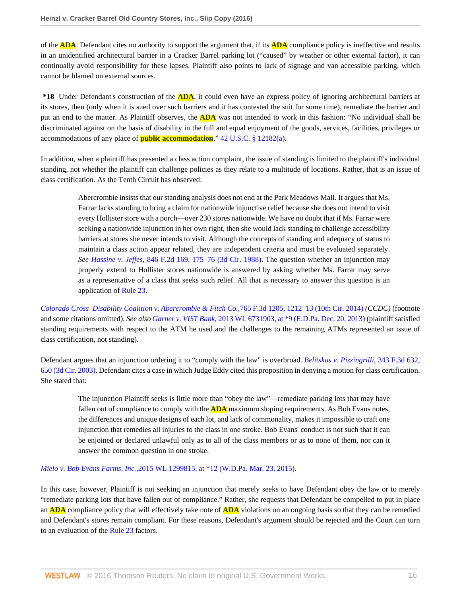of the **ADA**. Defendant cites no authority to support the argument that, if its **ADA** compliance policy is ineffective and results in an unidentified architectural barrier in a Cracker Barrel parking lot ("caused" by weather or other external factor), it can continually avoid responsibility for these lapses. Plaintiff also points to lack of signage and van accessible parking, which cannot be blamed on external sources.

**\*18** Under Defendant's construction of the **ADA**, it could even have an express policy of ignoring architectural barriers at its stores, then (only when it is sued over such barriers and it has contested the suit for some time), remediate the barrier and put an end to the matter. As Plaintiff observes, the **ADA** was not intended to work in this fashion: "No individual shall be discriminated against on the basis of disability in the full and equal enjoyment of the goods, services, facilities, privileges or accommodations of any place of **public accommodation**." [42 U.S.C. § 12182\(a\)](http://www.westlaw.com/Link/Document/FullText?findType=L&pubNum=1000546&cite=42USCAS12182&originatingDoc=Ie1a7759011e511e6981be831f2f2ac24&refType=SP&originationContext=document&vr=3.0&rs=cblt1.0&transitionType=DocumentItem&contextData=(sc.AlertsClip)#co_pp_8b3b0000958a4).

In addition, when a plaintiff has presented a class action complaint, the issue of standing is limited to the plaintiff's individual standing, not whether the plaintiff can challenge policies as they relate to a multitude of locations. Rather, that is an issue of class certification. As the Tenth Circuit has observed:

> Abercrombie insists that our standing analysis does not end at the Park Meadows Mall. It argues that Ms. Farrar lacks standing to bring a claim for nationwide injunctive relief because she does not intend to visit every Hollister store with a porch—over 230 stores nationwide. We have no doubt that if Ms. Farrar were seeking a nationwide injunction in her own right, then she would lack standing to challenge accessibility barriers at stores she never intends to visit. Although the concepts of standing and adequacy of status to maintain a class action appear related, they are independent criteria and must be evaluated separately. *See Hassine v. Jeffes,* [846 F.2d 169, 175–76 \(3d Cir. 1988\)](http://www.westlaw.com/Link/Document/FullText?findType=Y&serNum=1988057649&pubNum=0000350&originatingDoc=Ie1a7759011e511e6981be831f2f2ac24&refType=RP&fi=co_pp_sp_350_175&originationContext=document&vr=3.0&rs=cblt1.0&transitionType=DocumentItem&contextData=(sc.AlertsClip)#co_pp_sp_350_175). The question whether an injunction may properly extend to Hollister stores nationwide is answered by asking whether Ms. Farrar may serve as a representative of a class that seeks such relief. All that is necessary to answer this question is an application of [Rule 23](http://www.westlaw.com/Link/Document/FullText?findType=L&pubNum=1000600&cite=USFRCPR23&originatingDoc=Ie1a7759011e511e6981be831f2f2ac24&refType=LQ&originationContext=document&vr=3.0&rs=cblt1.0&transitionType=DocumentItem&contextData=(sc.AlertsClip)).

*[Colorado Cross–Disability Coalition v. Abercrombie & Fitch Co.,](http://www.westlaw.com/Link/Document/FullText?findType=Y&serNum=2034251905&pubNum=0000506&originatingDoc=Ie1a7759011e511e6981be831f2f2ac24&refType=RP&fi=co_pp_sp_506_1212&originationContext=document&vr=3.0&rs=cblt1.0&transitionType=DocumentItem&contextData=(sc.AlertsClip)#co_pp_sp_506_1212)*765 F.3d 1205, 1212–13 (10th Cir. 2014) *(CCDC)* (footnote and some citations omitted). *See also Garner v. VIST Bank,* [2013 WL 6731903, at \\*9 \(E.D.Pa. Dec. 20, 2013\)](http://www.westlaw.com/Link/Document/FullText?findType=Y&serNum=2032369163&pubNum=0000999&originatingDoc=Ie1a7759011e511e6981be831f2f2ac24&refType=RP&originationContext=document&vr=3.0&rs=cblt1.0&transitionType=DocumentItem&contextData=(sc.AlertsClip)) (plaintiff satisfied standing requirements with respect to the ATM he used and the challenges to the remaining ATMs represented an issue of class certification, not standing).

Defendant argues that an injunction ordering it to "comply with the law" is overbroad. *[Belitskus v. Pizzingrilli,](http://www.westlaw.com/Link/Document/FullText?findType=Y&serNum=2003620865&pubNum=0000506&originatingDoc=Ie1a7759011e511e6981be831f2f2ac24&refType=RP&fi=co_pp_sp_506_650&originationContext=document&vr=3.0&rs=cblt1.0&transitionType=DocumentItem&contextData=(sc.AlertsClip)#co_pp_sp_506_650)* 343 F.3d 632, [650 \(3d Cir. 2003\).](http://www.westlaw.com/Link/Document/FullText?findType=Y&serNum=2003620865&pubNum=0000506&originatingDoc=Ie1a7759011e511e6981be831f2f2ac24&refType=RP&fi=co_pp_sp_506_650&originationContext=document&vr=3.0&rs=cblt1.0&transitionType=DocumentItem&contextData=(sc.AlertsClip)#co_pp_sp_506_650) Defendant cites a case in which Judge Eddy cited this proposition in denying a motion for class certification. She stated that:

The injunction Plaintiff seeks is little more than "obey the law"—remediate parking lots that may have fallen out of compliance to comply with the **ADA** maximum sloping requirements. As Bob Evans notes, the differences and unique designs of each lot, and lack of commonality, makes it impossible to craft one injunction that remedies all injuries to the class in one stroke. Bob Evans' conduct is not such that it can be enjoined or declared unlawful only as to all of the class members or as to none of them, nor can it answer the common question in one stroke.

#### *Mielo v. Bob Evans Farms, Inc.,*[2015 WL 1299815, at \\*12 \(W.D.Pa. Mar. 23, 2015\)](http://www.westlaw.com/Link/Document/FullText?findType=Y&serNum=2035664201&pubNum=0000999&originatingDoc=Ie1a7759011e511e6981be831f2f2ac24&refType=RP&originationContext=document&vr=3.0&rs=cblt1.0&transitionType=DocumentItem&contextData=(sc.AlertsClip)).

In this case, however, Plaintiff is not seeking an injunction that merely seeks to have Defendant obey the law or to merely "remediate parking lots that have fallen out of compliance." Rather, she requests that Defendant be compelled to put in place an **ADA** compliance policy that will effectively take note of **ADA** violations on an ongoing basis so that they can be remedied and Defendant's stores remain compliant. For these reasons, Defendant's argument should be rejected and the Court can turn to an evaluation of the [Rule 23](http://www.westlaw.com/Link/Document/FullText?findType=L&pubNum=1000600&cite=USFRCPR23&originatingDoc=Ie1a7759011e511e6981be831f2f2ac24&refType=LQ&originationContext=document&vr=3.0&rs=cblt1.0&transitionType=DocumentItem&contextData=(sc.AlertsClip)) factors.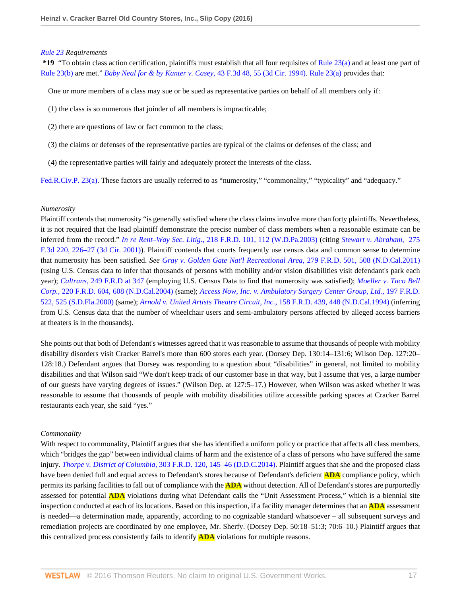#### *[Rule 23](http://www.westlaw.com/Link/Document/FullText?findType=L&pubNum=1000600&cite=USFRCPR23&originatingDoc=Ie1a7759011e511e6981be831f2f2ac24&refType=LQ&originationContext=document&vr=3.0&rs=cblt1.0&transitionType=DocumentItem&contextData=(sc.AlertsClip)) Requirements*

**\*19** "To obtain class action certification, plaintiffs must establish that all four requisites of [Rule 23\(a\)](http://www.westlaw.com/Link/Document/FullText?findType=L&pubNum=1000600&cite=USFRCPR23&originatingDoc=Ie1a7759011e511e6981be831f2f2ac24&refType=LQ&originationContext=document&vr=3.0&rs=cblt1.0&transitionType=DocumentItem&contextData=(sc.AlertsClip)) and at least one part of [Rule 23\(b\)](http://www.westlaw.com/Link/Document/FullText?findType=L&pubNum=1000600&cite=USFRCPR23&originatingDoc=Ie1a7759011e511e6981be831f2f2ac24&refType=LQ&originationContext=document&vr=3.0&rs=cblt1.0&transitionType=DocumentItem&contextData=(sc.AlertsClip)) are met." *[Baby Neal for & by Kanter v. Casey,](http://www.westlaw.com/Link/Document/FullText?findType=Y&serNum=1994246561&pubNum=0000506&originatingDoc=Ie1a7759011e511e6981be831f2f2ac24&refType=RP&fi=co_pp_sp_506_55&originationContext=document&vr=3.0&rs=cblt1.0&transitionType=DocumentItem&contextData=(sc.AlertsClip)#co_pp_sp_506_55)* 43 F.3d 48, 55 (3d Cir. 1994). [Rule 23\(a\)](http://www.westlaw.com/Link/Document/FullText?findType=L&pubNum=1000600&cite=USFRCPR23&originatingDoc=Ie1a7759011e511e6981be831f2f2ac24&refType=LQ&originationContext=document&vr=3.0&rs=cblt1.0&transitionType=DocumentItem&contextData=(sc.AlertsClip)) provides that:

One or more members of a class may sue or be sued as representative parties on behalf of all members only if:

- (1) the class is so numerous that joinder of all members is impracticable;
- (2) there are questions of law or fact common to the class;
- (3) the claims or defenses of the representative parties are typical of the claims or defenses of the class; and
- (4) the representative parties will fairly and adequately protect the interests of the class.

[Fed.R.Civ.P. 23\(a\)](http://www.westlaw.com/Link/Document/FullText?findType=L&pubNum=1000600&cite=USFRCPR23&originatingDoc=Ie1a7759011e511e6981be831f2f2ac24&refType=LQ&originationContext=document&vr=3.0&rs=cblt1.0&transitionType=DocumentItem&contextData=(sc.AlertsClip)). These factors are usually referred to as "numerosity," "commonality," "typicality" and "adequacy."

#### *Numerosity*

Plaintiff contends that numerosity "is generally satisfied where the class claims involve more than forty plaintiffs. Nevertheless, it is not required that the lead plaintiff demonstrate the precise number of class members when a reasonable estimate can be inferred from the record." *In re Rent–Way Sec. Litig.,* [218 F.R.D. 101, 112 \(W.D.Pa.2003\)](http://www.westlaw.com/Link/Document/FullText?findType=Y&serNum=2003742554&pubNum=0000344&originatingDoc=Ie1a7759011e511e6981be831f2f2ac24&refType=RP&fi=co_pp_sp_344_112&originationContext=document&vr=3.0&rs=cblt1.0&transitionType=DocumentItem&contextData=(sc.AlertsClip)#co_pp_sp_344_112) (citing *[Stewart v. Abraham,](http://www.westlaw.com/Link/Document/FullText?findType=Y&serNum=2001589627&pubNum=0000506&originatingDoc=Ie1a7759011e511e6981be831f2f2ac24&refType=RP&fi=co_pp_sp_506_226&originationContext=document&vr=3.0&rs=cblt1.0&transitionType=DocumentItem&contextData=(sc.AlertsClip)#co_pp_sp_506_226)* 275 [F.3d 220, 226–27 \(3d Cir. 2001\)](http://www.westlaw.com/Link/Document/FullText?findType=Y&serNum=2001589627&pubNum=0000506&originatingDoc=Ie1a7759011e511e6981be831f2f2ac24&refType=RP&fi=co_pp_sp_506_226&originationContext=document&vr=3.0&rs=cblt1.0&transitionType=DocumentItem&contextData=(sc.AlertsClip)#co_pp_sp_506_226)). Plaintiff contends that courts frequently use census data and common sense to determine that numerosity has been satisfied. *See [Gray v. Golden Gate Nat'l Recreational Area,](http://www.westlaw.com/Link/Document/FullText?findType=Y&serNum=2027504616&pubNum=0000344&originatingDoc=Ie1a7759011e511e6981be831f2f2ac24&refType=RP&fi=co_pp_sp_344_508&originationContext=document&vr=3.0&rs=cblt1.0&transitionType=DocumentItem&contextData=(sc.AlertsClip)#co_pp_sp_344_508)* 279 F.R.D. 501, 508 (N.D.Cal.2011) (using U.S. Census data to infer that thousands of persons with mobility and/or vision disabilities visit defendant's park each year); *Caltrans,* [249 F.R.D at 347](http://www.westlaw.com/Link/Document/FullText?findType=Y&serNum=2015500341&pubNum=0000344&originatingDoc=Ie1a7759011e511e6981be831f2f2ac24&refType=RP&fi=co_pp_sp_344_347&originationContext=document&vr=3.0&rs=cblt1.0&transitionType=DocumentItem&contextData=(sc.AlertsClip)#co_pp_sp_344_347) (employing U.S. Census Data to find that numerosity was satisfied); *[Moeller v. Taco Bell](http://www.westlaw.com/Link/Document/FullText?findType=Y&serNum=2004273339&pubNum=0000344&originatingDoc=Ie1a7759011e511e6981be831f2f2ac24&refType=RP&fi=co_pp_sp_344_608&originationContext=document&vr=3.0&rs=cblt1.0&transitionType=DocumentItem&contextData=(sc.AlertsClip)#co_pp_sp_344_608) Corp.,* [220 F.R.D. 604, 608 \(N.D.Cal.2004\)](http://www.westlaw.com/Link/Document/FullText?findType=Y&serNum=2004273339&pubNum=0000344&originatingDoc=Ie1a7759011e511e6981be831f2f2ac24&refType=RP&fi=co_pp_sp_344_608&originationContext=document&vr=3.0&rs=cblt1.0&transitionType=DocumentItem&contextData=(sc.AlertsClip)#co_pp_sp_344_608) (same); *[Access Now, Inc. v. Ambulatory Surgery Center Group, Ltd.,](http://www.westlaw.com/Link/Document/FullText?findType=Y&serNum=2000613590&pubNum=0000344&originatingDoc=Ie1a7759011e511e6981be831f2f2ac24&refType=RP&fi=co_pp_sp_344_525&originationContext=document&vr=3.0&rs=cblt1.0&transitionType=DocumentItem&contextData=(sc.AlertsClip)#co_pp_sp_344_525)* 197 F.R.D. [522, 525 \(S.D.Fla.2000\)](http://www.westlaw.com/Link/Document/FullText?findType=Y&serNum=2000613590&pubNum=0000344&originatingDoc=Ie1a7759011e511e6981be831f2f2ac24&refType=RP&fi=co_pp_sp_344_525&originationContext=document&vr=3.0&rs=cblt1.0&transitionType=DocumentItem&contextData=(sc.AlertsClip)#co_pp_sp_344_525) (same); *[Arnold v. United Artists Theatre Circuit, Inc.,](http://www.westlaw.com/Link/Document/FullText?findType=Y&serNum=1994215746&pubNum=0000344&originatingDoc=Ie1a7759011e511e6981be831f2f2ac24&refType=RP&fi=co_pp_sp_344_448&originationContext=document&vr=3.0&rs=cblt1.0&transitionType=DocumentItem&contextData=(sc.AlertsClip)#co_pp_sp_344_448)* 158 F.R.D. 439, 448 (N.D.Cal.1994) (inferring from U.S. Census data that the number of wheelchair users and semi-ambulatory persons affected by alleged access barriers at theaters is in the thousands).

She points out that both of Defendant's witnesses agreed that it was reasonable to assume that thousands of people with mobility disability disorders visit Cracker Barrel's more than 600 stores each year. (Dorsey Dep. 130:14–131:6; Wilson Dep. 127:20– 128:18.) Defendant argues that Dorsey was responding to a question about "disabilities" in general, not limited to mobility disabilities and that Wilson said "We don't keep track of our customer base in that way, but I assume that yes, a large number of our guests have varying degrees of issues." (Wilson Dep. at 127:5–17.) However, when Wilson was asked whether it was reasonable to assume that thousands of people with mobility disabilities utilize accessible parking spaces at Cracker Barrel restaurants each year, she said "yes."

## *Commonality*

With respect to commonality, Plaintiff argues that she has identified a uniform policy or practice that affects all class members, which "bridges the gap" between individual claims of harm and the existence of a class of persons who have suffered the same injury. *Thorpe v. District of Columbia,* [303 F.R.D. 120, 145–46 \(D.D.C.2014\).](http://www.westlaw.com/Link/Document/FullText?findType=Y&serNum=2032992295&pubNum=0000344&originatingDoc=Ie1a7759011e511e6981be831f2f2ac24&refType=RP&fi=co_pp_sp_344_145&originationContext=document&vr=3.0&rs=cblt1.0&transitionType=DocumentItem&contextData=(sc.AlertsClip)#co_pp_sp_344_145) Plaintiff argues that she and the proposed class have been denied full and equal access to Defendant's stores because of Defendant's deficient **ADA** compliance policy, which permits its parking facilities to fall out of compliance with the **ADA** without detection. All of Defendant's stores are purportedly assessed for potential **ADA** violations during what Defendant calls the "Unit Assessment Process," which is a biennial site inspection conducted at each of its locations. Based on this inspection, if a facility manager determines that an **ADA** assessment is needed—a determination made, apparently, according to no cognizable standard whatsoever – all subsequent surveys and remediation projects are coordinated by one employee, Mr. Sherfy. (Dorsey Dep. 50:18–51:3; 70:6–10.) Plaintiff argues that this centralized process consistently fails to identify **ADA** violations for multiple reasons.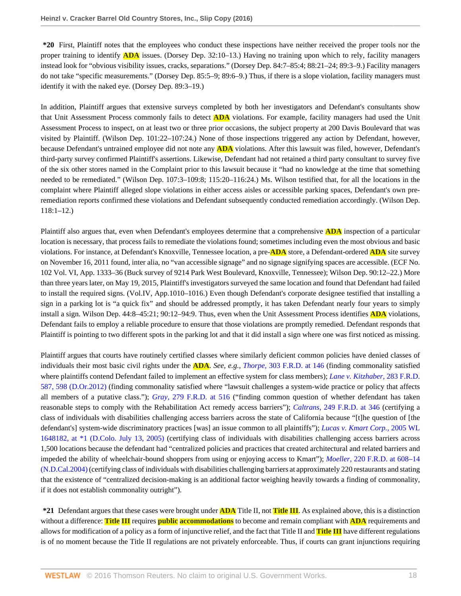**\*20** First, Plaintiff notes that the employees who conduct these inspections have neither received the proper tools nor the proper training to identify **ADA** issues. (Dorsey Dep. 32:10–13.) Having no training upon which to rely, facility managers instead look for "obvious visibility issues, cracks, separations." (Dorsey Dep. 84:7–85:4; 88:21–24; 89:3–9.) Facility managers do not take "specific measurements." (Dorsey Dep. 85:5–9; 89:6–9.) Thus, if there is a slope violation, facility managers must identify it with the naked eye. (Dorsey Dep. 89:3–19.)

In addition, Plaintiff argues that extensive surveys completed by both her investigators and Defendant's consultants show that Unit Assessment Process commonly fails to detect **ADA** violations. For example, facility managers had used the Unit Assessment Process to inspect, on at least two or three prior occasions, the subject property at 200 Davis Boulevard that was visited by Plaintiff. (Wilson Dep. 101:22–107:24.) None of those inspections triggered any action by Defendant, however, because Defendant's untrained employee did not note any **ADA** violations. After this lawsuit was filed, however, Defendant's third-party survey confirmed Plaintiff's assertions. Likewise, Defendant had not retained a third party consultant to survey five of the six other stores named in the Complaint prior to this lawsuit because it "had no knowledge at the time that something needed to be remediated." (Wilson Dep. 107:3–109:8; 115:20–116:24.) Ms. Wilson testified that, for all the locations in the complaint where Plaintiff alleged slope violations in either access aisles or accessible parking spaces, Defendant's own preremediation reports confirmed these violations and Defendant subsequently conducted remediation accordingly. (Wilson Dep. 118:1–12.)

Plaintiff also argues that, even when Defendant's employees determine that a comprehensive **ADA** inspection of a particular location is necessary, that process fails to remediate the violations found; sometimes including even the most obvious and basic violations. For instance, at Defendant's Knoxville, Tennessee location, a pre-**ADA** store, a Defendant-ordered **ADA** site survey on November 16, 2011 found, inter alia, no "van accessible signage" and no signage signifying spaces are accessible. (ECF No. 102 Vol. VI, App. 1333–36 (Buck survey of 9214 Park West Boulevard, Knoxville, Tennessee); Wilson Dep. 90:12–22.) More than three years later, on May 19, 2015, Plaintiff's investigators surveyed the same location and found that Defendant had failed to install the required signs. (Vol.IV, App.1010–1016.) Even though Defendant's corporate designee testified that installing a sign in a parking lot is "a quick fix" and should be addressed promptly, it has taken Defendant nearly four years to simply install a sign. Wilson Dep. 44:8–45:21; 90:12–94:9. Thus, even when the Unit Assessment Process identifies **ADA** violations, Defendant fails to employ a reliable procedure to ensure that those violations are promptly remedied. Defendant responds that Plaintiff is pointing to two different spots in the parking lot and that it did install a sign where one was first noticed as missing.

Plaintiff argues that courts have routinely certified classes where similarly deficient common policies have denied classes of individuals their most basic civil rights under the **ADA**. *See, e.g., Thorpe,* [303 F.R.D. at 146](http://www.westlaw.com/Link/Document/FullText?findType=Y&serNum=2032992295&pubNum=0000344&originatingDoc=Ie1a7759011e511e6981be831f2f2ac24&refType=RP&fi=co_pp_sp_344_146&originationContext=document&vr=3.0&rs=cblt1.0&transitionType=DocumentItem&contextData=(sc.AlertsClip)#co_pp_sp_344_146) (finding commonality satisfied where plaintiffs contend Defendant failed to implement an effective system for class members); *[Lane v. Kitzhaber,](http://www.westlaw.com/Link/Document/FullText?findType=Y&serNum=2028412563&pubNum=0000344&originatingDoc=Ie1a7759011e511e6981be831f2f2ac24&refType=RP&fi=co_pp_sp_344_598&originationContext=document&vr=3.0&rs=cblt1.0&transitionType=DocumentItem&contextData=(sc.AlertsClip)#co_pp_sp_344_598)* 283 F.R.D. [587, 598 \(D.Or.2012\)](http://www.westlaw.com/Link/Document/FullText?findType=Y&serNum=2028412563&pubNum=0000344&originatingDoc=Ie1a7759011e511e6981be831f2f2ac24&refType=RP&fi=co_pp_sp_344_598&originationContext=document&vr=3.0&rs=cblt1.0&transitionType=DocumentItem&contextData=(sc.AlertsClip)#co_pp_sp_344_598) (finding commonality satisfied where "lawsuit challenges a system-wide practice or policy that affects all members of a putative class."); *Gray,* [279 F.R.D. at 516](http://www.westlaw.com/Link/Document/FullText?findType=Y&serNum=2027504616&pubNum=0000344&originatingDoc=Ie1a7759011e511e6981be831f2f2ac24&refType=RP&fi=co_pp_sp_344_516&originationContext=document&vr=3.0&rs=cblt1.0&transitionType=DocumentItem&contextData=(sc.AlertsClip)#co_pp_sp_344_516) ("finding common question of whether defendant has taken reasonable steps to comply with the Rehabilitation Act remedy access barriers"); *Caltrans,* [249 F.R.D. at 346](http://www.westlaw.com/Link/Document/FullText?findType=Y&serNum=2015500341&pubNum=0000344&originatingDoc=Ie1a7759011e511e6981be831f2f2ac24&refType=RP&fi=co_pp_sp_344_346&originationContext=document&vr=3.0&rs=cblt1.0&transitionType=DocumentItem&contextData=(sc.AlertsClip)#co_pp_sp_344_346) (certifying a class of individuals with disabilities challenging access barriers across the state of California because "[t]he question of [the defendant's] system-wide discriminatory practices [was] an issue common to all plaintiffs"); *[Lucas v. Kmart Corp.,](http://www.westlaw.com/Link/Document/FullText?findType=Y&serNum=2006947575&pubNum=0000999&originatingDoc=Ie1a7759011e511e6981be831f2f2ac24&refType=RP&originationContext=document&vr=3.0&rs=cblt1.0&transitionType=DocumentItem&contextData=(sc.AlertsClip))* 2005 WL [1648182, at \\*1 \(D.Colo. July 13, 2005\)](http://www.westlaw.com/Link/Document/FullText?findType=Y&serNum=2006947575&pubNum=0000999&originatingDoc=Ie1a7759011e511e6981be831f2f2ac24&refType=RP&originationContext=document&vr=3.0&rs=cblt1.0&transitionType=DocumentItem&contextData=(sc.AlertsClip)) (certifying class of individuals with disabilities challenging access barriers across 1,500 locations because the defendant had "centralized policies and practices that created architectural and related barriers and impeded the ability of wheelchair-bound shoppers from using or enjoying access to Kmart"); *Moeller,* [220 F.R.D. at 608–14](http://www.westlaw.com/Link/Document/FullText?findType=Y&serNum=2004273339&pubNum=0000344&originatingDoc=Ie1a7759011e511e6981be831f2f2ac24&refType=RP&fi=co_pp_sp_344_608&originationContext=document&vr=3.0&rs=cblt1.0&transitionType=DocumentItem&contextData=(sc.AlertsClip)#co_pp_sp_344_608) [\(N.D.Cal.2004\)](http://www.westlaw.com/Link/Document/FullText?findType=Y&serNum=2004273339&pubNum=0000344&originatingDoc=Ie1a7759011e511e6981be831f2f2ac24&refType=RP&fi=co_pp_sp_344_608&originationContext=document&vr=3.0&rs=cblt1.0&transitionType=DocumentItem&contextData=(sc.AlertsClip)#co_pp_sp_344_608) (certifying class of individuals with disabilities challenging barriers at approximately 220 restaurants and stating that the existence of "centralized decision-making is an additional factor weighing heavily towards a finding of commonality, if it does not establish commonality outright").

**\*21** Defendant argues that these cases were brought under **ADA** Title II, not **Title III**. As explained above, this is a distinction without a difference: **Title III** requires **public accommodations** to become and remain compliant with **ADA** requirements and allows for modification of a policy as a form of injunctive relief, and the fact that Title II and **Title III** have different regulations is of no moment because the Title II regulations are not privately enforceable. Thus, if courts can grant injunctions requiring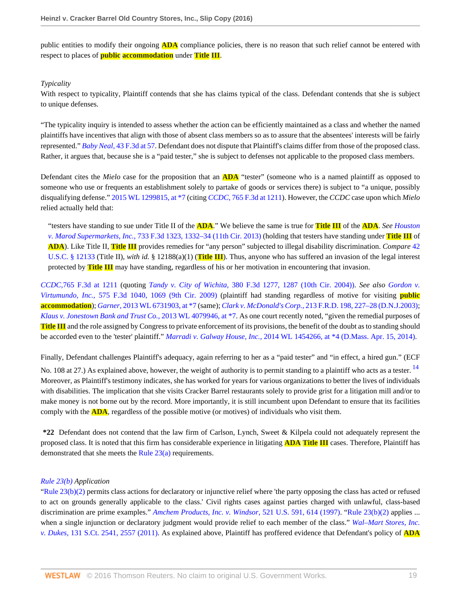public entities to modify their ongoing **ADA** compliance policies, there is no reason that such relief cannot be entered with respect to places of **public accommodation** under **Title III**.

## *Typicality*

With respect to typicality, Plaintiff contends that she has claims typical of the class. Defendant contends that she is subject to unique defenses.

"The typicality inquiry is intended to assess whether the action can be efficiently maintained as a class and whether the named plaintiffs have incentives that align with those of absent class members so as to assure that the absentees' interests will be fairly represented." *Baby Neal,* [43 F.3d at 57.](http://www.westlaw.com/Link/Document/FullText?findType=Y&serNum=1994246561&pubNum=0000506&originatingDoc=Ie1a7759011e511e6981be831f2f2ac24&refType=RP&fi=co_pp_sp_506_57&originationContext=document&vr=3.0&rs=cblt1.0&transitionType=DocumentItem&contextData=(sc.AlertsClip)#co_pp_sp_506_57) Defendant does not dispute that Plaintiff's claims differ from those of the proposed class. Rather, it argues that, because she is a "paid tester," she is subject to defenses not applicable to the proposed class members.

Defendant cites the *Mielo* case for the proposition that an **ADA** "tester" (someone who is a named plaintiff as opposed to someone who use or frequents an establishment solely to partake of goods or services there) is subject to "a unique, possibly disqualifying defense." [2015 WL 1299815, at \\*7](http://www.westlaw.com/Link/Document/FullText?findType=Y&serNum=2035664201&pubNum=0000999&originatingDoc=Ie1a7759011e511e6981be831f2f2ac24&refType=RP&originationContext=document&vr=3.0&rs=cblt1.0&transitionType=DocumentItem&contextData=(sc.AlertsClip)) (citing *CCDC,* [765 F.3d at 1211\)](http://www.westlaw.com/Link/Document/FullText?findType=Y&serNum=2034251905&pubNum=0000506&originatingDoc=Ie1a7759011e511e6981be831f2f2ac24&refType=RP&fi=co_pp_sp_506_1211&originationContext=document&vr=3.0&rs=cblt1.0&transitionType=DocumentItem&contextData=(sc.AlertsClip)#co_pp_sp_506_1211). However, the *CCDC* case upon which *Mielo* relied actually held that:

"testers have standing to sue under Title II of the **ADA**." We believe the same is true for **Title III** of the **ADA**. *See [Houston](http://www.westlaw.com/Link/Document/FullText?findType=Y&serNum=2031885245&pubNum=0000506&originatingDoc=Ie1a7759011e511e6981be831f2f2ac24&refType=RP&fi=co_pp_sp_506_1332&originationContext=document&vr=3.0&rs=cblt1.0&transitionType=DocumentItem&contextData=(sc.AlertsClip)#co_pp_sp_506_1332) v. Marod Supermarkets, Inc.,* [733 F.3d 1323, 1332–34 \(11th Cir. 2013\)](http://www.westlaw.com/Link/Document/FullText?findType=Y&serNum=2031885245&pubNum=0000506&originatingDoc=Ie1a7759011e511e6981be831f2f2ac24&refType=RP&fi=co_pp_sp_506_1332&originationContext=document&vr=3.0&rs=cblt1.0&transitionType=DocumentItem&contextData=(sc.AlertsClip)#co_pp_sp_506_1332) (holding that testers have standing under **Title III** of **ADA**). Like Title II, **Title III** provides remedies for "any person" subjected to illegal disability discrimination. *Compare* [42](http://www.westlaw.com/Link/Document/FullText?findType=L&pubNum=1000546&cite=42USCAS12133&originatingDoc=Ie1a7759011e511e6981be831f2f2ac24&refType=LQ&originationContext=document&vr=3.0&rs=cblt1.0&transitionType=DocumentItem&contextData=(sc.AlertsClip)) [U.S.C. § 12133](http://www.westlaw.com/Link/Document/FullText?findType=L&pubNum=1000546&cite=42USCAS12133&originatingDoc=Ie1a7759011e511e6981be831f2f2ac24&refType=LQ&originationContext=document&vr=3.0&rs=cblt1.0&transitionType=DocumentItem&contextData=(sc.AlertsClip)) (Title II), *with id.* § 12188(a)(1) (**Title III**). Thus, anyone who has suffered an invasion of the legal interest protected by **Title III** may have standing, regardless of his or her motivation in encountering that invasion.

*CCDC,*[765 F.3d at 1211](http://www.westlaw.com/Link/Document/FullText?findType=Y&serNum=2034251905&pubNum=0000506&originatingDoc=Ie1a7759011e511e6981be831f2f2ac24&refType=RP&fi=co_pp_sp_506_1211&originationContext=document&vr=3.0&rs=cblt1.0&transitionType=DocumentItem&contextData=(sc.AlertsClip)#co_pp_sp_506_1211) (quoting *Tandy v. City of Wichita,* [380 F.3d 1277, 1287 \(10th Cir. 2004\)\).](http://www.westlaw.com/Link/Document/FullText?findType=Y&serNum=2004944520&pubNum=0000506&originatingDoc=Ie1a7759011e511e6981be831f2f2ac24&refType=RP&fi=co_pp_sp_506_1287&originationContext=document&vr=3.0&rs=cblt1.0&transitionType=DocumentItem&contextData=(sc.AlertsClip)#co_pp_sp_506_1287) *See also [Gordon v.](http://www.westlaw.com/Link/Document/FullText?findType=Y&serNum=2019544267&pubNum=0000506&originatingDoc=Ie1a7759011e511e6981be831f2f2ac24&refType=RP&fi=co_pp_sp_506_1069&originationContext=document&vr=3.0&rs=cblt1.0&transitionType=DocumentItem&contextData=(sc.AlertsClip)#co_pp_sp_506_1069) Virtumundo, Inc.,* [575 F.3d 1040, 1069 \(9th Cir. 2009\)](http://www.westlaw.com/Link/Document/FullText?findType=Y&serNum=2019544267&pubNum=0000506&originatingDoc=Ie1a7759011e511e6981be831f2f2ac24&refType=RP&fi=co_pp_sp_506_1069&originationContext=document&vr=3.0&rs=cblt1.0&transitionType=DocumentItem&contextData=(sc.AlertsClip)#co_pp_sp_506_1069) (plaintiff had standing regardless of motive for visiting **public accommodation**); *Garner,* [2013 WL 6731903, at \\*7](http://www.westlaw.com/Link/Document/FullText?findType=Y&serNum=2032369163&pubNum=0000999&originatingDoc=Ie1a7759011e511e6981be831f2f2ac24&refType=RP&originationContext=document&vr=3.0&rs=cblt1.0&transitionType=DocumentItem&contextData=(sc.AlertsClip)) (same); *Clark v. McDonald's Corp.,* [213 F.R.D. 198, 227–28 \(D.N.J.2003\)](http://www.westlaw.com/Link/Document/FullText?findType=Y&serNum=2003194325&pubNum=0000344&originatingDoc=Ie1a7759011e511e6981be831f2f2ac24&refType=RP&fi=co_pp_sp_344_227&originationContext=document&vr=3.0&rs=cblt1.0&transitionType=DocumentItem&contextData=(sc.AlertsClip)#co_pp_sp_344_227); *[Klaus v. Jonestown Bank and Trust Co.,](http://www.westlaw.com/Link/Document/FullText?findType=Y&serNum=2031278939&pubNum=0000999&originatingDoc=Ie1a7759011e511e6981be831f2f2ac24&refType=RP&originationContext=document&vr=3.0&rs=cblt1.0&transitionType=DocumentItem&contextData=(sc.AlertsClip))* 2013 WL 4079946, at \*7. As one court recently noted, "given the remedial purposes of **Title III** and the role assigned by Congress to private enforcement of its provisions, the benefit of the doubt as to standing should be accorded even to the 'tester' plaintiff." *Marradi v. Galway House, Inc.,* [2014 WL 1454266, at \\*4 \(D.Mass. Apr. 15, 2014\)](http://www.westlaw.com/Link/Document/FullText?findType=Y&serNum=2033164161&pubNum=0000999&originatingDoc=Ie1a7759011e511e6981be831f2f2ac24&refType=RP&originationContext=document&vr=3.0&rs=cblt1.0&transitionType=DocumentItem&contextData=(sc.AlertsClip)).

<span id="page-36-0"></span>Finally, Defendant challenges Plaintiff's adequacy, again referring to her as a "paid tester" and "in effect, a hired gun." (ECF No. 108 at 27.) As explained above, however, the weight of authority is to permit standing to a plaintiff who acts as a tester.  $^{14}$  $^{14}$  $^{14}$ Moreover, as Plaintiff's testimony indicates, she has worked for years for various organizations to better the lives of individuals with disabilities. The implication that she visits Cracker Barrel restaurants solely to provide grist for a litigation mill and/or to make money is not borne out by the record. More importantly, it is still incumbent upon Defendant to ensure that its facilities comply with the **ADA**, regardless of the possible motive (or motives) of individuals who visit them.

**\*22** Defendant does not contend that the law firm of Carlson, Lynch, Sweet & Kilpela could not adequately represent the proposed class. It is noted that this firm has considerable experience in litigating **ADA Title III** cases. Therefore, Plaintiff has demonstrated that she meets the [Rule 23\(a\)](http://www.westlaw.com/Link/Document/FullText?findType=L&pubNum=1000600&cite=USFRCPR23&originatingDoc=Ie1a7759011e511e6981be831f2f2ac24&refType=LQ&originationContext=document&vr=3.0&rs=cblt1.0&transitionType=DocumentItem&contextData=(sc.AlertsClip)) requirements.

## *[Rule 23\(b\)](http://www.westlaw.com/Link/Document/FullText?findType=L&pubNum=1000600&cite=USFRCPR23&originatingDoc=Ie1a7759011e511e6981be831f2f2ac24&refType=LQ&originationContext=document&vr=3.0&rs=cblt1.0&transitionType=DocumentItem&contextData=(sc.AlertsClip)) Application*

"Rule  $23(b)(2)$  permits class actions for declaratory or injunctive relief where 'the party opposing the class has acted or refused to act on grounds generally applicable to the class.' Civil rights cases against parties charged with unlawful, class-based discrimination are prime examples." *[Amchem Products, Inc. v. Windsor,](http://www.westlaw.com/Link/Document/FullText?findType=Y&serNum=1997134004&pubNum=0000780&originatingDoc=Ie1a7759011e511e6981be831f2f2ac24&refType=RP&fi=co_pp_sp_780_614&originationContext=document&vr=3.0&rs=cblt1.0&transitionType=DocumentItem&contextData=(sc.AlertsClip)#co_pp_sp_780_614)* 521 U.S. 591, 614 (1997). "[Rule 23\(b\)\(2\)](http://www.westlaw.com/Link/Document/FullText?findType=L&pubNum=1000600&cite=USFRCPR23&originatingDoc=Ie1a7759011e511e6981be831f2f2ac24&refType=LQ&originationContext=document&vr=3.0&rs=cblt1.0&transitionType=DocumentItem&contextData=(sc.AlertsClip)) applies ... when a single injunction or declaratory judgment would provide relief to each member of the class." *[Wal–Mart Stores, Inc.](http://www.westlaw.com/Link/Document/FullText?findType=Y&serNum=2025520221&pubNum=0000708&originatingDoc=Ie1a7759011e511e6981be831f2f2ac24&refType=RP&fi=co_pp_sp_708_2557&originationContext=document&vr=3.0&rs=cblt1.0&transitionType=DocumentItem&contextData=(sc.AlertsClip)#co_pp_sp_708_2557) v. Dukes,* [131 S.Ct. 2541, 2557 \(2011\)](http://www.westlaw.com/Link/Document/FullText?findType=Y&serNum=2025520221&pubNum=0000708&originatingDoc=Ie1a7759011e511e6981be831f2f2ac24&refType=RP&fi=co_pp_sp_708_2557&originationContext=document&vr=3.0&rs=cblt1.0&transitionType=DocumentItem&contextData=(sc.AlertsClip)#co_pp_sp_708_2557). As explained above, Plaintiff has proffered evidence that Defendant's policy of **ADA**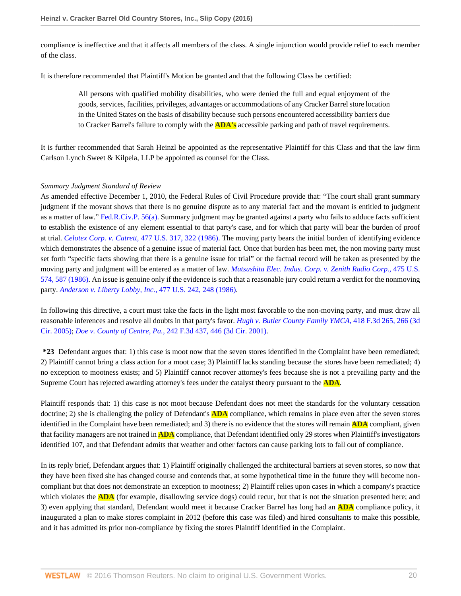compliance is ineffective and that it affects all members of the class. A single injunction would provide relief to each member of the class.

It is therefore recommended that Plaintiff's Motion be granted and that the following Class be certified:

All persons with qualified mobility disabilities, who were denied the full and equal enjoyment of the goods, services, facilities, privileges, advantages or accommodations of any Cracker Barrel store location in the United States on the basis of disability because such persons encountered accessibility barriers due to Cracker Barrel's failure to comply with the **ADA's** accessible parking and path of travel requirements.

It is further recommended that Sarah Heinzl be appointed as the representative Plaintiff for this Class and that the law firm Carlson Lynch Sweet & Kilpela, LLP be appointed as counsel for the Class.

## *Summary Judgment Standard of Review*

As amended effective December 1, 2010, the Federal Rules of Civil Procedure provide that: "The court shall grant summary judgment if the movant shows that there is no genuine dispute as to any material fact and the movant is entitled to judgment as a matter of law." [Fed.R.Civ.P. 56\(a\).](http://www.westlaw.com/Link/Document/FullText?findType=L&pubNum=1000600&cite=USFRCPR56&originatingDoc=Ie1a7759011e511e6981be831f2f2ac24&refType=LQ&originationContext=document&vr=3.0&rs=cblt1.0&transitionType=DocumentItem&contextData=(sc.AlertsClip)) Summary judgment may be granted against a party who fails to adduce facts sufficient to establish the existence of any element essential to that party's case, and for which that party will bear the burden of proof at trial. *Celotex Corp. v. Catrett,* [477 U.S. 317, 322 \(1986\).](http://www.westlaw.com/Link/Document/FullText?findType=Y&serNum=1986132677&pubNum=0000780&originatingDoc=Ie1a7759011e511e6981be831f2f2ac24&refType=RP&fi=co_pp_sp_780_322&originationContext=document&vr=3.0&rs=cblt1.0&transitionType=DocumentItem&contextData=(sc.AlertsClip)#co_pp_sp_780_322) The moving party bears the initial burden of identifying evidence which demonstrates the absence of a genuine issue of material fact. Once that burden has been met, the non moving party must set forth "specific facts showing that there is a genuine issue for trial" or the factual record will be taken as presented by the moving party and judgment will be entered as a matter of law. *[Matsushita Elec. Indus. Corp. v. Zenith Radio Corp.,](http://www.westlaw.com/Link/Document/FullText?findType=Y&serNum=1986115992&pubNum=0000780&originatingDoc=Ie1a7759011e511e6981be831f2f2ac24&refType=RP&fi=co_pp_sp_780_587&originationContext=document&vr=3.0&rs=cblt1.0&transitionType=DocumentItem&contextData=(sc.AlertsClip)#co_pp_sp_780_587)* 475 U.S. [574, 587 \(1986\)](http://www.westlaw.com/Link/Document/FullText?findType=Y&serNum=1986115992&pubNum=0000780&originatingDoc=Ie1a7759011e511e6981be831f2f2ac24&refType=RP&fi=co_pp_sp_780_587&originationContext=document&vr=3.0&rs=cblt1.0&transitionType=DocumentItem&contextData=(sc.AlertsClip)#co_pp_sp_780_587). An issue is genuine only if the evidence is such that a reasonable jury could return a verdict for the nonmoving party. *[Anderson v. Liberty Lobby, Inc.,](http://www.westlaw.com/Link/Document/FullText?findType=Y&serNum=1986132674&pubNum=0000780&originatingDoc=Ie1a7759011e511e6981be831f2f2ac24&refType=RP&fi=co_pp_sp_780_248&originationContext=document&vr=3.0&rs=cblt1.0&transitionType=DocumentItem&contextData=(sc.AlertsClip)#co_pp_sp_780_248)* 477 U.S. 242, 248 (1986).

In following this directive, a court must take the facts in the light most favorable to the non-moving party, and must draw all reasonable inferences and resolve all doubts in that party's favor. *[Hugh v. Butler County Family YMCA,](http://www.westlaw.com/Link/Document/FullText?findType=Y&serNum=2007133650&pubNum=0000506&originatingDoc=Ie1a7759011e511e6981be831f2f2ac24&refType=RP&fi=co_pp_sp_506_266&originationContext=document&vr=3.0&rs=cblt1.0&transitionType=DocumentItem&contextData=(sc.AlertsClip)#co_pp_sp_506_266)* 418 F.3d 265, 266 (3d [Cir. 2005\)](http://www.westlaw.com/Link/Document/FullText?findType=Y&serNum=2007133650&pubNum=0000506&originatingDoc=Ie1a7759011e511e6981be831f2f2ac24&refType=RP&fi=co_pp_sp_506_266&originationContext=document&vr=3.0&rs=cblt1.0&transitionType=DocumentItem&contextData=(sc.AlertsClip)#co_pp_sp_506_266); *Doe v. County of Centre, Pa.,* [242 F.3d 437, 446 \(3d Cir. 2001\).](http://www.westlaw.com/Link/Document/FullText?findType=Y&serNum=2001192262&pubNum=0000506&originatingDoc=Ie1a7759011e511e6981be831f2f2ac24&refType=RP&fi=co_pp_sp_506_446&originationContext=document&vr=3.0&rs=cblt1.0&transitionType=DocumentItem&contextData=(sc.AlertsClip)#co_pp_sp_506_446)

**\*23** Defendant argues that: 1) this case is moot now that the seven stores identified in the Complaint have been remediated; 2) Plaintiff cannot bring a class action for a moot case; 3) Plaintiff lacks standing because the stores have been remediated; 4) no exception to mootness exists; and 5) Plaintiff cannot recover attorney's fees because she is not a prevailing party and the Supreme Court has rejected awarding attorney's fees under the catalyst theory pursuant to the **ADA**.

Plaintiff responds that: 1) this case is not moot because Defendant does not meet the standards for the voluntary cessation doctrine; 2) she is challenging the policy of Defendant's **ADA** compliance, which remains in place even after the seven stores identified in the Complaint have been remediated; and 3) there is no evidence that the stores will remain **ADA** compliant, given that facility managers are not trained in **ADA** compliance, that Defendant identified only 29 stores when Plaintiff's investigators identified 107, and that Defendant admits that weather and other factors can cause parking lots to fall out of compliance.

In its reply brief, Defendant argues that: 1) Plaintiff originally challenged the architectural barriers at seven stores, so now that they have been fixed she has changed course and contends that, at some hypothetical time in the future they will become noncompliant but that does not demonstrate an exception to mootness; 2) Plaintiff relies upon cases in which a company's practice which violates the **ADA** (for example, disallowing service dogs) could recur, but that is not the situation presented here; and 3) even applying that standard, Defendant would meet it because Cracker Barrel has long had an **ADA** compliance policy, it inaugurated a plan to make stores complaint in 2012 (before this case was filed) and hired consultants to make this possible, and it has admitted its prior non-compliance by fixing the stores Plaintiff identified in the Complaint.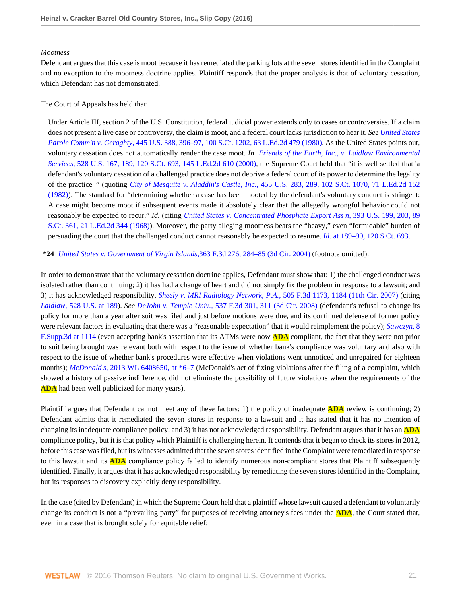### *Mootness*

Defendant argues that this case is moot because it has remediated the parking lots at the seven stores identified in the Complaint and no exception to the mootness doctrine applies. Plaintiff responds that the proper analysis is that of voluntary cessation, which Defendant has not demonstrated.

## The Court of Appeals has held that:

Under Article III, section 2 of the U.S. Constitution, federal judicial power extends only to cases or controversies. If a claim does not present a live case or controversy, the claim is moot, and a federal court lacks jurisdiction to hear it. *See [United States](http://www.westlaw.com/Link/Document/FullText?findType=Y&serNum=1980105870&pubNum=0000708&originatingDoc=Ie1a7759011e511e6981be831f2f2ac24&refType=RP&originationContext=document&vr=3.0&rs=cblt1.0&transitionType=DocumentItem&contextData=(sc.AlertsClip)) Parole Comm'n v. Geraghty,* [445 U.S. 388, 396–97, 100 S.Ct. 1202, 63 L.Ed.2d 479 \(1980\).](http://www.westlaw.com/Link/Document/FullText?findType=Y&serNum=1980105870&pubNum=0000708&originatingDoc=Ie1a7759011e511e6981be831f2f2ac24&refType=RP&originationContext=document&vr=3.0&rs=cblt1.0&transitionType=DocumentItem&contextData=(sc.AlertsClip)) As the United States points out, voluntary cessation does not automatically render the case moot. *In [Friends of the Earth, Inc., v. Laidlaw Environmental](http://www.westlaw.com/Link/Document/FullText?findType=Y&serNum=2000029538&pubNum=0000708&originatingDoc=Ie1a7759011e511e6981be831f2f2ac24&refType=RP&originationContext=document&vr=3.0&rs=cblt1.0&transitionType=DocumentItem&contextData=(sc.AlertsClip)) Services,* [528 U.S. 167, 189, 120 S.Ct. 693, 145 L.Ed.2d 610 \(2000\)](http://www.westlaw.com/Link/Document/FullText?findType=Y&serNum=2000029538&pubNum=0000708&originatingDoc=Ie1a7759011e511e6981be831f2f2ac24&refType=RP&originationContext=document&vr=3.0&rs=cblt1.0&transitionType=DocumentItem&contextData=(sc.AlertsClip)), the Supreme Court held that "it is well settled that 'a defendant's voluntary cessation of a challenged practice does not deprive a federal court of its power to determine the legality of the practice' " (quoting *City of Mesquite v. Aladdin's Castle, Inc.,* [455 U.S. 283, 289, 102 S.Ct. 1070, 71 L.Ed.2d 152](http://www.westlaw.com/Link/Document/FullText?findType=Y&serNum=1982108981&pubNum=0000708&originatingDoc=Ie1a7759011e511e6981be831f2f2ac24&refType=RP&originationContext=document&vr=3.0&rs=cblt1.0&transitionType=DocumentItem&contextData=(sc.AlertsClip)) [\(1982\)\)](http://www.westlaw.com/Link/Document/FullText?findType=Y&serNum=1982108981&pubNum=0000708&originatingDoc=Ie1a7759011e511e6981be831f2f2ac24&refType=RP&originationContext=document&vr=3.0&rs=cblt1.0&transitionType=DocumentItem&contextData=(sc.AlertsClip)). The standard for "determining whether a case has been mooted by the defendant's voluntary conduct is stringent: A case might become moot if subsequent events made it absolutely clear that the allegedly wrongful behavior could not reasonably be expected to recur." *Id.* (citing *[United States v. Concentrated Phosphate Export Ass'n,](http://www.westlaw.com/Link/Document/FullText?findType=Y&serNum=1968106806&pubNum=0000708&originatingDoc=Ie1a7759011e511e6981be831f2f2ac24&refType=RP&originationContext=document&vr=3.0&rs=cblt1.0&transitionType=DocumentItem&contextData=(sc.AlertsClip))* 393 U.S. 199, 203, 89 [S.Ct. 361, 21 L.Ed.2d 344 \(1968\)\)](http://www.westlaw.com/Link/Document/FullText?findType=Y&serNum=1968106806&pubNum=0000708&originatingDoc=Ie1a7759011e511e6981be831f2f2ac24&refType=RP&originationContext=document&vr=3.0&rs=cblt1.0&transitionType=DocumentItem&contextData=(sc.AlertsClip)). Moreover, the party alleging mootness bears the "heavy," even "formidable" burden of persuading the court that the challenged conduct cannot reasonably be expected to resume. *Id.* [at 189–90, 120 S.Ct. 693.](http://www.westlaw.com/Link/Document/FullText?findType=Y&serNum=2000029538&pubNum=0000708&originatingDoc=Ie1a7759011e511e6981be831f2f2ac24&refType=RP&originationContext=document&vr=3.0&rs=cblt1.0&transitionType=DocumentItem&contextData=(sc.AlertsClip))

**\*24** *[United States v. Government of Virgin Islands,](http://www.westlaw.com/Link/Document/FullText?findType=Y&serNum=2004289740&pubNum=0000506&originatingDoc=Ie1a7759011e511e6981be831f2f2ac24&refType=RP&fi=co_pp_sp_506_284&originationContext=document&vr=3.0&rs=cblt1.0&transitionType=DocumentItem&contextData=(sc.AlertsClip)#co_pp_sp_506_284)*363 F.3d 276, 284–85 (3d Cir. 2004) (footnote omitted).

In order to demonstrate that the voluntary cessation doctrine applies, Defendant must show that: 1) the challenged conduct was isolated rather than continuing; 2) it has had a change of heart and did not simply fix the problem in response to a lawsuit; and 3) it has acknowledged responsibility. *[Sheely v. MRI Radiology Network, P.A.,](http://www.westlaw.com/Link/Document/FullText?findType=Y&serNum=2013815944&pubNum=0000506&originatingDoc=Ie1a7759011e511e6981be831f2f2ac24&refType=RP&fi=co_pp_sp_506_1184&originationContext=document&vr=3.0&rs=cblt1.0&transitionType=DocumentItem&contextData=(sc.AlertsClip)#co_pp_sp_506_1184)* 505 F.3d 1173, 1184 (11th Cir. 2007) (citing *Laidlaw,* [528 U.S. at 189](http://www.westlaw.com/Link/Document/FullText?findType=Y&serNum=2000029538&pubNum=0000780&originatingDoc=Ie1a7759011e511e6981be831f2f2ac24&refType=RP&fi=co_pp_sp_780_189&originationContext=document&vr=3.0&rs=cblt1.0&transitionType=DocumentItem&contextData=(sc.AlertsClip)#co_pp_sp_780_189)). *See DeJohn v. Temple Univ.,* [537 F.3d 301, 311 \(3d Cir. 2008\)](http://www.westlaw.com/Link/Document/FullText?findType=Y&serNum=2016676285&pubNum=0000506&originatingDoc=Ie1a7759011e511e6981be831f2f2ac24&refType=RP&fi=co_pp_sp_506_311&originationContext=document&vr=3.0&rs=cblt1.0&transitionType=DocumentItem&contextData=(sc.AlertsClip)#co_pp_sp_506_311) (defendant's refusal to change its policy for more than a year after suit was filed and just before motions were due, and its continued defense of former policy were relevant factors in evaluating that there was a "reasonable expectation" that it would reimplement the policy); *[Sawczyn,](http://www.westlaw.com/Link/Document/FullText?findType=Y&serNum=2032931645&pubNum=0007903&originatingDoc=Ie1a7759011e511e6981be831f2f2ac24&refType=RP&fi=co_pp_sp_7903_1114&originationContext=document&vr=3.0&rs=cblt1.0&transitionType=DocumentItem&contextData=(sc.AlertsClip)#co_pp_sp_7903_1114)* 8 [F.Supp.3d at 1114](http://www.westlaw.com/Link/Document/FullText?findType=Y&serNum=2032931645&pubNum=0007903&originatingDoc=Ie1a7759011e511e6981be831f2f2ac24&refType=RP&fi=co_pp_sp_7903_1114&originationContext=document&vr=3.0&rs=cblt1.0&transitionType=DocumentItem&contextData=(sc.AlertsClip)#co_pp_sp_7903_1114) (even accepting bank's assertion that its ATMs were now **ADA** compliant, the fact that they were not prior to suit being brought was relevant both with respect to the issue of whether bank's compliance was voluntary and also with respect to the issue of whether bank's procedures were effective when violations went unnoticed and unrepaired for eighteen months); *McDonald's*, [2013 WL 6408650, at \\*6–7](http://www.westlaw.com/Link/Document/FullText?findType=Y&serNum=2032243688&pubNum=0000999&originatingDoc=Ie1a7759011e511e6981be831f2f2ac24&refType=RP&originationContext=document&vr=3.0&rs=cblt1.0&transitionType=DocumentItem&contextData=(sc.AlertsClip)) (McDonald's act of fixing violations after the filing of a complaint, which showed a history of passive indifference, did not eliminate the possibility of future violations when the requirements of the **ADA** had been well publicized for many years).

Plaintiff argues that Defendant cannot meet any of these factors: 1) the policy of inadequate **ADA** review is continuing; 2) Defendant admits that it remediated the seven stores in response to a lawsuit and it has stated that it has no intention of changing its inadequate compliance policy; and 3) it has not acknowledged responsibility. Defendant argues that it has an **ADA** compliance policy, but it is that policy which Plaintiff is challenging herein. It contends that it began to check its stores in 2012, before this case was filed, but its witnesses admitted that the seven stores identified in the Complaint were remediated in response to this lawsuit and its **ADA** compliance policy failed to identify numerous non-compliant stores that Plaintiff subsequently identified. Finally, it argues that it has acknowledged responsibility by remediating the seven stores identified in the Complaint, but its responses to discovery explicitly deny responsibility.

In the case (cited by Defendant) in which the Supreme Court held that a plaintiff whose lawsuit caused a defendant to voluntarily change its conduct is not a "prevailing party" for purposes of receiving attorney's fees under the **ADA**, the Court stated that, even in a case that is brought solely for equitable relief: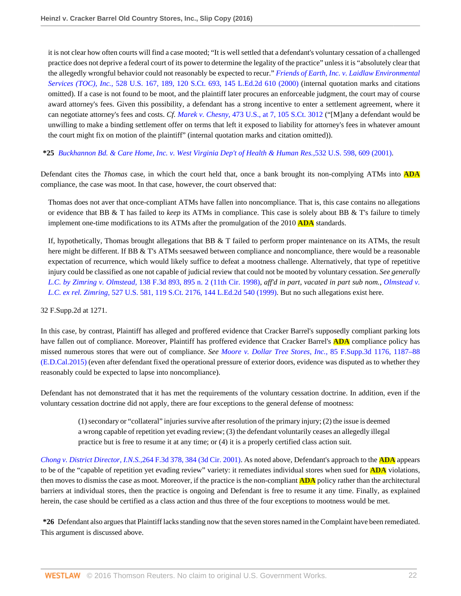it is not clear how often courts will find a case mooted; "It is well settled that a defendant's voluntary cessation of a challenged practice does not deprive a federal court of its power to determine the legality of the practice" unless it is "absolutely clear that the allegedly wrongful behavior could not reasonably be expected to recur." *[Friends of Earth, Inc. v. Laidlaw Environmental](http://www.westlaw.com/Link/Document/FullText?findType=Y&serNum=2000029538&pubNum=0000708&originatingDoc=Ie1a7759011e511e6981be831f2f2ac24&refType=RP&originationContext=document&vr=3.0&rs=cblt1.0&transitionType=DocumentItem&contextData=(sc.AlertsClip)) Services (TOC), Inc.,* [528 U.S. 167, 189, 120 S.Ct. 693, 145 L.Ed.2d 610 \(2000\)](http://www.westlaw.com/Link/Document/FullText?findType=Y&serNum=2000029538&pubNum=0000708&originatingDoc=Ie1a7759011e511e6981be831f2f2ac24&refType=RP&originationContext=document&vr=3.0&rs=cblt1.0&transitionType=DocumentItem&contextData=(sc.AlertsClip)) (internal quotation marks and citations omitted). If a case is not found to be moot, and the plaintiff later procures an enforceable judgment, the court may of course award attorney's fees. Given this possibility, a defendant has a strong incentive to enter a settlement agreement, where it can negotiate attorney's fees and costs. *Cf. Marek v. Chesny,* [473 U.S., at 7, 105 S.Ct. 3012](http://www.westlaw.com/Link/Document/FullText?findType=Y&serNum=1985132612&pubNum=0000708&originatingDoc=Ie1a7759011e511e6981be831f2f2ac24&refType=RP&originationContext=document&vr=3.0&rs=cblt1.0&transitionType=DocumentItem&contextData=(sc.AlertsClip)) ("[M]any a defendant would be unwilling to make a binding settlement offer on terms that left it exposed to liability for attorney's fees in whatever amount the court might fix on motion of the plaintiff" (internal quotation marks and citation omitted)).

## **\*25** *[Buckhannon Bd. & Care Home, Inc. v. West Virginia Dep't of Health & Human Res.,](http://www.westlaw.com/Link/Document/FullText?findType=Y&serNum=2001440953&pubNum=0000780&originatingDoc=Ie1a7759011e511e6981be831f2f2ac24&refType=RP&fi=co_pp_sp_780_609&originationContext=document&vr=3.0&rs=cblt1.0&transitionType=DocumentItem&contextData=(sc.AlertsClip)#co_pp_sp_780_609)*532 U.S. 598, 609 (2001).

Defendant cites the *Thomas* case, in which the court held that, once a bank brought its non-complying ATMs into **ADA** compliance, the case was moot. In that case, however, the court observed that:

Thomas does not aver that once-compliant ATMs have fallen into noncompliance. That is, this case contains no allegations or evidence that BB & T has failed to *keep* its ATMs in compliance. This case is solely about BB & T's failure to timely implement one-time modifications to its ATMs after the promulgation of the 2010 **ADA** standards.

If, hypothetically, Thomas brought allegations that BB & T failed to perform proper maintenance on its ATMs, the result here might be different. If BB & T's ATMs seesawed between compliance and noncompliance, there would be a reasonable expectation of recurrence, which would likely suffice to defeat a mootness challenge. Alternatively, that type of repetitive injury could be classified as one not capable of judicial review that could not be mooted by voluntary cessation. *See generally L.C. by Zimring v. Olmstead,* [138 F.3d 893, 895 n. 2 \(11th Cir. 1998\)](http://www.westlaw.com/Link/Document/FullText?findType=Y&serNum=1998085194&pubNum=0000506&originatingDoc=Ie1a7759011e511e6981be831f2f2ac24&refType=RP&fi=co_pp_sp_506_895&originationContext=document&vr=3.0&rs=cblt1.0&transitionType=DocumentItem&contextData=(sc.AlertsClip)#co_pp_sp_506_895), *aff'd in part, vacated in part sub nom., [Olmstead v.](http://www.westlaw.com/Link/Document/FullText?findType=Y&serNum=1999146002&pubNum=0000708&originatingDoc=Ie1a7759011e511e6981be831f2f2ac24&refType=RP&originationContext=document&vr=3.0&rs=cblt1.0&transitionType=DocumentItem&contextData=(sc.AlertsClip)) L.C. ex rel. Zimring,* [527 U.S. 581, 119 S.Ct. 2176, 144 L.Ed.2d 540 \(1999\).](http://www.westlaw.com/Link/Document/FullText?findType=Y&serNum=1999146002&pubNum=0000708&originatingDoc=Ie1a7759011e511e6981be831f2f2ac24&refType=RP&originationContext=document&vr=3.0&rs=cblt1.0&transitionType=DocumentItem&contextData=(sc.AlertsClip)) But no such allegations exist here.

#### 32 F.Supp.2d at 1271.

In this case, by contrast, Plaintiff has alleged and proffered evidence that Cracker Barrel's supposedly compliant parking lots have fallen out of compliance. Moreover, Plaintiff has proffered evidence that Cracker Barrel's **ADA** compliance policy has missed numerous stores that were out of compliance. *See [Moore v. Dollar Tree Stores, Inc.,](http://www.westlaw.com/Link/Document/FullText?findType=Y&serNum=2035221698&pubNum=0007903&originatingDoc=Ie1a7759011e511e6981be831f2f2ac24&refType=RP&fi=co_pp_sp_7903_1187&originationContext=document&vr=3.0&rs=cblt1.0&transitionType=DocumentItem&contextData=(sc.AlertsClip)#co_pp_sp_7903_1187)* 85 F.Supp.3d 1176, 1187–88 [\(E.D.Cal.2015\)](http://www.westlaw.com/Link/Document/FullText?findType=Y&serNum=2035221698&pubNum=0007903&originatingDoc=Ie1a7759011e511e6981be831f2f2ac24&refType=RP&fi=co_pp_sp_7903_1187&originationContext=document&vr=3.0&rs=cblt1.0&transitionType=DocumentItem&contextData=(sc.AlertsClip)#co_pp_sp_7903_1187) (even after defendant fixed the operational pressure of exterior doors, evidence was disputed as to whether they reasonably could be expected to lapse into noncompliance).

Defendant has not demonstrated that it has met the requirements of the voluntary cessation doctrine. In addition, even if the voluntary cessation doctrine did not apply, there are four exceptions to the general defense of mootness:

(1) secondary or "collateral" injuries survive after resolution of the primary injury; (2) the issue is deemed a wrong capable of repetition yet evading review; (3) the defendant voluntarily ceases an allegedly illegal practice but is free to resume it at any time; or (4) it is a properly certified class action suit.

*[Chong v. District Director, I.N.S.,](http://www.westlaw.com/Link/Document/FullText?findType=Y&serNum=2001762041&pubNum=0000506&originatingDoc=Ie1a7759011e511e6981be831f2f2ac24&refType=RP&fi=co_pp_sp_506_384&originationContext=document&vr=3.0&rs=cblt1.0&transitionType=DocumentItem&contextData=(sc.AlertsClip)#co_pp_sp_506_384)*264 F.3d 378, 384 (3d Cir. 2001). As noted above, Defendant's approach to the **ADA** appears to be of the "capable of repetition yet evading review" variety: it remediates individual stores when sued for **ADA** violations, then moves to dismiss the case as moot. Moreover, if the practice is the non-compliant **ADA** policy rather than the architectural barriers at individual stores, then the practice is ongoing and Defendant is free to resume it any time. Finally, as explained herein, the case should be certified as a class action and thus three of the four exceptions to mootness would be met.

**\*26** Defendant also argues that Plaintiff lacks standing now that the seven stores named in the Complaint have been remediated. This argument is discussed above.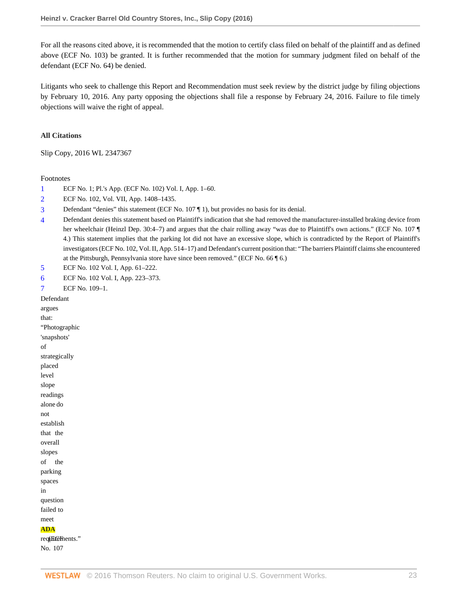For all the reasons cited above, it is recommended that the motion to certify class filed on behalf of the plaintiff and as defined above (ECF No. 103) be granted. It is further recommended that the motion for summary judgment filed on behalf of the defendant (ECF No. 64) be denied.

Litigants who seek to challenge this Report and Recommendation must seek review by the district judge by filing objections by February 10, 2016. Any party opposing the objections shall file a response by February 24, 2016. Failure to file timely objections will waive the right of appeal.

#### **All Citations**

Slip Copy, 2016 WL 2347367

#### Footnotes

- <span id="page-40-0"></span>[1](#page-18-0) ECF No. 1; Pl.'s App. (ECF No. 102) Vol. I, App. 1–60.
- <span id="page-40-1"></span>[2](#page-18-1) ECF No. 102, Vol. VII, App. 1408–1435.
- <span id="page-40-2"></span>[3](#page-18-2) Defendant "denies" this statement (ECF No. 107 ¶ 1), but provides no basis for its denial.
- <span id="page-40-3"></span>[4](#page-19-0) Defendant denies this statement based on Plaintiff's indication that she had removed the manufacturer-installed braking device from her wheelchair (Heinzl Dep. 30:4–7) and argues that the chair rolling away "was due to Plaintiff's own actions." (ECF No. 107 ¶ 4.) This statement implies that the parking lot did not have an excessive slope, which is contradicted by the Report of Plaintiff's investigators (ECF No. 102, Vol. II, App. 514–17) and Defendant's current position that: "The barriers Plaintiff claims she encountered at the Pittsburgh, Pennsylvania store have since been removed." (ECF No. 66 ¶ 6.)
- <span id="page-40-4"></span>[5](#page-19-1) ECF No. 102 Vol. I, App. 61–222.
- <span id="page-40-6"></span><span id="page-40-5"></span>[6](#page-19-2) ECF No. 102 Vol. I, App. 223–373.

[7](#page-21-0) ECF No. 109–1. Defendant argues that: "Photographic 'snapshots' of strategically placed level slope readings alone do not establish that the overall slopes of the parking spaces in question failed to meet **ADA** requirements." No. 107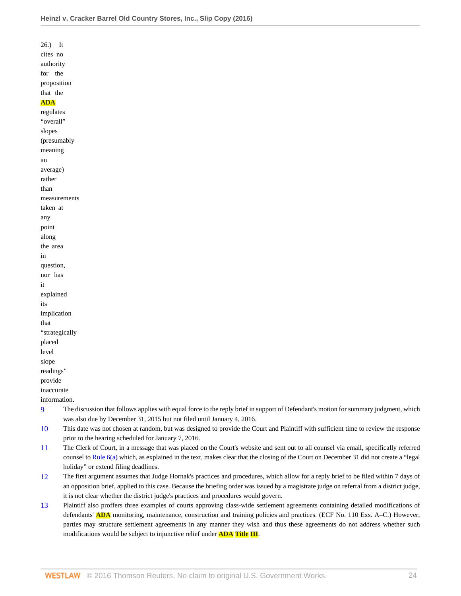26.) It cites no authority for the proposition that the **ADA** regulates "overall" slopes (presumably meaning an average) rather than measurements taken at any point along the area in question, nor has it explained its implication that "strategically placed level slope readings" provide inaccurate

information.

- <span id="page-41-0"></span>[9](#page-27-0) The discussion that follows applies with equal force to the reply brief in support of Defendant's motion for summary judgment, which was also due by December 31, 2015 but not filed until January 4, 2016.
- <span id="page-41-1"></span>[10](#page-27-1) This date was not chosen at random, but was designed to provide the Court and Plaintiff with sufficient time to review the response prior to the hearing scheduled for January 7, 2016.
- <span id="page-41-2"></span>[11](#page-27-2) The Clerk of Court, in a message that was placed on the Court's website and sent out to all counsel via email, specifically referred counsel to [Rule 6\(a\)](http://www.westlaw.com/Link/Document/FullText?findType=L&pubNum=1000600&cite=USFRCPR6&originatingDoc=Ie1a7759011e511e6981be831f2f2ac24&refType=LQ&originationContext=document&vr=3.0&rs=cblt1.0&transitionType=DocumentItem&contextData=(sc.AlertsClip)) which, as explained in the text, makes clear that the closing of the Court on December 31 did not create a "legal holiday" or extend filing deadlines.
- <span id="page-41-3"></span>[12](#page-28-0) The first argument assumes that Judge Hornak's practices and procedures, which allow for a reply brief to be filed within 7 days of an opposition brief, applied to this case. Because the briefing order was issued by a magistrate judge on referral from a district judge, it is not clear whether the district judge's practices and procedures would govern.
- <span id="page-41-4"></span>[13](#page-32-0) Plaintiff also proffers three examples of courts approving class-wide settlement agreements containing detailed modifications of defendants' **ADA** monitoring, maintenance, construction and training policies and practices. (ECF No. 110 Exs. A–C.) However, parties may structure settlement agreements in any manner they wish and thus these agreements do not address whether such modifications would be subject to injunctive relief under **ADA Title III**.